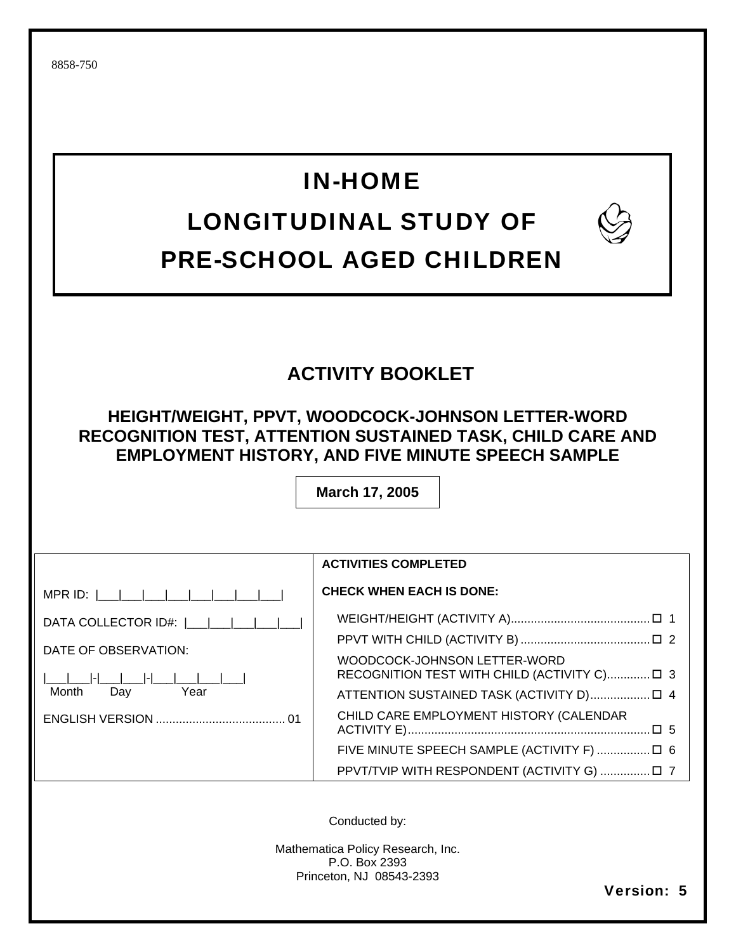## IN-HOME

## LONGITUDINAL STUDY OF PRE-SCHOOL AGED CHILDREN



## **ACTIVITY BOOKLET**

**HEIGHT/WEIGHT, PPVT, WOODCOCK-JOHNSON LETTER-WORD RECOGNITION TEST, ATTENTION SUSTAINED TASK, CHILD CARE AND EMPLOYMENT HISTORY, AND FIVE MINUTE SPEECH SAMPLE** 

**March 17, 2005** 

MPR ID: |\_\_\_|\_\_\_|\_\_\_|\_\_\_|\_\_\_|\_\_\_|\_\_\_|\_\_\_|

DATA COLLECTOR ID#: |\_\_\_|\_\_\_|\_\_\_|\_\_\_|\_\_\_|

DATE OF OBSERVATION:

|\_\_\_|\_\_\_|-|\_\_\_|\_\_\_|-|\_\_\_|\_\_\_|\_\_\_|\_\_\_| Month Day Year

ENGLISH VERSION ....................................... 01

## **ACTIVITIES COMPLETED**

#### **CHECK WHEN EACH IS DONE:**

WEIGHT/HEIGHT (ACTIVITY A) .......................................... 1 PPVT WITH CHILD (ACTIVITY B) ....................................... 2 WOODCOCK-JOHNSON LETTER-WORD RECOGNITION TEST WITH CHILD (ACTIVITY C).............. [ 3 ATTENTION SUSTAINED TASK (ACTIVITY D) .................. 4 CHILD CARE EMPLOYMENT HISTORY (CALENDAR ACTIVITY E) ......................................................................... 5 FIVE MINUTE SPEECH SAMPLE (ACTIVITY F) ................ 6 PPVT/TVIP WITH RESPONDENT (ACTIVITY G) ............... 7

Conducted by:

Mathematica Policy Research, Inc. P.O. Box 2393 Princeton, NJ 08543-2393

Version: 5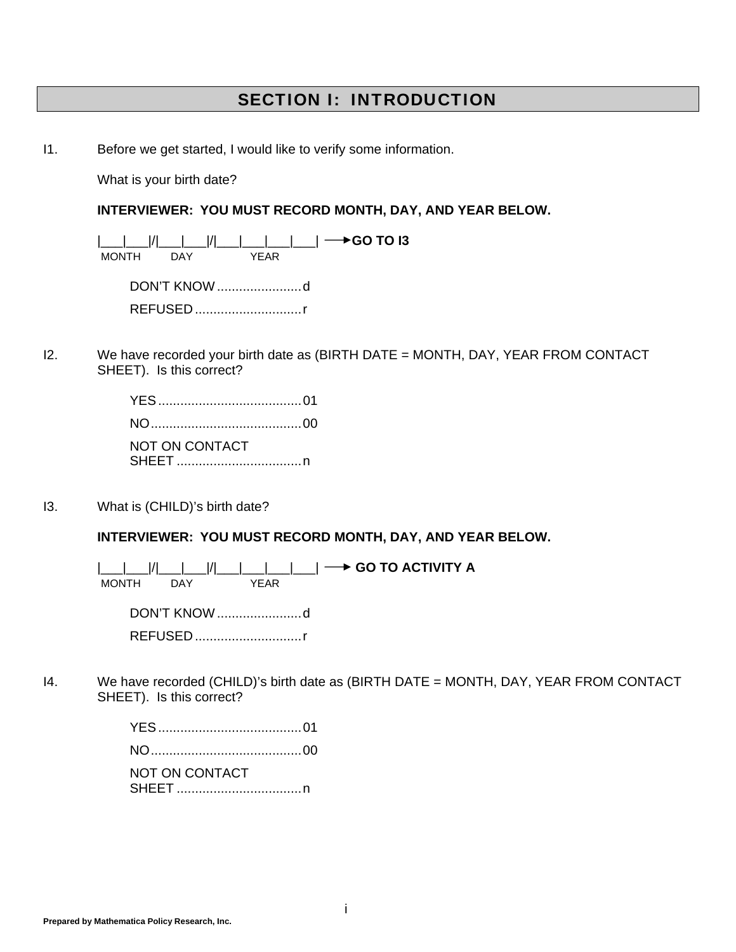### SECTION I: INTRODUCTION

I1. Before we get started, I would like to verify some information.

What is your birth date?

#### **INTERVIEWER: YOU MUST RECORD MONTH, DAY, AND YEAR BELOW.**

 |\_\_\_|\_\_\_|/|\_\_\_|\_\_\_|/|\_\_\_|\_\_\_|\_\_\_|\_\_\_| **GO TO I3**  MONTH DAY YEAR DON'T KNOW ....................... d REFUSED ............................. r

I2. We have recorded your birth date as (BIRTH DATE = MONTH, DAY, YEAR FROM CONTACT SHEET). Is this correct?

> YES ....................................... 01 NO ......................................... 00 NOT ON CONTACT SHEET .................................. n

I3. What is (CHILD)'s birth date?

**INTERVIEWER: YOU MUST RECORD MONTH, DAY, AND YEAR BELOW.**

|\_\_\_|\_\_\_|/|\_\_\_|\_\_\_|/|\_\_\_|\_\_\_|\_\_\_| **\_\_\_→ GO TO ACTIVITY A**<br>\_MONTH \_\_\_DAY \_\_\_\_\_\_\_\_\_YEAR MONTH DAY

 DON'T KNOW ....................... d REFUSED ............................. r

I4. We have recorded (CHILD)'s birth date as (BIRTH DATE = MONTH, DAY, YEAR FROM CONTACT SHEET). Is this correct?

| NOT ON CONTACT |  |
|----------------|--|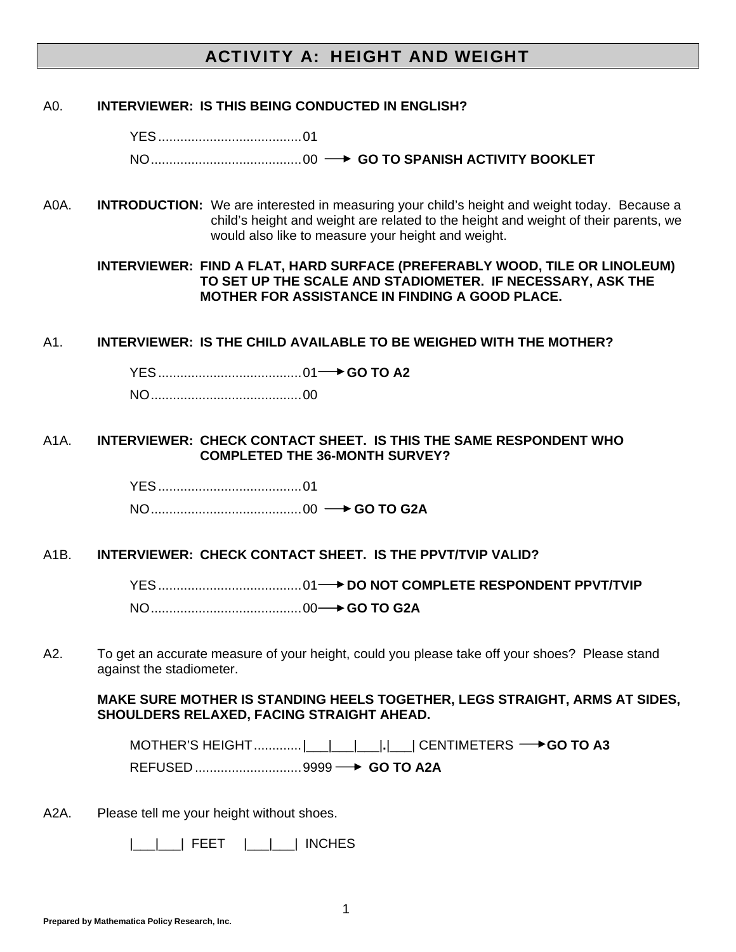## ACTIVITY A: HEIGHT AND WEIGHT

#### A0. **INTERVIEWER: IS THIS BEING CONDUCTED IN ENGLISH?**

 YES ....................................... 01 NO ......................................... 00 **GO TO SPANISH ACTIVITY BOOKLET**

A0A. **INTRODUCTION:** We are interested in measuring your child's height and weight today. Because a child's height and weight are related to the height and weight of their parents, we would also like to measure your height and weight.

 **INTERVIEWER: FIND A FLAT, HARD SURFACE (PREFERABLY WOOD, TILE OR LINOLEUM) TO SET UP THE SCALE AND STADIOMETER. IF NECESSARY, ASK THE MOTHER FOR ASSISTANCE IN FINDING A GOOD PLACE.** 

#### A1. **INTERVIEWER: IS THE CHILD AVAILABLE TO BE WEIGHED WITH THE MOTHER?**

YES ....................................... 01 **GO TO A2**

NO ......................................... 00

#### A1A. **INTERVIEWER: CHECK CONTACT SHEET. IS THIS THE SAME RESPONDENT WHO COMPLETED THE 36-MONTH SURVEY?**

 YES ....................................... 01 NO ......................................... 00 **GO TO G2A** 

#### A1B. **INTERVIEWER: CHECK CONTACT SHEET. IS THE PPVT/TVIP VALID?**

 YES ....................................... 01 **DO NOT COMPLETE RESPONDENT PPVT/TVIP** NO ......................................... 00 **GO TO G2A** 

A2. To get an accurate measure of your height, could you please take off your shoes? Please stand against the stadiometer.

**MAKE SURE MOTHER IS STANDING HEELS TOGETHER, LEGS STRAIGHT, ARMS AT SIDES, SHOULDERS RELAXED, FACING STRAIGHT AHEAD.** 

 **MOTHER'S HEIGHT .............|** | | | | | | CENTIMETERS → **GO TO A3** REFUSED ............................. 9999 **GO TO A2A** 

A2A. Please tell me your height without shoes.

|\_\_\_|\_\_\_| FEET |\_\_\_|\_\_\_| INCHES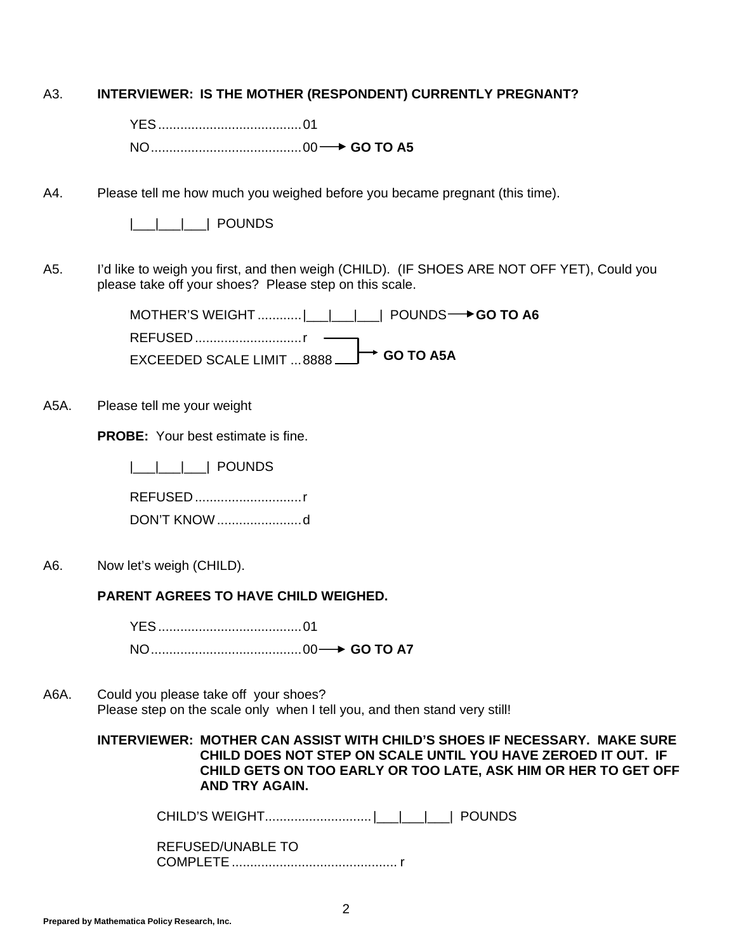| A3. | <b>INTERVIEWER: IS THE MOTHER (RESPONDENT) CURRENTLY PREGNANT?</b> |  |  |
|-----|--------------------------------------------------------------------|--|--|
|     |                                                                    |  |  |

YES ....................................... 01

NO ......................................... 00 **GO TO A5**

A4. Please tell me how much you weighed before you became pregnant (this time).

|  |  | <b>POUNDS</b> |
|--|--|---------------|
|  |  |               |

A5. I'd like to weigh you first, and then weigh (CHILD). (IF SHOES ARE NOT OFF YET), Could you please take off your shoes? Please step on this scale.

> MOTHER'S WEIGHT .............|\_\_\_|\_\_\_|\_\_\_| POUNDS **→ GO TO A6** REFUSED ...............................r - EXCEEDED SCALE LIMIT ... 8888  $\rightarrow$  GO TO A5A

A5A. Please tell me your weight

**PROBE:** Your best estimate is fine.

|\_\_\_|\_\_\_|\_\_\_| POUNDS

REFUSED ............................. r

DON'T KNOW ....................... d

A6. Now let's weigh (CHILD).

**PARENT AGREES TO HAVE CHILD WEIGHED.** 

 YES ....................................... 01 NO ......................................... 00 **GO TO A7**

A6A. Could you please take off your shoes? Please step on the scale only when I tell you, and then stand very still!

> **INTERVIEWER: MOTHER CAN ASSIST WITH CHILD'S SHOES IF NECESSARY. MAKE SURE CHILD DOES NOT STEP ON SCALE UNTIL YOU HAVE ZEROED IT OUT. IF CHILD GETS ON TOO EARLY OR TOO LATE, ASK HIM OR HER TO GET OFF AND TRY AGAIN.**

CHILD'S WEIGHT............................. |\_\_\_|\_\_\_|\_\_\_| POUNDS

 REFUSED/UNABLE TO COMPLETE ............................................. r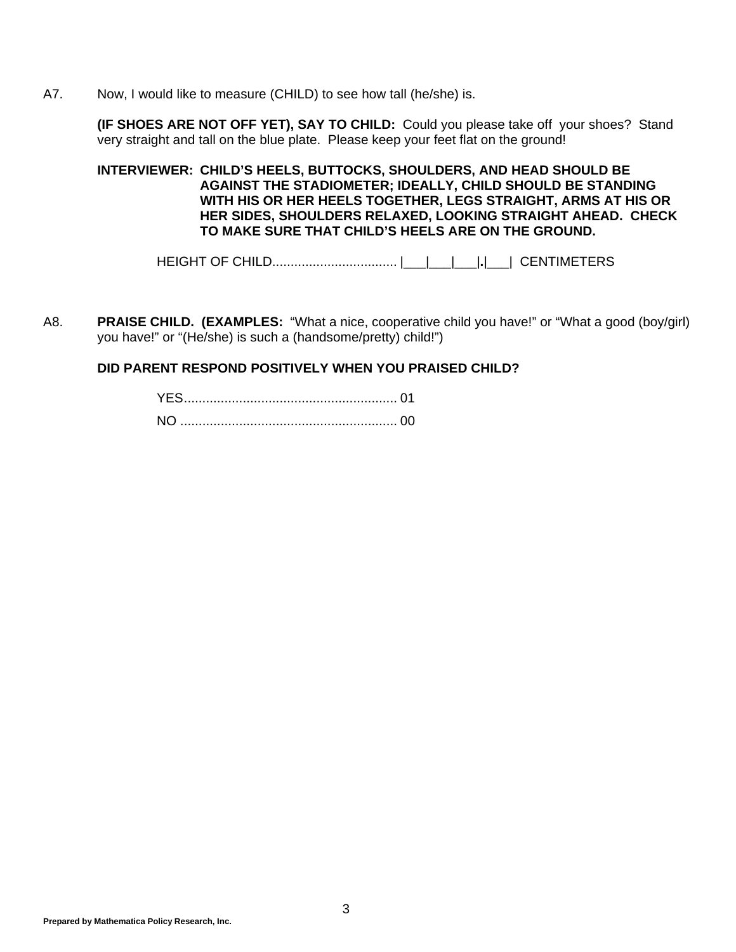A7. Now, I would like to measure (CHILD) to see how tall (he/she) is.

**(IF SHOES ARE NOT OFF YET), SAY TO CHILD:** Could you please take off your shoes? Stand very straight and tall on the blue plate. Please keep your feet flat on the ground!

**INTERVIEWER: CHILD'S HEELS, BUTTOCKS, SHOULDERS, AND HEAD SHOULD BE AGAINST THE STADIOMETER; IDEALLY, CHILD SHOULD BE STANDING WITH HIS OR HER HEELS TOGETHER, LEGS STRAIGHT, ARMS AT HIS OR HER SIDES, SHOULDERS RELAXED, LOOKING STRAIGHT AHEAD. CHECK TO MAKE SURE THAT CHILD'S HEELS ARE ON THE GROUND.**

HEIGHT OF CHILD.................................. |\_\_\_|\_\_\_|\_\_\_|**.**|\_\_\_| CENTIMETERS

A8. **PRAISE CHILD. (EXAMPLES:** "What a nice, cooperative child you have!" or "What a good (boy/girl) you have!" or "(He/she) is such a (handsome/pretty) child!")

#### **DID PARENT RESPOND POSITIVELY WHEN YOU PRAISED CHILD?**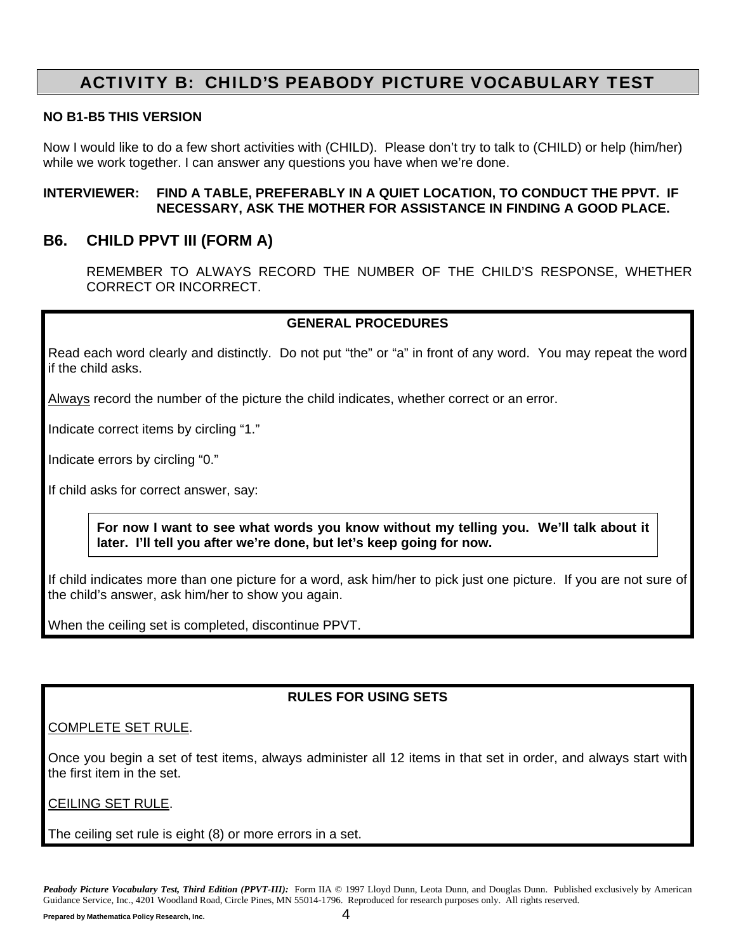## ACTIVITY B: CHILD'S PEABODY PICTURE VOCABULARY TEST

#### **NO B1-B5 THIS VERSION**

Now I would like to do a few short activities with (CHILD). Please don't try to talk to (CHILD) or help (him/her) while we work together. I can answer any questions you have when we're done.

#### **INTERVIEWER: FIND A TABLE, PREFERABLY IN A QUIET LOCATION, TO CONDUCT THE PPVT. IF NECESSARY, ASK THE MOTHER FOR ASSISTANCE IN FINDING A GOOD PLACE.**

#### **B6. CHILD PPVT III (FORM A)**

 REMEMBER TO ALWAYS RECORD THE NUMBER OF THE CHILD'S RESPONSE, WHETHER CORRECT OR INCORRECT.

#### **GENERAL PROCEDURES**

Read each word clearly and distinctly. Do not put "the" or "a" in front of any word. You may repeat the word if the child asks.

Always record the number of the picture the child indicates, whether correct or an error.

Indicate correct items by circling "1."

Indicate errors by circling "0."

If child asks for correct answer, say:

**For now I want to see what words you know without my telling you. We'll talk about it later. I'll tell you after we're done, but let's keep going for now.**

If child indicates more than one picture for a word, ask him/her to pick just one picture. If you are not sure of the child's answer, ask him/her to show you again.

When the ceiling set is completed, discontinue PPVT.

#### **RULES FOR USING SETS**

#### COMPLETE SET RULE.

Once you begin a set of test items, always administer all 12 items in that set in order, and always start with the first item in the set.

#### CEILING SET RULE.

The ceiling set rule is eight (8) or more errors in a set.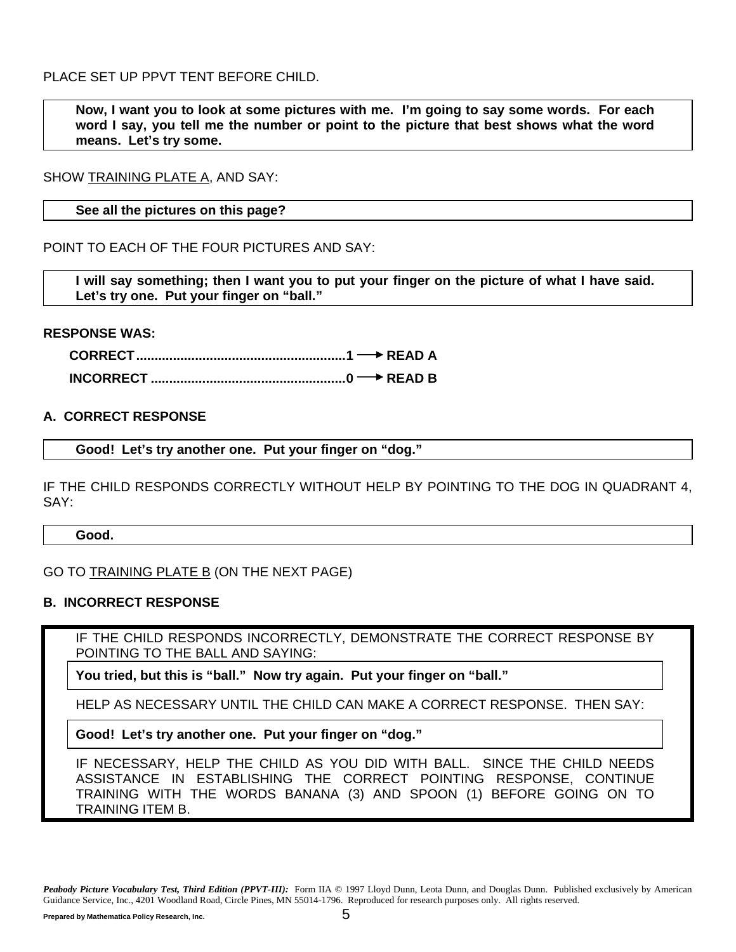PLACE SET UP PPVT TENT BEFORE CHILD.

**Now, I want you to look at some pictures with me. I'm going to say some words. For each word I say, you tell me the number or point to the picture that best shows what the word means. Let's try some.**

SHOW TRAINING PLATE A, AND SAY:

**See all the pictures on this page?**

POINT TO EACH OF THE FOUR PICTURES AND SAY:

**I will say something; then I want you to put your finger on the picture of what I have said. Let's try one. Put your finger on "ball."**

#### **RESPONSE WAS:**

**CORRECT ......................................................... 1 READ A INCORRECT ..................................................... 0 READ B** 

#### **A. CORRECT RESPONSE**

**Good! Let's try another one. Put your finger on "dog."**

IF THE CHILD RESPONDS CORRECTLY WITHOUT HELP BY POINTING TO THE DOG IN QUADRANT 4, SAY:

**Good.**

GO TO TRAINING PLATE B (ON THE NEXT PAGE)

#### **B. INCORRECT RESPONSE**

IF THE CHILD RESPONDS INCORRECTLY, DEMONSTRATE THE CORRECT RESPONSE BY POINTING TO THE BALL AND SAYING:

**You tried, but this is "ball." Now try again. Put your finger on "ball."**

HELP AS NECESSARY UNTIL THE CHILD CAN MAKE A CORRECT RESPONSE. THEN SAY:

**Good! Let's try another one. Put your finger on "dog."**

IF NECESSARY, HELP THE CHILD AS YOU DID WITH BALL. SINCE THE CHILD NEEDS ASSISTANCE IN ESTABLISHING THE CORRECT POINTING RESPONSE, CONTINUE TRAINING WITH THE WORDS BANANA (3) AND SPOON (1) BEFORE GOING ON TO TRAINING ITEM B.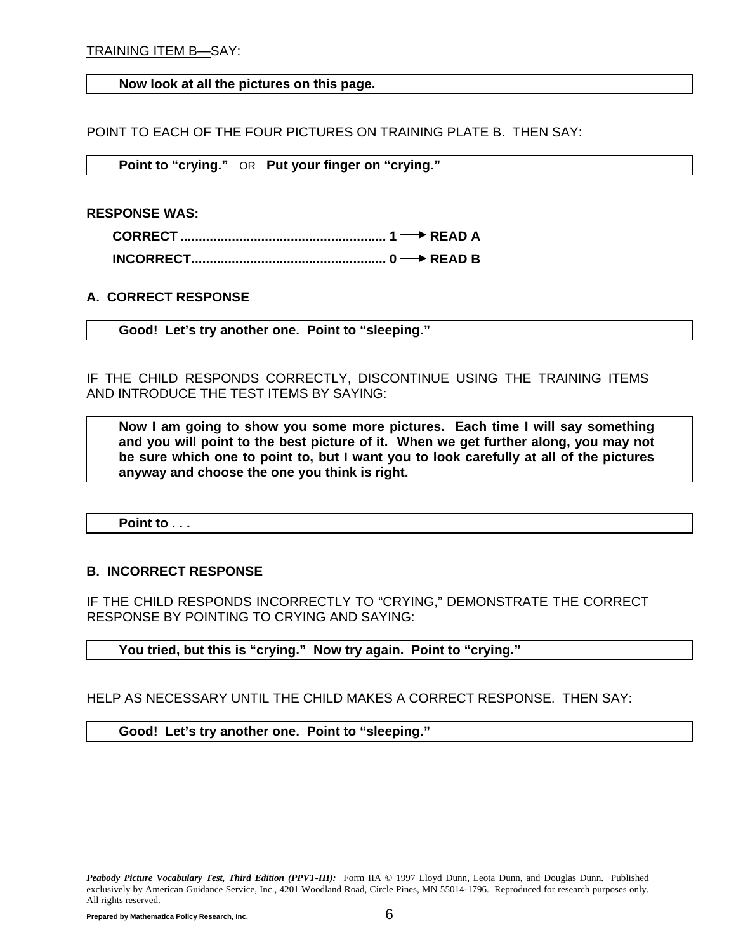#### **Now look at all the pictures on this page.**

POINT TO EACH OF THE FOUR PICTURES ON TRAINING PLATE B. THEN SAY:

**Point to "crying."** OR **Put your finger on "crying."**

**RESPONSE WAS:** 

#### **A. CORRECT RESPONSE**

**Good! Let's try another one. Point to "sleeping."**

IF THE CHILD RESPONDS CORRECTLY, DISCONTINUE USING THE TRAINING ITEMS AND INTRODUCE THE TEST ITEMS BY SAYING:

**Now I am going to show you some more pictures. Each time I will say something and you will point to the best picture of it. When we get further along, you may not be sure which one to point to, but I want you to look carefully at all of the pictures anyway and choose the one you think is right.**

**Point to . . .**

#### **B. INCORRECT RESPONSE**

IF THE CHILD RESPONDS INCORRECTLY TO "CRYING," DEMONSTRATE THE CORRECT RESPONSE BY POINTING TO CRYING AND SAYING:

**You tried, but this is "crying." Now try again. Point to "crying."**

HELP AS NECESSARY UNTIL THE CHILD MAKES A CORRECT RESPONSE. THEN SAY:

**Good! Let's try another one. Point to "sleeping."**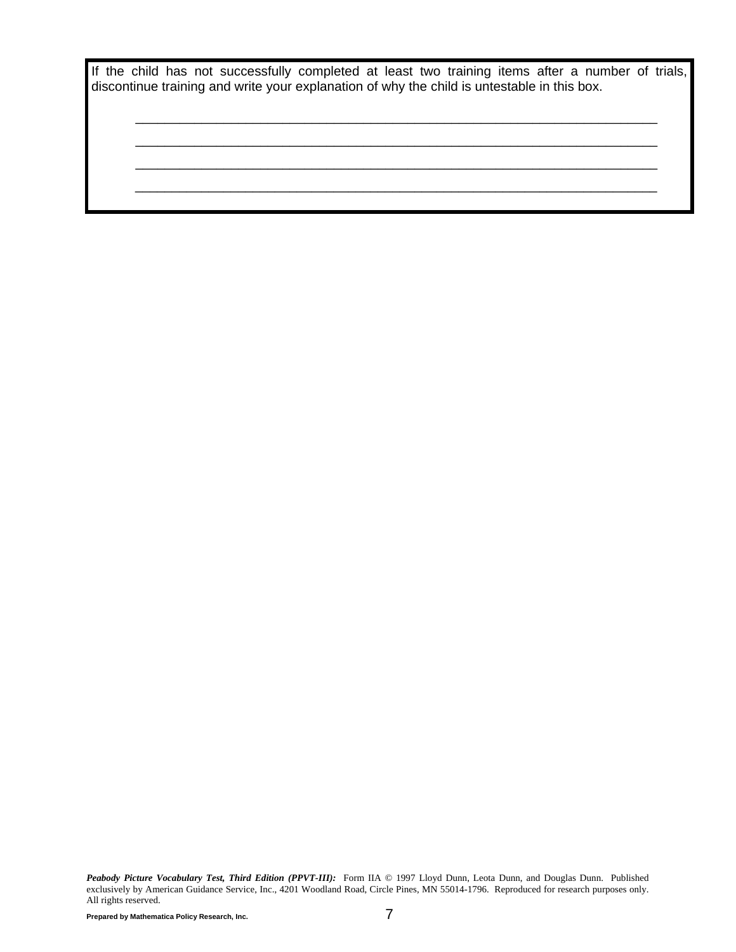|  |  | If the child has not successfully completed at least two training items after a number of trials, |  |  |  |  |  |  |
|--|--|---------------------------------------------------------------------------------------------------|--|--|--|--|--|--|
|  |  | discontinue training and write your explanation of why the child is untestable in this box.       |  |  |  |  |  |  |

\_\_\_\_\_\_\_\_\_\_\_\_\_\_\_\_\_\_\_\_\_\_\_\_\_\_\_\_\_\_\_\_\_\_\_\_\_\_\_\_\_\_\_\_\_\_\_\_\_\_\_\_\_\_\_\_\_\_\_\_\_\_\_\_\_\_\_\_\_\_\_ \_\_\_\_\_\_\_\_\_\_\_\_\_\_\_\_\_\_\_\_\_\_\_\_\_\_\_\_\_\_\_\_\_\_\_\_\_\_\_\_\_\_\_\_\_\_\_\_\_\_\_\_\_\_\_\_\_\_\_\_\_\_\_\_\_\_\_\_\_\_\_ \_\_\_\_\_\_\_\_\_\_\_\_\_\_\_\_\_\_\_\_\_\_\_\_\_\_\_\_\_\_\_\_\_\_\_\_\_\_\_\_\_\_\_\_\_\_\_\_\_\_\_\_\_\_\_\_\_\_\_\_\_\_\_\_\_\_\_\_\_\_\_ \_\_\_\_\_\_\_\_\_\_\_\_\_\_\_\_\_\_\_\_\_\_\_\_\_\_\_\_\_\_\_\_\_\_\_\_\_\_\_\_\_\_\_\_\_\_\_\_\_\_\_\_\_\_\_\_\_\_\_\_\_\_\_\_\_\_\_\_\_\_\_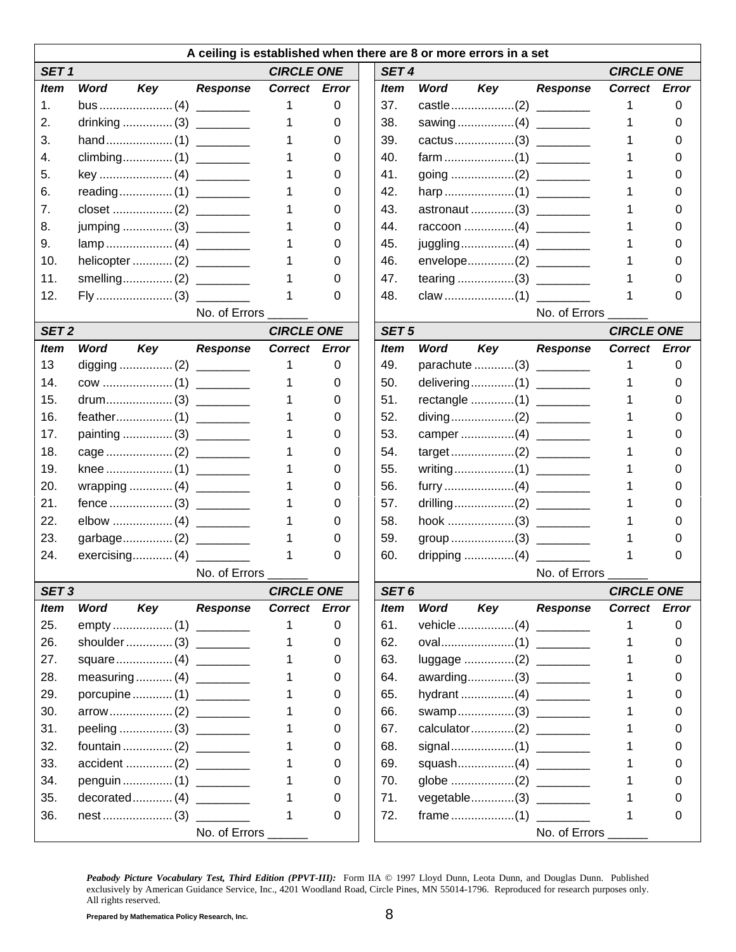|                  | A ceiling is established when there are 8 or more errors in a set |                 |                   |       |  |                  |                                    |  |                 |                   |          |
|------------------|-------------------------------------------------------------------|-----------------|-------------------|-------|--|------------------|------------------------------------|--|-----------------|-------------------|----------|
| SET <sub>1</sub> |                                                                   |                 | <b>CIRCLE ONE</b> |       |  | SET <sub>4</sub> |                                    |  |                 | <b>CIRCLE ONE</b> |          |
| <b>Item</b>      | Key<br><b>Word</b>                                                | <b>Response</b> | Correct Error     |       |  | <b>Item</b>      | Key<br><b>Word</b>                 |  | <b>Response</b> | Correct Error     |          |
| 1.               |                                                                   |                 |                   | 0     |  | 37.              |                                    |  |                 |                   | 0        |
| 2.               | drinking  (3) _________                                           |                 |                   | 0     |  | 38.              |                                    |  |                 |                   | 0        |
| 3.               |                                                                   |                 |                   | 0     |  | 39.              |                                    |  |                 |                   |          |
| 4.               |                                                                   |                 |                   | 0     |  | 40.              |                                    |  |                 |                   |          |
| 5.               |                                                                   |                 |                   | 0     |  | 41.              |                                    |  |                 |                   |          |
| 6.               |                                                                   |                 |                   | 0     |  | 42.              |                                    |  |                 |                   |          |
| 7.               |                                                                   |                 |                   | 0     |  | 43.              | astronaut (3)                      |  |                 |                   |          |
| 8.               | jumping  (3) _________                                            |                 |                   | 0     |  | 44.              |                                    |  |                 |                   |          |
| 9.               |                                                                   |                 |                   | 0     |  | 45.              |                                    |  |                 |                   |          |
| 10.              |                                                                   |                 |                   | 0     |  | 46.              |                                    |  |                 |                   |          |
| 11.              |                                                                   |                 |                   | 0     |  | 47.              |                                    |  |                 |                   |          |
| 12.              |                                                                   |                 |                   | 0     |  | 48.              |                                    |  |                 |                   | 0        |
|                  |                                                                   | No. of Errors   |                   |       |  |                  |                                    |  | No. of Errors   |                   |          |
| SET <sub>2</sub> |                                                                   |                 | <b>CIRCLE ONE</b> |       |  | SET <sub>5</sub> |                                    |  |                 | <b>CIRCLE ONE</b> |          |
| <b>Item</b>      | <b>Word</b><br>Key                                                | <b>Response</b> | <b>Correct</b>    | Error |  | <b>Item</b>      | <b>Word</b><br>Key                 |  | <b>Response</b> | <b>Correct</b>    | Error    |
| 13               |                                                                   |                 |                   | 0     |  | 49.              | parachute (3)                      |  |                 |                   | 0        |
| 14.              |                                                                   |                 |                   | 0     |  | 50.              |                                    |  |                 |                   | 0        |
| 15.              |                                                                   |                 |                   | 0     |  | 51.              |                                    |  |                 |                   |          |
| 16.              |                                                                   |                 |                   | 0     |  | 52.              |                                    |  |                 |                   |          |
| 17.              | painting  (3)                                                     |                 |                   | 0     |  | 53.              |                                    |  |                 |                   |          |
| 18.              |                                                                   |                 |                   | 0     |  | 54.              |                                    |  |                 |                   |          |
| 19.              |                                                                   |                 |                   | 0     |  | 55.              |                                    |  |                 |                   |          |
| 20.              | wrapping  (4) _________                                           |                 |                   | 0     |  | 56.              |                                    |  |                 |                   |          |
| 21.              |                                                                   |                 |                   | 0     |  | 57.              |                                    |  |                 |                   |          |
| 22.              |                                                                   |                 |                   | 0     |  | 58.              |                                    |  |                 |                   |          |
| 23.              |                                                                   |                 |                   | 0     |  | 59.              |                                    |  |                 |                   |          |
| 24.              | $exercising$ $(4)$                                                |                 |                   | 0     |  | 60.              | dripping $\dots\dots\dots\dots(4)$ |  |                 |                   | O        |
|                  |                                                                   | No. of Errors   |                   |       |  |                  |                                    |  | No. of Errors   |                   |          |
| SET <sub>3</sub> |                                                                   |                 | <b>CIRCLE ONE</b> |       |  | SET <sub>6</sub> |                                    |  |                 | <b>CIRCLE ONE</b> |          |
| <b>Item</b>      | <b>Word</b><br>Key                                                | <b>Response</b> | Correct Error     |       |  | <b>Item</b>      | <b>Word</b><br>Key                 |  | <b>Response</b> | Correct Error     |          |
| 25.              |                                                                   |                 |                   | 0     |  | 61.              |                                    |  |                 |                   | 0        |
| 26.              | shoulder (3)                                                      |                 |                   | 0     |  | 62.              |                                    |  |                 |                   | 0        |
| 27.              |                                                                   |                 |                   | 0     |  | 63.              | luggage (2) ________               |  |                 |                   | O        |
| 28.              | measuring (4) ________                                            |                 |                   | 0     |  | 64.              | awarding(3)                        |  |                 |                   | 0        |
| 29.              | porcupine  (1) ________                                           |                 |                   | 0     |  | 65.              |                                    |  |                 |                   | 0        |
| 30.              |                                                                   |                 |                   | 0     |  | 66.              | swamp(3)                           |  |                 |                   | $\Omega$ |
| 31.              |                                                                   |                 |                   | 0     |  | 67.              |                                    |  |                 |                   |          |
| 32.              |                                                                   |                 |                   | 0     |  | 68.              |                                    |  |                 |                   |          |
| 33.              | accident  (2) _______                                             |                 |                   | 0     |  | 69.              | squash(4) _________                |  |                 |                   |          |
| 34.              | penguin  (1) ________                                             |                 |                   | 0     |  | 70.              |                                    |  |                 |                   | $^{(1)}$ |
| 35.              |                                                                   |                 |                   | 0     |  | 71.              | vegetable(3)                       |  |                 |                   | $\Omega$ |
| 36.              |                                                                   |                 |                   | 0     |  | 72.              |                                    |  |                 |                   | 0        |
|                  |                                                                   | No. of Errors   |                   |       |  |                  |                                    |  | No. of Errors   |                   |          |
|                  |                                                                   |                 |                   |       |  |                  |                                    |  |                 |                   |          |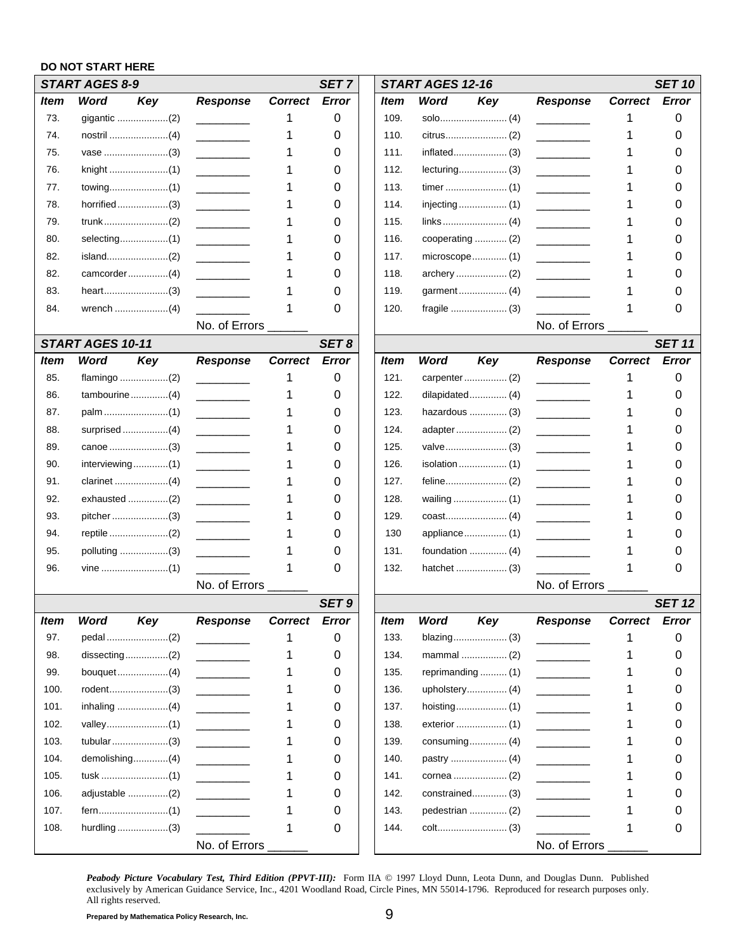#### **DO NOT START HERE**

|      | START AGES 8-9          |                                  |                | SET <sub>7</sub> |             | <b>START AGES 12-16</b> |                   |                                                    |                | <b>SET 10</b> |
|------|-------------------------|----------------------------------|----------------|------------------|-------------|-------------------------|-------------------|----------------------------------------------------|----------------|---------------|
| Item | <b>Word</b><br>Key      | <b>Response</b>                  | <b>Correct</b> | <b>Error</b>     | ltem        | Word                    | Key               | <b>Response</b>                                    | Correct Error  |               |
| 73.  | gigantic (2)            |                                  |                | 0                | 109.        |                         |                   |                                                    |                | 0             |
| 74.  |                         |                                  |                | 0                | 110.        |                         |                   |                                                    |                | 0             |
| 75.  |                         |                                  |                | 0                | 111.        |                         |                   |                                                    |                | O             |
| 76.  |                         |                                  |                | 0                | 112.        |                         |                   |                                                    |                | 0             |
| 77.  |                         |                                  |                | 0                | 113.        |                         |                   |                                                    |                | O             |
| 78.  | horrified(3)            |                                  |                | 0                | 114.        |                         |                   |                                                    |                | 0             |
| 79.  |                         |                                  |                | 0                | 115.        |                         |                   |                                                    |                | 0             |
| 80.  |                         |                                  |                | 0                | 116.        |                         | cooperating  (2)  |                                                    |                | O             |
| 82.  | island(2)               |                                  |                | 0                | 117.        |                         | microscope (1)    |                                                    |                | 0             |
| 82.  |                         |                                  |                | 0                | 118.        |                         |                   |                                                    |                | O             |
| 83.  |                         |                                  |                | 0                | 119.        |                         |                   |                                                    |                |               |
| 84.  |                         |                                  |                | 0                | 120.        |                         |                   |                                                    |                | 0             |
|      |                         | No. of Errors                    |                |                  |             |                         |                   | No. of Errors                                      |                |               |
|      | <b>START AGES 10-11</b> |                                  |                | SET8             |             |                         |                   |                                                    |                | <b>SET 11</b> |
| ltem | <b>Word</b><br>Key      | <b>Response</b>                  | <b>Correct</b> | Error            | ltem        | Word                    | Key               | <b>Response</b>                                    | <b>Correct</b> | <b>Error</b>  |
| 85.  |                         |                                  |                | 0                | 121.        |                         |                   |                                                    |                | 0             |
| 86.  |                         |                                  |                | 0                | 122.        |                         | dilapidated (4)   |                                                    |                | Ω             |
| 87.  |                         |                                  |                | 0                | 123.        |                         | hazardous  (3)    |                                                    |                | O             |
| 88.  |                         |                                  |                | 0                | 124.        |                         |                   |                                                    |                | 0             |
| 89.  |                         |                                  |                | 0                | 125.        |                         |                   |                                                    |                | O             |
| 90.  |                         |                                  |                | 0                | 126.        |                         |                   |                                                    |                | 0             |
| 91.  |                         |                                  |                | 0                | 127.        |                         |                   | <u> 1989 - John Barnett, francouzski politik (</u> |                | 0             |
| 92.  |                         |                                  |                | 0                | 128.        |                         |                   |                                                    |                | O             |
| 93.  | pitcher (3)             |                                  |                | 0                | 129.        |                         |                   |                                                    |                | 0             |
| 94.  |                         |                                  |                | 0                | 130         |                         | appliance (1)     |                                                    |                | O             |
| 95.  | polluting (3)           |                                  |                | 0                | 131.        |                         |                   |                                                    |                |               |
| 96.  |                         |                                  |                | 0                | 132.        |                         |                   |                                                    |                | 0             |
|      |                         | No. of Errors                    |                |                  |             |                         |                   | No. of Errors                                      |                |               |
|      |                         |                                  |                | SET <sub>9</sub> |             |                         |                   |                                                    |                | <b>SET 12</b> |
| Item | Key<br><b>Word</b>      | <b>Response</b>                  | <b>Correct</b> | <b>Error</b>     | <b>Item</b> | Word                    | Key               | <b>Response</b>                                    | Correct Error  |               |
| 97.  |                         |                                  |                | 0                | 133.        |                         |                   |                                                    |                | 0             |
| 98.  |                         |                                  |                | 0                | 134.        |                         | mammal  (2)       |                                                    |                | 0             |
| 99.  |                         |                                  |                | 0                | 135.        |                         | reprimanding  (1) |                                                    |                | 0             |
| 100. |                         |                                  |                | 0                | 136.        |                         |                   |                                                    |                | 0             |
| 101. |                         |                                  |                | 0                | 137.        |                         |                   |                                                    |                | 0             |
| 102. |                         |                                  |                | 0                | 138.        |                         |                   |                                                    |                | 0             |
| 103. |                         | <u> 1990 - Johann Barnett, f</u> |                | 0                | 139.        |                         | consuming (4)     | $\overline{\phantom{a}}$                           |                | 0             |
| 104. | demolishing(4)          |                                  |                | 0                | 140.        |                         |                   |                                                    |                | 0             |
| 105. |                         |                                  |                | 0                | 141.        |                         |                   |                                                    |                | 0             |
| 106. | adjustable (2)          |                                  |                | 0                | 142.        |                         | constrained (3)   |                                                    |                | 0             |
| 107. |                         |                                  |                | 0                | 143.        |                         | pedestrian  (2)   |                                                    |                | 0             |
| 108. | hurdling(3)             |                                  |                | 0                | 144.        |                         |                   |                                                    |                | 0             |
|      |                         | No. of Errors_                   |                |                  |             |                         |                   | No. of Errors_                                     |                |               |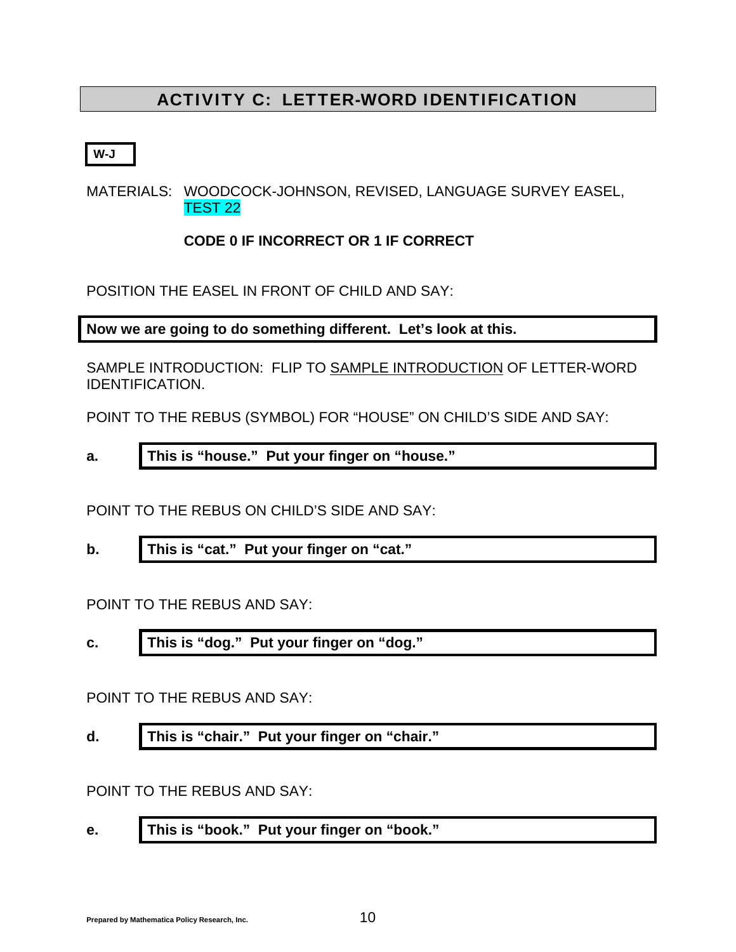## ACTIVITY C: LETTER-WORD IDENTIFICATION

**W-J** 

MATERIALS: WOODCOCK-JOHNSON, REVISED, LANGUAGE SURVEY EASEL, TEST 22

**CODE 0 IF INCORRECT OR 1 IF CORRECT** 

POSITION THE EASEL IN FRONT OF CHILD AND SAY:

**Now we are going to do something different. Let's look at this.** 

SAMPLE INTRODUCTION: FLIP TO SAMPLE INTRODUCTION OF LETTER-WORD IDENTIFICATION.

POINT TO THE REBUS (SYMBOL) FOR "HOUSE" ON CHILD'S SIDE AND SAY:

**a. This is "house." Put your finger on "house."** 

POINT TO THE REBUS ON CHILD'S SIDE AND SAY:

**b. This is "cat." Put your finger on "cat."** 

POINT TO THE REBUS AND SAY:

**c. This is "dog." Put your finger on "dog."** 

POINT TO THE REBUS AND SAY:

**d. This is "chair." Put your finger on "chair."** 

POINT TO THE REBUS AND SAY:

**e. This is "book." Put your finger on "book."**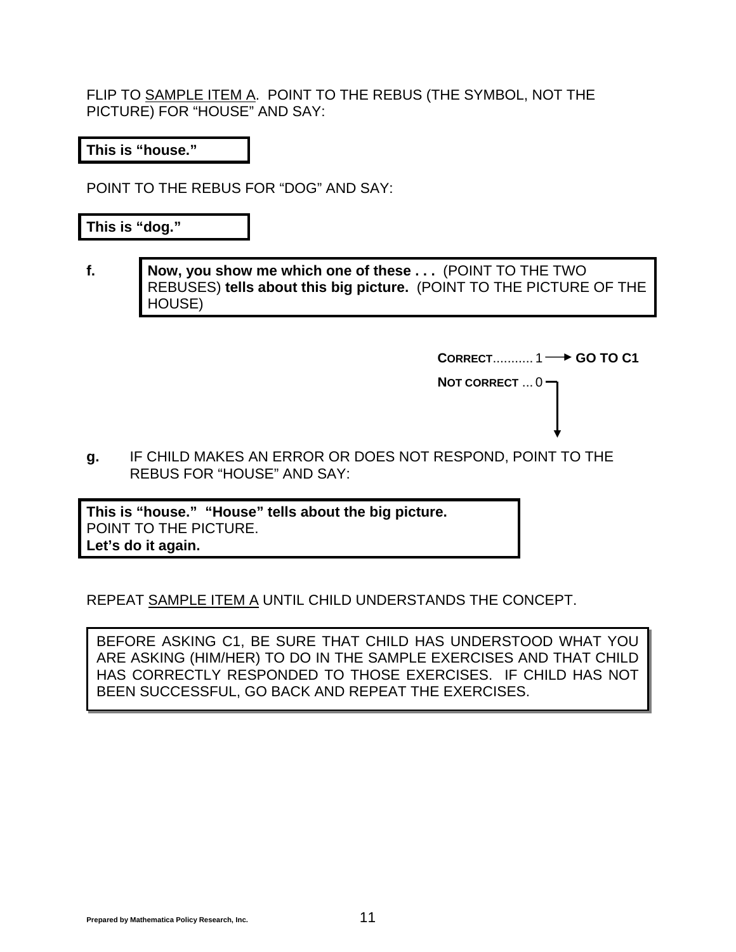FLIP TO SAMPLE ITEM A. POINT TO THE REBUS (THE SYMBOL, NOT THE PICTURE) FOR "HOUSE" AND SAY:

**This is "house."** 

POINT TO THE REBUS FOR "DOG" AND SAY:

**This is "dog."** 

**f. Now, you show me which one of these . . .** (POINT TO THE TWO REBUSES) **tells about this big picture.** (POINT TO THE PICTURE OF THE HOUSE)

**CORRECT............ 1 → GO TO C1** 

**NOT CORRECT** ... 0

**g.** IF CHILD MAKES AN ERROR OR DOES NOT RESPOND, POINT TO THE REBUS FOR "HOUSE" AND SAY:

**This is "house." "House" tells about the big picture.**  POINT TO THE PICTURE. **Let's do it again.**

REPEAT SAMPLE ITEM A UNTIL CHILD UNDERSTANDS THE CONCEPT.

BEFORE ASKING C1, BE SURE THAT CHILD HAS UNDERSTOOD WHAT YOU ARE ASKING (HIM/HER) TO DO IN THE SAMPLE EXERCISES AND THAT CHILD HAS CORRECTLY RESPONDED TO THOSE EXERCISES. IF CHILD HAS NOT BEEN SUCCESSFUL, GO BACK AND REPEAT THE EXERCISES.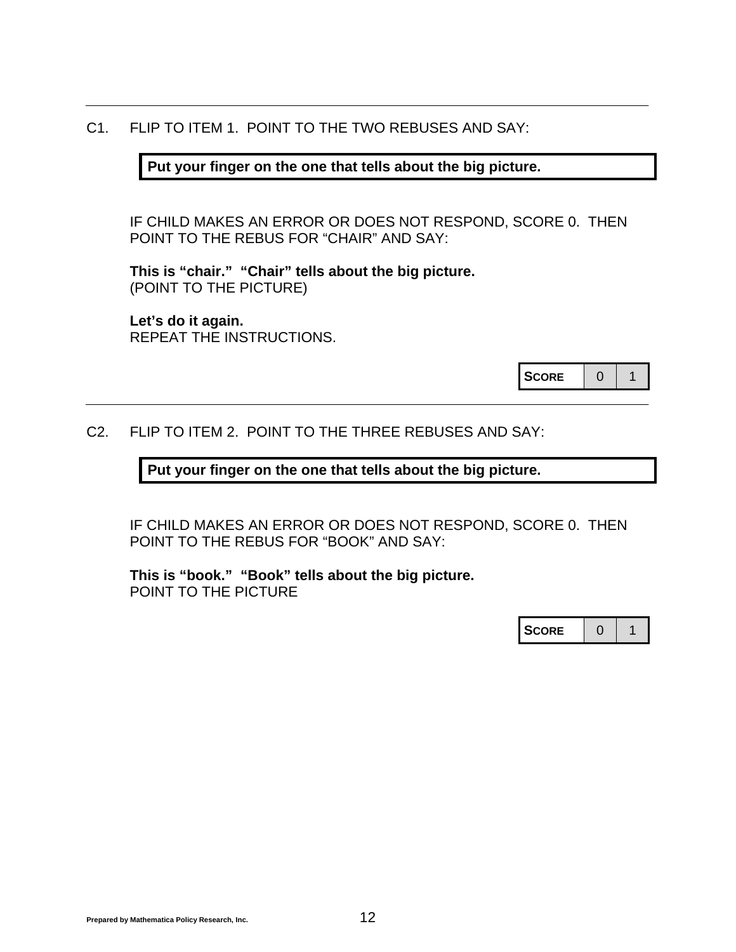#### C1. FLIP TO ITEM 1. POINT TO THE TWO REBUSES AND SAY:

#### **Put your finger on the one that tells about the big picture.**

 IF CHILD MAKES AN ERROR OR DOES NOT RESPOND, SCORE 0. THEN POINT TO THE REBUS FOR "CHAIR" AND SAY:

**This is "chair." "Chair" tells about the big picture.**  (POINT TO THE PICTURE)

**Let's do it again.**  REPEAT THE INSTRUCTIONS.

#### C2. FLIP TO ITEM 2. POINT TO THE THREE REBUSES AND SAY:

**Put your finger on the one that tells about the big picture.** 

 IF CHILD MAKES AN ERROR OR DOES NOT RESPOND, SCORE 0. THEN POINT TO THE REBUS FOR "BOOK" AND SAY:

**This is "book." "Book" tells about the big picture.**  POINT TO THE PICTURE

| <b>SCORE</b> |  |  |
|--------------|--|--|
|--------------|--|--|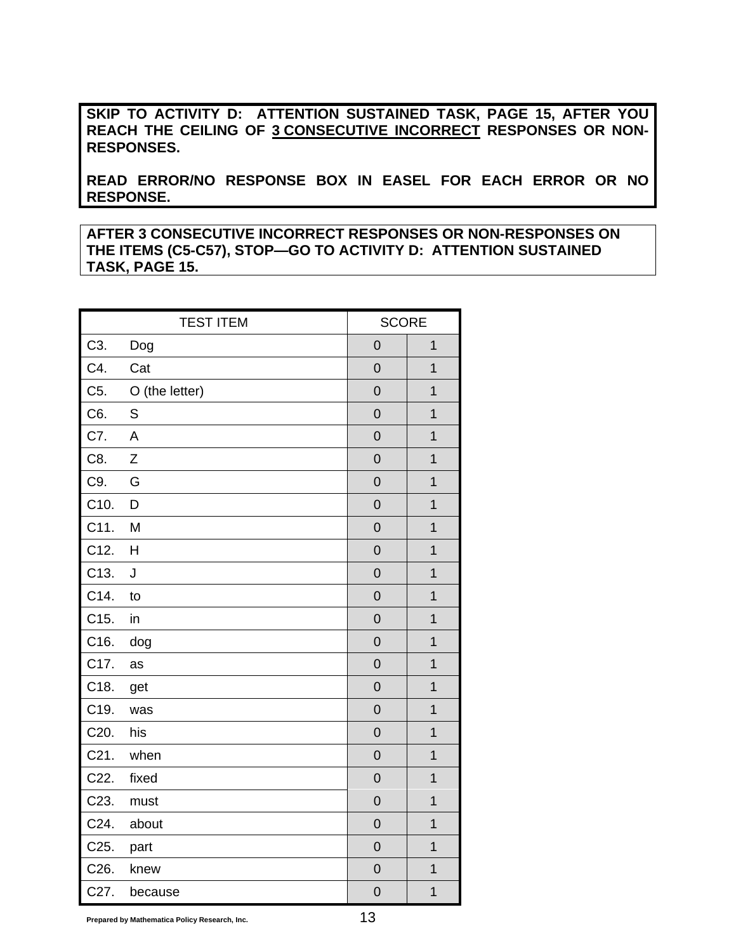**SKIP TO ACTIVITY D: ATTENTION SUSTAINED TASK, PAGE [15,](#page-16-0) AFTER YOU REACH THE CEILING OF 3 CONSECUTIVE INCORRECT RESPONSES OR NON-RESPONSES.** 

**READ ERROR/NO RESPONSE BOX IN EASEL FOR EACH ERROR OR NO RESPONSE.**

**AFTER 3 CONSECUTIVE INCORRECT RESPONSES OR NON-RESPONSES ON THE ITEMS (C5-C57), STOP—GO TO ACTIVITY D: ATTENTION SUSTAINED TASK, PAGE [15](#page-16-0).** 

|         | <b>TEST ITEM</b> | <b>SCORE</b>   |                |  |
|---------|------------------|----------------|----------------|--|
| C3.     | Dog              | $\mathbf 0$    | $\overline{1}$ |  |
| C4.     | Cat              | $\mathbf 0$    | 1              |  |
| C5.     | O (the letter)   | $\mathbf 0$    | $\overline{1}$ |  |
| C6.     | S                | $\overline{0}$ | $\overline{1}$ |  |
| C7.     | A                | $\overline{0}$ | $\overline{1}$ |  |
| C8.     | $\mathsf{Z}$     | $\mathbf 0$    | $\overline{1}$ |  |
| C9.     | G                | $\overline{0}$ | $\overline{1}$ |  |
| C10.    | D                | $\overline{0}$ | $\overline{1}$ |  |
| C11.    | M                | $\mathbf 0$    | $\mathbf{1}$   |  |
| C12.    | H                | $\mathbf 0$    | $\overline{1}$ |  |
| C13.    | J                | $\overline{0}$ | $\overline{1}$ |  |
| C14.    | to               | $\overline{0}$ | $\overline{1}$ |  |
| C15.    | in               | $\mathbf 0$    | $\mathbf{1}$   |  |
| C16.    | dog              | $\overline{0}$ | $\overline{1}$ |  |
| C17.    | as               | $\overline{0}$ | $\overline{1}$ |  |
| C18.    | get              | $\mathbf 0$    | $\mathbf{1}$   |  |
| C19.    | was              | $\mathbf 0$    | $\overline{1}$ |  |
| C20.    | his              | $\overline{0}$ | $\overline{1}$ |  |
| $C21$ . | when             | $\mathbf 0$    | $\overline{1}$ |  |
| C22.    | fixed            | $\overline{0}$ | $\mathbf{1}$   |  |
| C23.    | must             | $\overline{0}$ | $\overline{1}$ |  |
| C24.    | about            | $\overline{0}$ | $\overline{1}$ |  |
| C25.    | part             | $\overline{0}$ | $\mathbf{1}$   |  |
| C26.    | knew             | $\mathbf 0$    | $\mathbf{1}$   |  |
| C27.    | because          | $\overline{0}$ | $\overline{1}$ |  |

**Prepared by Mathematica Policy Research, Inc.** 13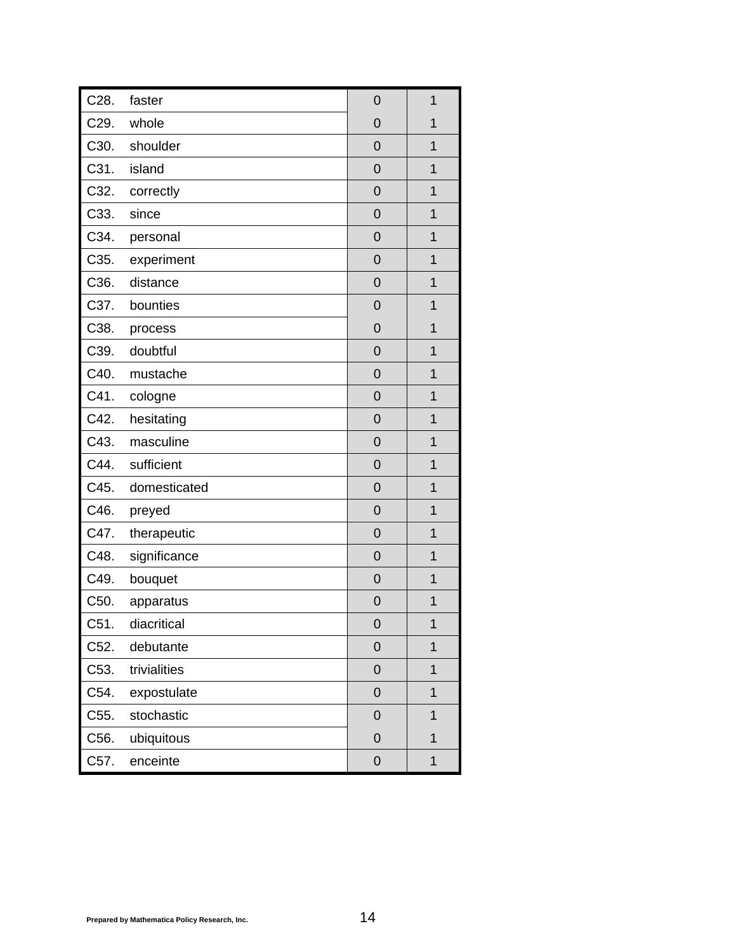| C28. | faster       | $\mathbf 0$      | $\overline{1}$ |
|------|--------------|------------------|----------------|
| C29. | whole        | $\overline{0}$   | $\mathbf 1$    |
| C30. | shoulder     | $\overline{0}$   | $\overline{1}$ |
| C31. | island       | $\mathbf 0$      | $\mathbf 1$    |
| C32. | correctly    | $\overline{0}$   | $\mathbf 1$    |
| C33. | since        | $\overline{0}$   | $\overline{1}$ |
| C34. | personal     | $\mathbf 0$      | $\overline{1}$ |
| C35. | experiment   | $\overline{0}$   | $\overline{1}$ |
| C36. | distance     | $\overline{0}$   | $\overline{1}$ |
| C37. | bounties     | $\mathbf 0$      | $\overline{1}$ |
| C38. | process      | $\overline{0}$   | $\overline{1}$ |
| C39. | doubtful     | $\overline{0}$   | $\overline{1}$ |
| C40. | mustache     | $\mathbf 0$      | $\overline{1}$ |
| C41. | cologne      | $\overline{0}$   | 1              |
| C42. | hesitating   | $\mathbf 0$      | $\overline{1}$ |
| C43. | masculine    | $\overline{0}$   | $\mathbf 1$    |
| C44. | sufficient   | $\overline{0}$   | 1              |
| C45. | domesticated | $\mathbf 0$      | $\mathbf 1$    |
| C46. | preyed       | $\overline{0}$   | $\overline{1}$ |
| C47. | therapeutic  | $\mathbf 0$      | $\overline{1}$ |
| C48. | significance | $\overline{0}$   | $\mathbf{1}$   |
| C49. | bouquet      | $\overline{0}$   | $\overline{1}$ |
| C50. | apparatus    | $\mathbf 0$      | $\mathbf{1}$   |
| C51. | diacritical  | $\mathbf 0$      | 1              |
| C52. | debutante    | $\mathbf 0$      | $\mathbf 1$    |
| C53. | trivialities | $\mathbf 0$      | 1              |
| C54. | expostulate  | $\overline{0}$   | $\overline{1}$ |
| C55. | stochastic   | $\mathbf 0$      | $\overline{1}$ |
| C56. | ubiquitous   | $\mathbf 0$      | $\mathbf 1$    |
| C57. | enceinte     | $\boldsymbol{0}$ | $\mathbf 1$    |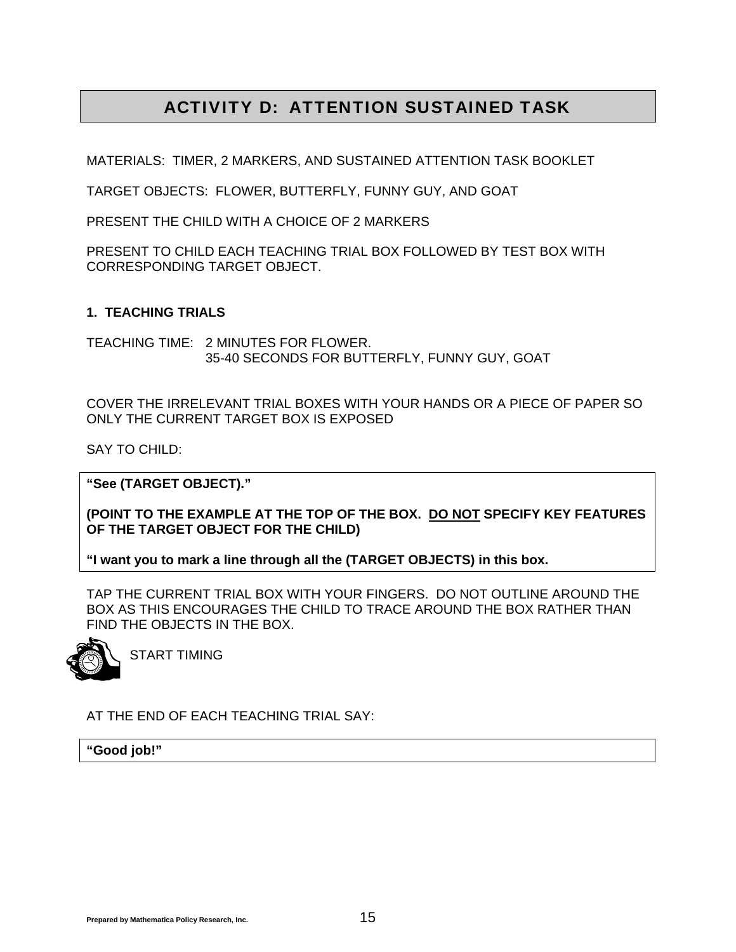## ACTIVITY D: ATTENTION SUSTAINED TASK

<span id="page-16-0"></span>MATERIALS: TIMER, 2 MARKERS, AND SUSTAINED ATTENTION TASK BOOKLET

TARGET OBJECTS: FLOWER, BUTTERFLY, FUNNY GUY, AND GOAT

PRESENT THE CHILD WITH A CHOICE OF 2 MARKERS

PRESENT TO CHILD EACH TEACHING TRIAL BOX FOLLOWED BY TEST BOX WITH CORRESPONDING TARGET OBJECT.

#### **1. TEACHING TRIALS**

TEACHING TIME: 2 MINUTES FOR FLOWER. 35-40 SECONDS FOR BUTTERFLY, FUNNY GUY, GOAT

COVER THE IRRELEVANT TRIAL BOXES WITH YOUR HANDS OR A PIECE OF PAPER SO ONLY THE CURRENT TARGET BOX IS EXPOSED

SAY TO CHILD:

**"See (TARGET OBJECT)."** 

**(POINT TO THE EXAMPLE AT THE TOP OF THE BOX. DO NOT SPECIFY KEY FEATURES OF THE TARGET OBJECT FOR THE CHILD)** 

**"I want you to mark a line through all the (TARGET OBJECTS) in this box.** 

TAP THE CURRENT TRIAL BOX WITH YOUR FINGERS. DO NOT OUTLINE AROUND THE BOX AS THIS ENCOURAGES THE CHILD TO TRACE AROUND THE BOX RATHER THAN FIND THE OBJECTS IN THE BOX.



START TIMING

AT THE END OF EACH TEACHING TRIAL SAY:

**"Good job!"**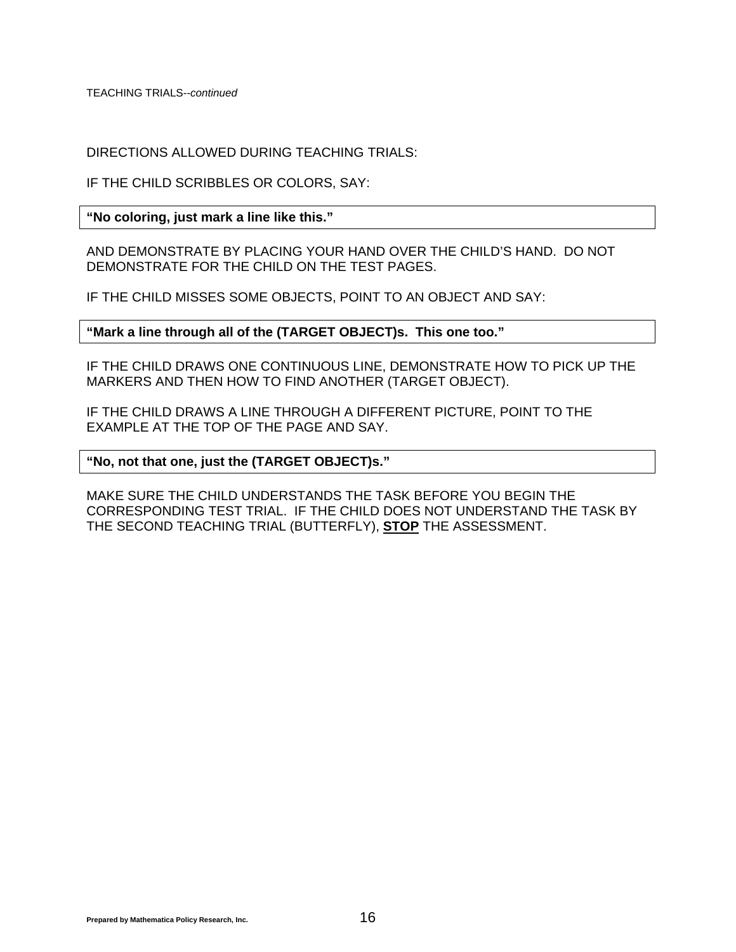TEACHING TRIALS--*continued*

DIRECTIONS ALLOWED DURING TEACHING TRIALS:

IF THE CHILD SCRIBBLES OR COLORS, SAY:

**"No coloring, just mark a line like this."** 

AND DEMONSTRATE BY PLACING YOUR HAND OVER THE CHILD'S HAND. DO NOT DEMONSTRATE FOR THE CHILD ON THE TEST PAGES.

IF THE CHILD MISSES SOME OBJECTS, POINT TO AN OBJECT AND SAY:

**"Mark a line through all of the (TARGET OBJECT)s. This one too."** 

IF THE CHILD DRAWS ONE CONTINUOUS LINE, DEMONSTRATE HOW TO PICK UP THE MARKERS AND THEN HOW TO FIND ANOTHER (TARGET OBJECT).

IF THE CHILD DRAWS A LINE THROUGH A DIFFERENT PICTURE, POINT TO THE EXAMPLE AT THE TOP OF THE PAGE AND SAY.

#### **"No, not that one, just the (TARGET OBJECT)s."**

MAKE SURE THE CHILD UNDERSTANDS THE TASK BEFORE YOU BEGIN THE CORRESPONDING TEST TRIAL. IF THE CHILD DOES NOT UNDERSTAND THE TASK BY THE SECOND TEACHING TRIAL (BUTTERFLY), **STOP** THE ASSESSMENT.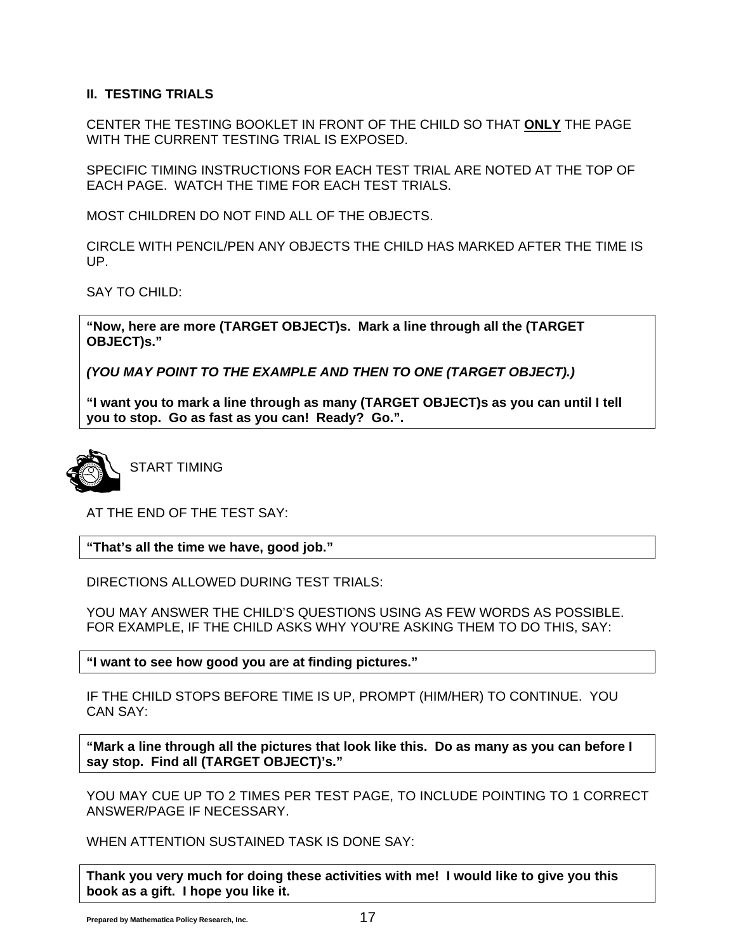#### **II. TESTING TRIALS**

CENTER THE TESTING BOOKLET IN FRONT OF THE CHILD SO THAT **ONLY** THE PAGE WITH THE CURRENT TESTING TRIAL IS EXPOSED.

SPECIFIC TIMING INSTRUCTIONS FOR EACH TEST TRIAL ARE NOTED AT THE TOP OF EACH PAGE. WATCH THE TIME FOR EACH TEST TRIALS.

MOST CHILDREN DO NOT FIND ALL OF THE OBJECTS.

CIRCLE WITH PENCIL/PEN ANY OBJECTS THE CHILD HAS MARKED AFTER THE TIME IS UP.

SAY TO CHILD:

**"Now, here are more (TARGET OBJECT)s. Mark a line through all the (TARGET OBJECT)s."** 

*(YOU MAY POINT TO THE EXAMPLE AND THEN TO ONE (TARGET OBJECT).)* 

**"I want you to mark a line through as many (TARGET OBJECT)s as you can until I tell you to stop. Go as fast as you can! Ready? Go.".** 



START TIMING

AT THE END OF THE TEST SAY:

**"That's all the time we have, good job."** 

DIRECTIONS ALLOWED DURING TEST TRIALS:

YOU MAY ANSWER THE CHILD'S QUESTIONS USING AS FEW WORDS AS POSSIBLE. FOR EXAMPLE, IF THE CHILD ASKS WHY YOU'RE ASKING THEM TO DO THIS, SAY:

**"I want to see how good you are at finding pictures."** 

IF THE CHILD STOPS BEFORE TIME IS UP, PROMPT (HIM/HER) TO CONTINUE. YOU CAN SAY:

**"Mark a line through all the pictures that look like this. Do as many as you can before I say stop. Find all (TARGET OBJECT)'s."** 

YOU MAY CUE UP TO 2 TIMES PER TEST PAGE, TO INCLUDE POINTING TO 1 CORRECT ANSWER/PAGE IF NECESSARY.

WHEN ATTENTION SUSTAINED TASK IS DONE SAY:

**Thank you very much for doing these activities with me! I would like to give you this book as a gift. I hope you like it.**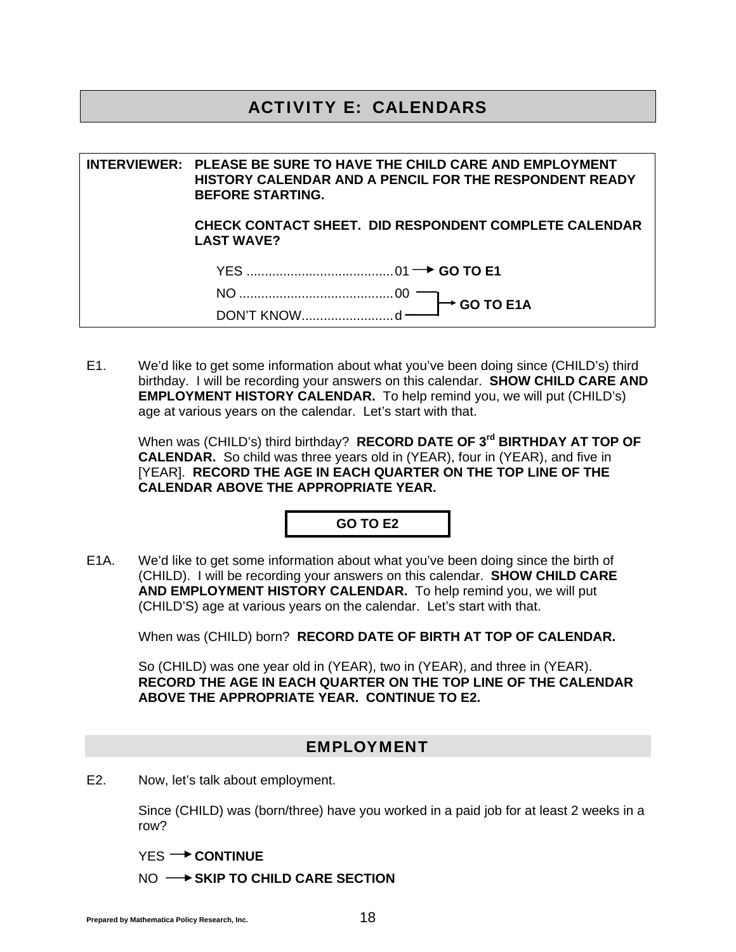### ACTIVITY E: CALENDARS

**INTERVIEWER: PLEASE BE SURE TO HAVE THE CHILD CARE AND EMPLOYMENT HISTORY CALENDAR AND A PENCIL FOR THE RESPONDENT READY BEFORE STARTING. CHECK CONTACT SHEET. DID RESPONDENT COMPLETE CALENDAR LAST WAVE?** YES ........................................ 01 **GO TO E1**  NO .......................................... 00 DON'T KNOW ......................... d **GO TO E1A**

E1. We'd like to get some information about what you've been doing since (CHILD's) third birthday. I will be recording your answers on this calendar. **SHOW CHILD CARE AND EMPLOYMENT HISTORY CALENDAR.** To help remind you, we will put (CHILD's) age at various years on the calendar. Let's start with that.

 When was (CHILD's) third birthday? **RECORD DATE OF 3rd BIRTHDAY AT TOP OF CALENDAR.** So child was three years old in (YEAR), four in (YEAR), and five in [YEAR]. **RECORD THE AGE IN EACH QUARTER ON THE TOP LINE OF THE CALENDAR ABOVE THE APPROPRIATE YEAR.**

**GO TO E2** 

E1A. We'd like to get some information about what you've been doing since the birth of (CHILD). I will be recording your answers on this calendar. **SHOW CHILD CARE AND EMPLOYMENT HISTORY CALENDAR.** To help remind you, we will put (CHILD'S) age at various years on the calendar. Let's start with that.

When was (CHILD) born? **RECORD DATE OF BIRTH AT TOP OF CALENDAR.**

 So (CHILD) was one year old in (YEAR), two in (YEAR), and three in (YEAR). **RECORD THE AGE IN EACH QUARTER ON THE TOP LINE OF THE CALENDAR ABOVE THE APPROPRIATE YEAR. CONTINUE TO E2.**

#### EMPLOYMENT

E2. Now, let's talk about employment.

 Since (CHILD) was (born/three) have you worked in a paid job for at least 2 weeks in a row?

YES<sup>-></sup> CONTINUE

NO  $\longrightarrow$  SKIP TO CHILD CARE SECTION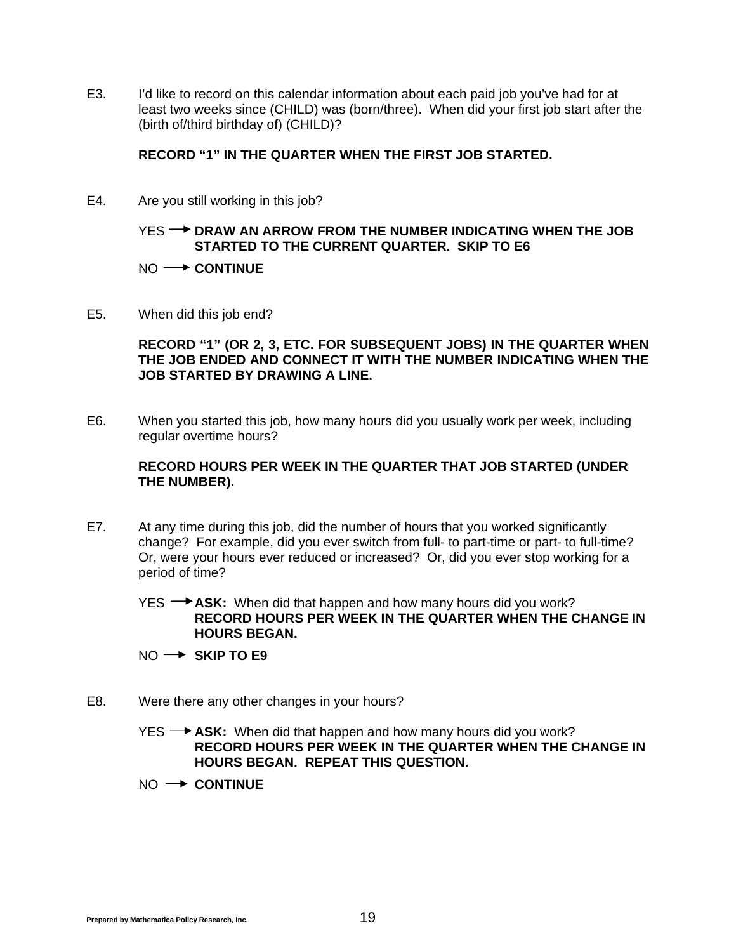E3. I'd like to record on this calendar information about each paid job you've had for at least two weeks since (CHILD) was (born/three). When did your first job start after the (birth of/third birthday of) (CHILD)?

#### **RECORD "1" IN THE QUARTER WHEN THE FIRST JOB STARTED.**

E4. Are you still working in this job?

#### YES **-- DRAW AN ARROW FROM THE NUMBER INDICATING WHEN THE JOB STARTED TO THE CURRENT QUARTER. SKIP TO E6**

#### NO  $\rightarrow$  **CONTINUE**

E5. When did this job end?

**RECORD "1" (OR 2, 3, ETC. FOR SUBSEQUENT JOBS) IN THE QUARTER WHEN THE JOB ENDED AND CONNECT IT WITH THE NUMBER INDICATING WHEN THE JOB STARTED BY DRAWING A LINE.** 

E6. When you started this job, how many hours did you usually work per week, including regular overtime hours?

#### **RECORD HOURS PER WEEK IN THE QUARTER THAT JOB STARTED (UNDER THE NUMBER).**

E7. At any time during this job, did the number of hours that you worked significantly change? For example, did you ever switch from full- to part-time or part- to full-time? Or, were your hours ever reduced or increased? Or, did you ever stop working for a period of time?

YES **+4SK:** When did that happen and how many hours did you work? **RECORD HOURS PER WEEK IN THE QUARTER WHEN THE CHANGE IN HOURS BEGAN.** 

- NO → SKIP TO E9
- E8. Were there any other changes in your hours?
	- YES → ASK: When did that happen and how many hours did you work? **RECORD HOURS PER WEEK IN THE QUARTER WHEN THE CHANGE IN HOURS BEGAN. REPEAT THIS QUESTION.**
	- $NO \rightarrow$  **CONTINUE**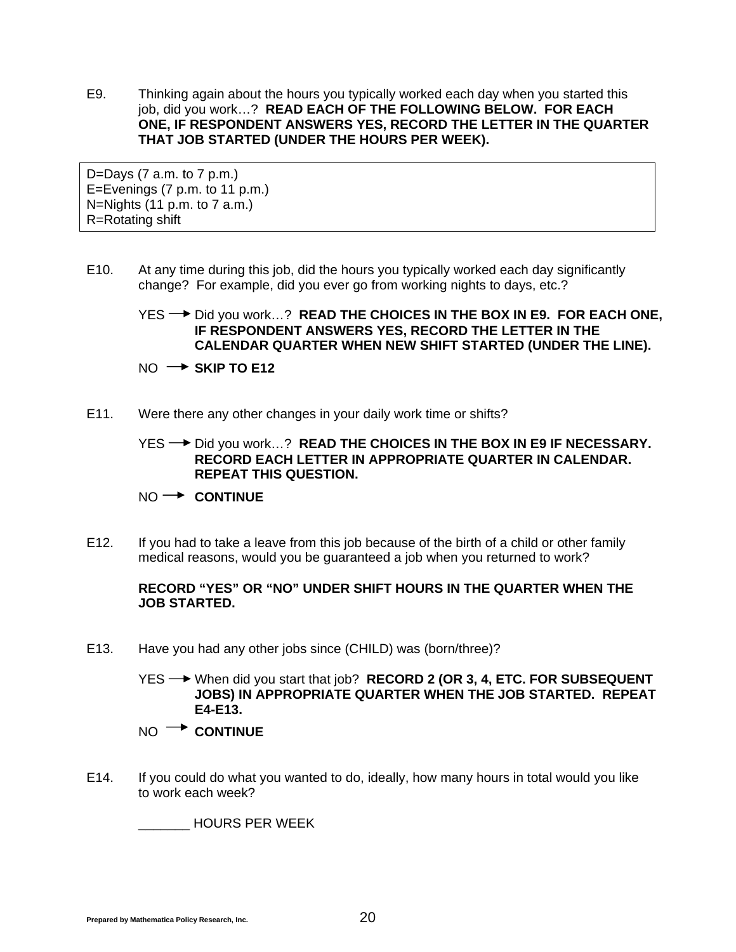E9. Thinking again about the hours you typically worked each day when you started this job, did you work…? **READ EACH OF THE FOLLOWING BELOW. FOR EACH ONE, IF RESPONDENT ANSWERS YES, RECORD THE LETTER IN THE QUARTER THAT JOB STARTED (UNDER THE HOURS PER WEEK).**

D=Days  $(7$  a.m. to  $7$  p.m.) E=Evenings (7 p.m. to 11 p.m.) N=Nights (11 p.m. to 7 a.m.) R=Rotating shift

E10. At any time during this job, did the hours you typically worked each day significantly change? For example, did you ever go from working nights to days, etc.?

### YES → Did you work...? **READ THE CHOICES IN THE BOX IN E9. FOR EACH ONE, IF RESPONDENT ANSWERS YES, RECORD THE LETTER IN THE CALENDAR QUARTER WHEN NEW SHIFT STARTED (UNDER THE LINE).**

 $NO \rightarrow$  SKIP TO E12

E11. Were there any other changes in your daily work time or shifts?

YES <sup>→</sup> Did you work…? **READ THE CHOICES IN THE BOX IN E9 IF NECESSARY. RECORD EACH LETTER IN APPROPRIATE QUARTER IN CALENDAR. REPEAT THIS QUESTION.**

#### NO  $\rightarrow$  **CONTINUE**

E12. If you had to take a leave from this job because of the birth of a child or other family medical reasons, would you be guaranteed a job when you returned to work?

#### **RECORD "YES" OR "NO" UNDER SHIFT HOURS IN THE QUARTER WHEN THE JOB STARTED.**

E13. Have you had any other jobs since (CHILD) was (born/three)?

 YES When did you start that job? **RECORD 2 (OR 3, 4, ETC. FOR SUBSEQUENT JOBS) IN APPROPRIATE QUARTER WHEN THE JOB STARTED. REPEAT E4-E13.**

- NO  $\rightarrow$  **CONTINUE**
- E14. If you could do what you wanted to do, ideally, how many hours in total would you like to work each week?

\_\_\_\_\_\_\_ HOURS PER WEEK

**Prepared by Mathematica Policy Research, Inc.** 20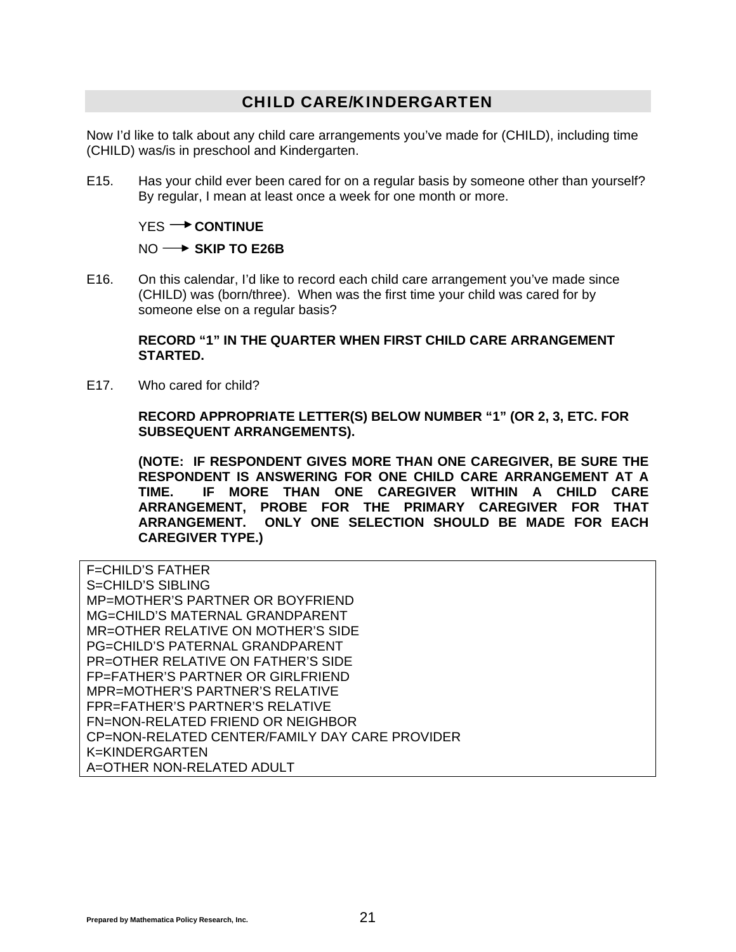### CHILD CARE/KINDERGARTEN

Now I'd like to talk about any child care arrangements you've made for (CHILD), including time (CHILD) was/is in preschool and Kindergarten.

E15. Has your child ever been cared for on a regular basis by someone other than yourself? By regular, I mean at least once a week for one month or more.

#### YES<sup>-></sup> CONTINUE

#### NO  $\rightarrow$  SKIP TO E26B

E16. On this calendar, I'd like to record each child care arrangement you've made since (CHILD) was (born/three). When was the first time your child was cared for by someone else on a regular basis?

#### **RECORD "1" IN THE QUARTER WHEN FIRST CHILD CARE ARRANGEMENT STARTED.**

E17. Who cared for child?

**RECORD APPROPRIATE LETTER(S) BELOW NUMBER "1" (OR 2, 3, ETC. FOR SUBSEQUENT ARRANGEMENTS).** 

**(NOTE: IF RESPONDENT GIVES MORE THAN ONE CAREGIVER, BE SURE THE RESPONDENT IS ANSWERING FOR ONE CHILD CARE ARRANGEMENT AT A TIME. IF MORE THAN ONE CAREGIVER WITHIN A CHILD CARE ARRANGEMENT, PROBE FOR THE PRIMARY CAREGIVER FOR THAT ARRANGEMENT. ONLY ONE SELECTION SHOULD BE MADE FOR EACH CAREGIVER TYPE.)** 

F=CHILD'S FATHER S=CHILD'S SIBLING MP=MOTHER'S PARTNER OR BOYFRIEND MG=CHILD'S MATERNAL GRANDPARENT MR=OTHER RELATIVE ON MOTHER'S SIDE PG=CHILD'S PATERNAL GRANDPARENT PR=OTHER RELATIVE ON FATHER'S SIDE FP=FATHER'S PARTNER OR GIRLFRIEND MPR=MOTHER'S PARTNER'S RELATIVE FPR=FATHER'S PARTNER'S RELATIVE FN=NON-RELATED FRIEND OR NEIGHBOR CP=NON-RELATED CENTER/FAMILY DAY CARE PROVIDER K=KINDERGARTEN A=OTHER NON-RELATED ADULT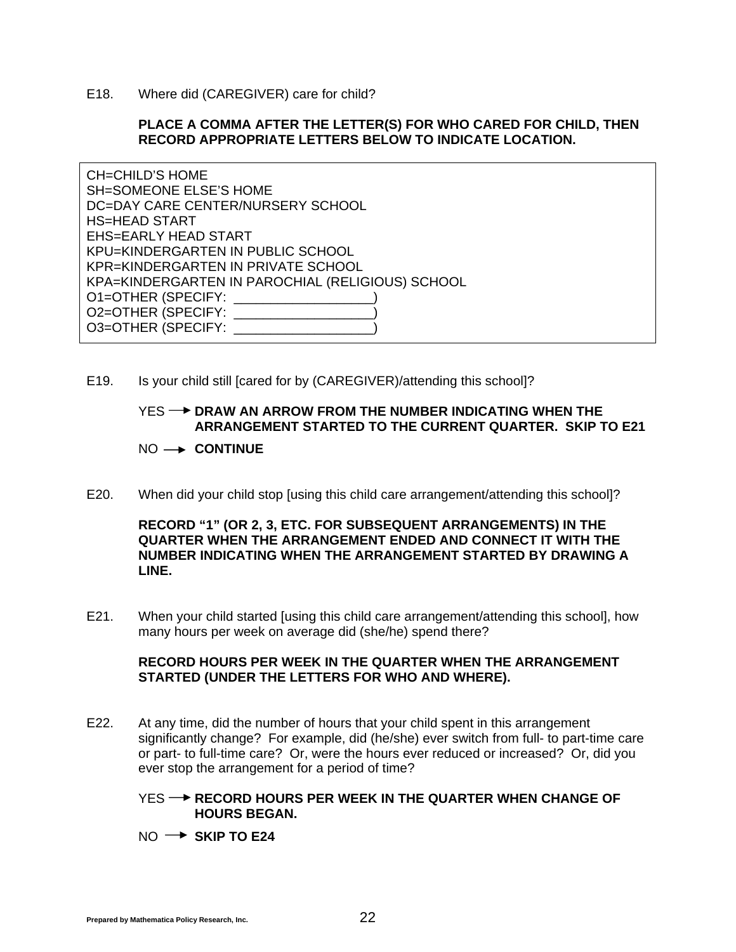E18. Where did (CAREGIVER) care for child?

#### **PLACE A COMMA AFTER THE LETTER(S) FOR WHO CARED FOR CHILD, THEN RECORD APPROPRIATE LETTERS BELOW TO INDICATE LOCATION.**

CH=CHILD'S HOME SH=SOMEONE ELSE'S HOME DC=DAY CARE CENTER/NURSERY SCHOOL HS=HEAD START EHS=EARLY HEAD START KPU=KINDERGARTEN IN PUBLIC SCHOOL KPR=KINDERGARTEN IN PRIVATE SCHOOL KPA=KINDERGARTEN IN PAROCHIAL (RELIGIOUS) SCHOOL O1=OTHER (SPECIFY: \_\_\_\_\_\_\_\_\_\_\_\_\_\_\_\_\_\_\_) O2=OTHER (SPECIFY: \_\_\_\_\_\_\_ O3=OTHER (SPECIFY: \_\_\_\_\_

E19. Is your child still [cared for by (CAREGIVER)/attending this school]?

#### YES **-- DRAW AN ARROW FROM THE NUMBER INDICATING WHEN THE ARRANGEMENT STARTED TO THE CURRENT QUARTER. SKIP TO E21**

#### NO  $\rightarrow$  **CONTINUE**

E20. When did your child stop [using this child care arrangement/attending this school]?

#### **RECORD "1" (OR 2, 3, ETC. FOR SUBSEQUENT ARRANGEMENTS) IN THE QUARTER WHEN THE ARRANGEMENT ENDED AND CONNECT IT WITH THE NUMBER INDICATING WHEN THE ARRANGEMENT STARTED BY DRAWING A LINE.**

E21. When your child started [using this child care arrangement/attending this school], how many hours per week on average did (she/he) spend there?

#### **RECORD HOURS PER WEEK IN THE QUARTER WHEN THE ARRANGEMENT STARTED (UNDER THE LETTERS FOR WHO AND WHERE).**

- E22. At any time, did the number of hours that your child spent in this arrangement significantly change? For example, did (he/she) ever switch from full- to part-time care or part- to full-time care? Or, were the hours ever reduced or increased? Or, did you ever stop the arrangement for a period of time?
	- YES **-- P RECORD HOURS PER WEEK IN THE QUARTER WHEN CHANGE OF HOURS BEGAN.**
	- $NO \rightarrow$  SKIP TO E24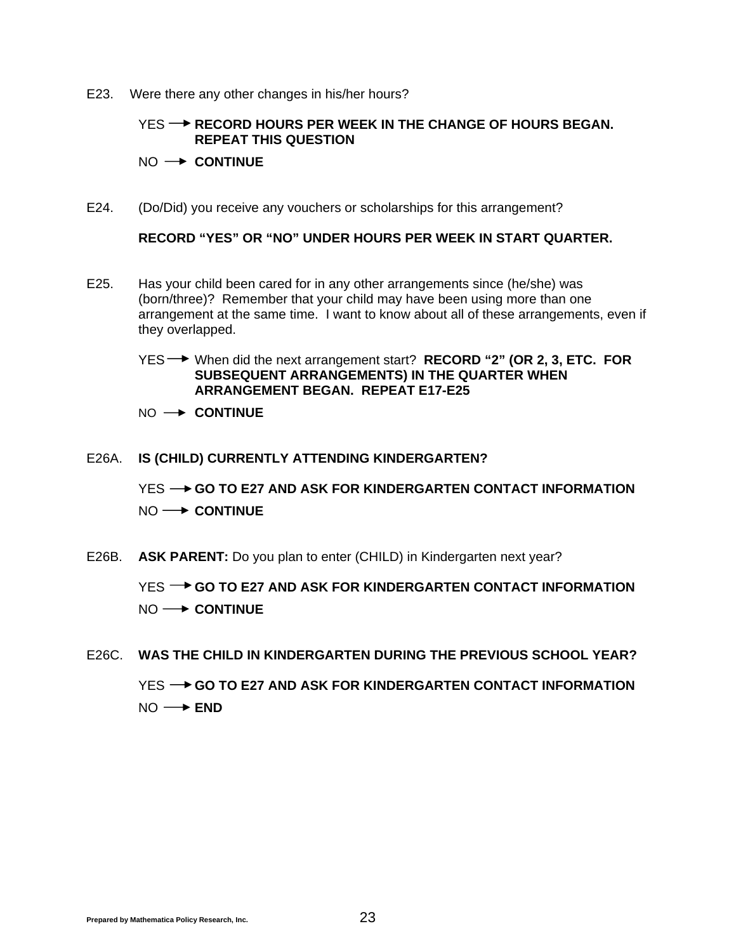E23. Were there any other changes in his/her hours?

#### **YES → RECORD HOURS PER WEEK IN THE CHANGE OF HOURS BEGAN. REPEAT THIS QUESTION**

#### $NO \rightarrow$  **CONTINUE**

E24. (Do/Did) you receive any vouchers or scholarships for this arrangement?

**RECORD "YES" OR "NO" UNDER HOURS PER WEEK IN START QUARTER.** 

- E25. Has your child been cared for in any other arrangements since (he/she) was (born/three)? Remember that your child may have been using more than one arrangement at the same time. I want to know about all of these arrangements, even if they overlapped.
	- YES When did the next arrangement start? **RECORD "2" (OR 2, 3, ETC. FOR SUBSEQUENT ARRANGEMENTS) IN THE QUARTER WHEN ARRANGEMENT BEGAN. REPEAT E17-E25**
	- $NO \rightarrow$  **CONTINUE**

#### E26A. **IS (CHILD) CURRENTLY ATTENDING KINDERGARTEN?**

YES **-- GO TO E27 AND ASK FOR KINDERGARTEN CONTACT INFORMATION**  $NO \longrightarrow$  **CONTINUE** 

E26B. **ASK PARENT:** Do you plan to enter (CHILD) in Kindergarten next year?

YES **-> GO TO E27 AND ASK FOR KINDERGARTEN CONTACT INFORMATION** NO  $\rightarrow$  **CONTINUE** 

E26C. **WAS THE CHILD IN KINDERGARTEN DURING THE PREVIOUS SCHOOL YEAR?** YES **-- GO TO E27 AND ASK FOR KINDERGARTEN CONTACT INFORMATION** 

NO **→ END**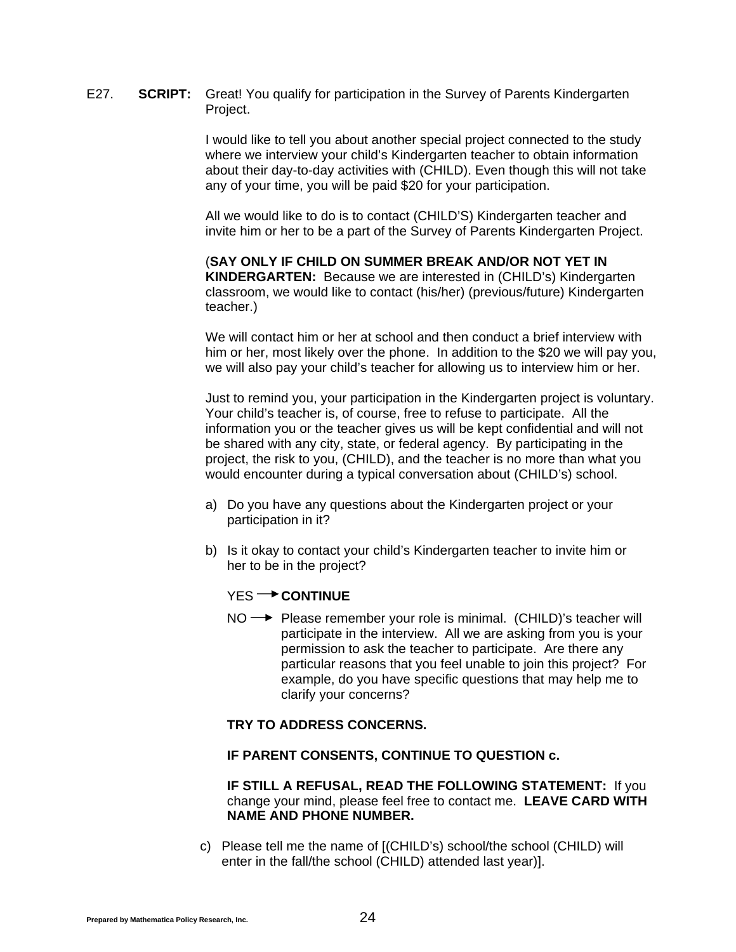E27. **SCRIPT:** Great! You qualify for participation in the Survey of Parents Kindergarten Project.

> I would like to tell you about another special project connected to the study where we interview your child's Kindergarten teacher to obtain information about their day-to-day activities with (CHILD). Even though this will not take any of your time, you will be paid \$20 for your participation.

> All we would like to do is to contact (CHILD'S) Kindergarten teacher and invite him or her to be a part of the Survey of Parents Kindergarten Project.

> (**SAY ONLY IF CHILD ON SUMMER BREAK AND/OR NOT YET IN KINDERGARTEN:** Because we are interested in (CHILD's) Kindergarten classroom, we would like to contact (his/her) (previous/future) Kindergarten teacher.)

 We will contact him or her at school and then conduct a brief interview with him or her, most likely over the phone. In addition to the \$20 we will pay you, we will also pay your child's teacher for allowing us to interview him or her.

Just to remind you, your participation in the Kindergarten project is voluntary. Your child's teacher is, of course, free to refuse to participate. All the information you or the teacher gives us will be kept confidential and will not be shared with any city, state, or federal agency. By participating in the project, the risk to you, (CHILD), and the teacher is no more than what you would encounter during a typical conversation about (CHILD's) school.

- a) Do you have any questions about the Kindergarten project or your participation in it?
- b) Is it okay to contact your child's Kindergarten teacher to invite him or her to be in the project?

#### YES<sup>-></sup> CONTINUE

 $NO \rightarrow$  Please remember your role is minimal. (CHILD)'s teacher will participate in the interview. All we are asking from you is your permission to ask the teacher to participate. Are there any particular reasons that you feel unable to join this project? For example, do you have specific questions that may help me to clarify your concerns?

#### **TRY TO ADDRESS CONCERNS.**

#### **IF PARENT CONSENTS, CONTINUE TO QUESTION c.**

 **IF STILL A REFUSAL, READ THE FOLLOWING STATEMENT:** If you change your mind, please feel free to contact me. **LEAVE CARD WITH NAME AND PHONE NUMBER.**

c) Please tell me the name of [(CHILD's) school/the school (CHILD) will enter in the fall/the school (CHILD) attended last year)].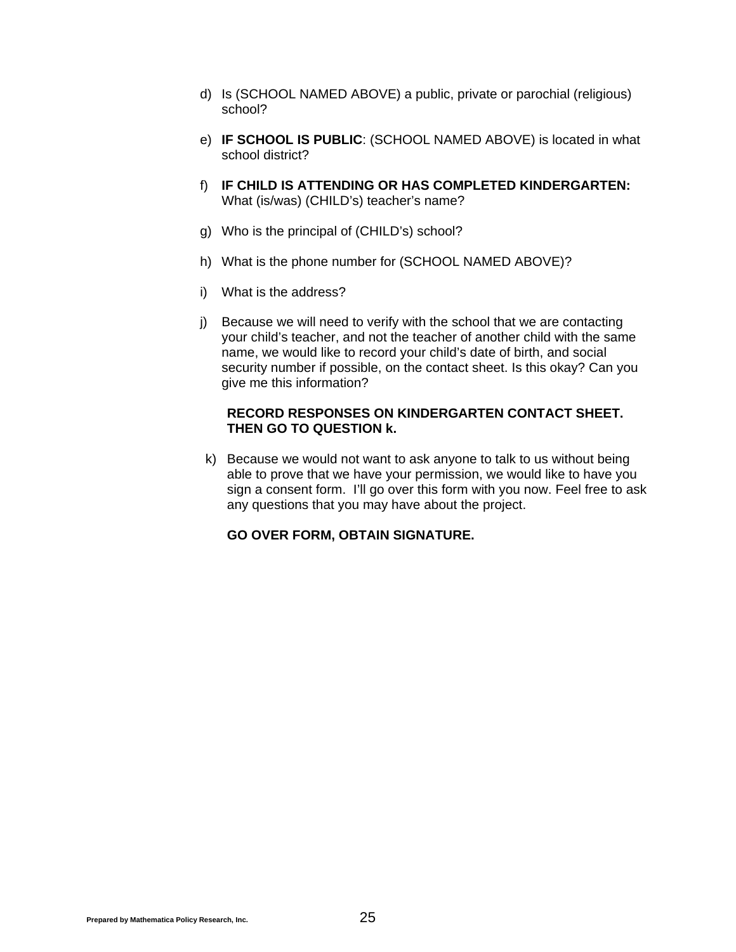- d) Is (SCHOOL NAMED ABOVE) a public, private or parochial (religious) school?
- e) **IF SCHOOL IS PUBLIC**: (SCHOOL NAMED ABOVE) is located in what school district?
- f) **IF CHILD IS ATTENDING OR HAS COMPLETED KINDERGARTEN:** What (is/was) (CHILD's) teacher's name?
- g) Who is the principal of (CHILD's) school?
- h) What is the phone number for (SCHOOL NAMED ABOVE)?
- i) What is the address?
- j) Because we will need to verify with the school that we are contacting your child's teacher, and not the teacher of another child with the same name, we would like to record your child's date of birth, and social security number if possible, on the contact sheet. Is this okay? Can you give me this information?

#### **RECORD RESPONSES ON KINDERGARTEN CONTACT SHEET. THEN GO TO QUESTION k.**

 k) Because we would not want to ask anyone to talk to us without being able to prove that we have your permission, we would like to have you sign a consent form. I'll go over this form with you now. Feel free to ask any questions that you may have about the project.

#### **GO OVER FORM, OBTAIN SIGNATURE.**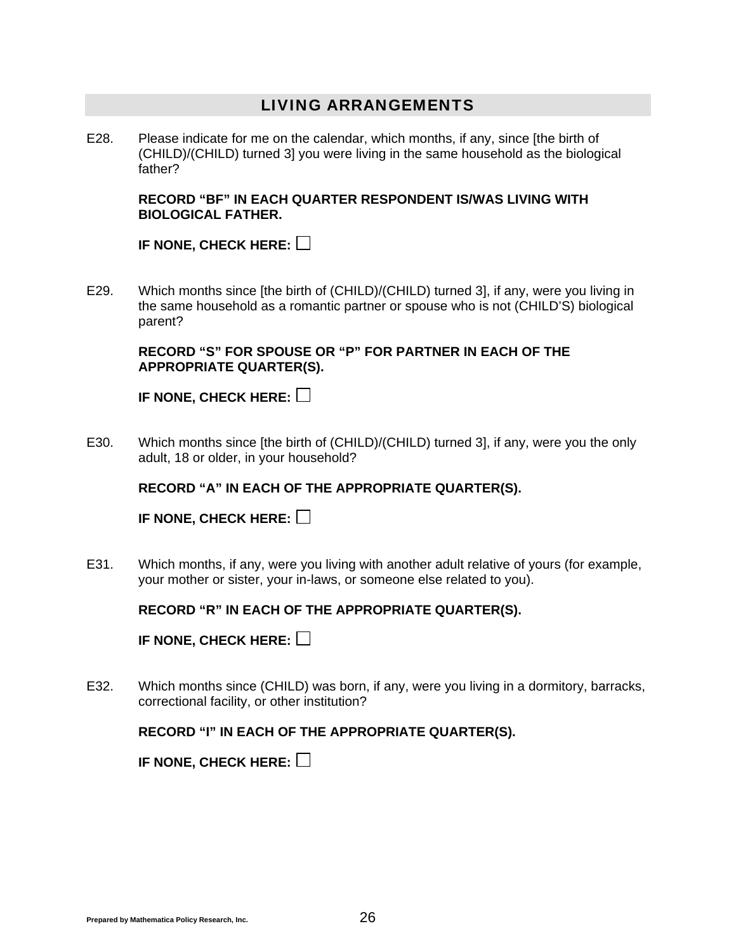#### LIVING ARRANGEMENTS

E28. Please indicate for me on the calendar, which months, if any, since [the birth of (CHILD)/(CHILD) turned 3] you were living in the same household as the biological father?

**RECORD "BF" IN EACH QUARTER RESPONDENT IS/WAS LIVING WITH BIOLOGICAL FATHER.** 

**IF NONE, CHECK HERE:**

E29. Which months since [the birth of (CHILD)/(CHILD) turned 3], if any, were you living in the same household as a romantic partner or spouse who is not (CHILD'S) biological parent?

**RECORD "S" FOR SPOUSE OR "P" FOR PARTNER IN EACH OF THE APPROPRIATE QUARTER(S).** 

**IF NONE, CHECK HERE:**

E30. Which months since [the birth of (CHILD)/(CHILD) turned 3], if any, were you the only adult, 18 or older, in your household?

 **RECORD "A" IN EACH OF THE APPROPRIATE QUARTER(S).** 

**IF NONE, CHECK HERE:**

E31. Which months, if any, were you living with another adult relative of yours (for example, your mother or sister, your in-laws, or someone else related to you).

**RECORD "R" IN EACH OF THE APPROPRIATE QUARTER(S).** 

**IF NONE, CHECK HERE:**

E32. Which months since (CHILD) was born, if any, were you living in a dormitory, barracks, correctional facility, or other institution?

#### **RECORD "I" IN EACH OF THE APPROPRIATE QUARTER(S).**

**IF NONE, CHECK HERE:**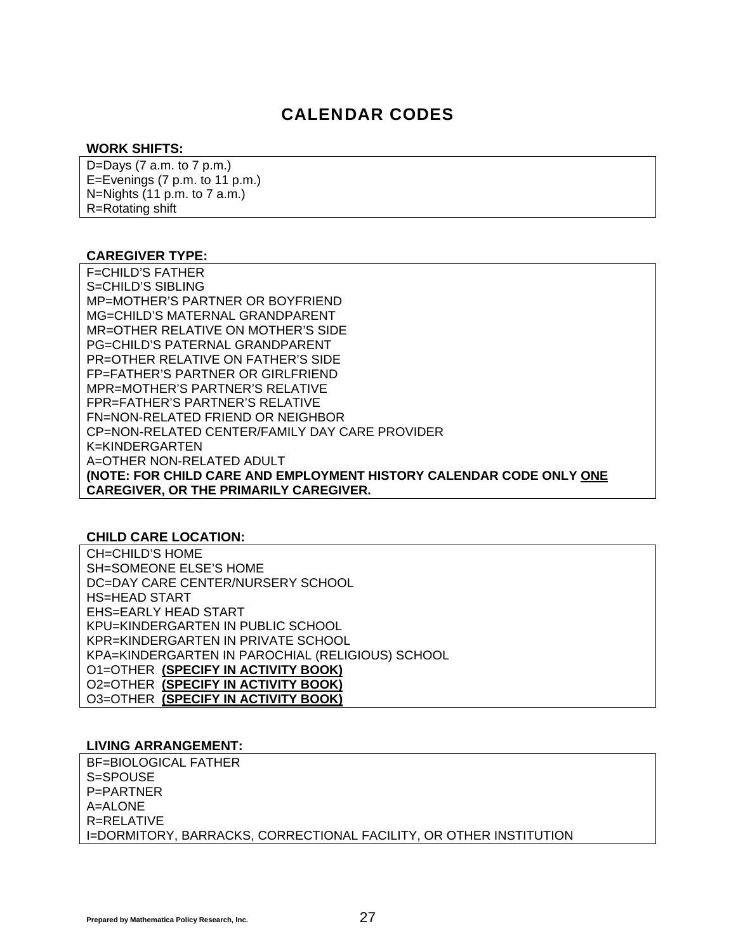## CALENDAR CODES

#### **WORK SHIFTS:**

D=Days (7 a.m. to 7 p.m.) E=Evenings (7 p.m. to 11 p.m.) N=Nights (11 p.m. to 7 a.m.) R=Rotating shift

#### **CAREGIVER TYPE:**

F=CHILD'S FATHER S=CHILD'S SIBLING MP=MOTHER'S PARTNER OR BOYFRIEND MG=CHILD'S MATERNAL GRANDPARENT MR=OTHER RELATIVE ON MOTHER'S SIDE PG=CHILD'S PATERNAL GRANDPARENT PR=OTHER RELATIVE ON FATHER'S SIDE FP=FATHER'S PARTNER OR GIRLFRIEND MPR=MOTHER'S PARTNER'S RELATIVE FPR=FATHER'S PARTNER'S RELATIVE FN=NON-RELATED FRIEND OR NEIGHBOR CP=NON-RELATED CENTER/FAMILY DAY CARE PROVIDER K=KINDERGARTEN A=OTHER NON-RELATED ADULT **(NOTE: FOR CHILD CARE AND EMPLOYMENT HISTORY CALENDAR CODE ONLY ONE CAREGIVER, OR THE PRIMARILY CAREGIVER.** 

#### **CHILD CARE LOCATION:**

CH=CHILD'S HOME SH=SOMEONE ELSE'S HOME DC=DAY CARE CENTER/NURSERY SCHOOL HS=HEAD START EHS=EARLY HEAD START KPU=KINDERGARTEN IN PUBLIC SCHOOL KPR=KINDERGARTEN IN PRIVATE SCHOOL KPA=KINDERGARTEN IN PAROCHIAL (RELIGIOUS) SCHOOL O1=OTHER **(SPECIFY IN ACTIVITY BOOK)** O2=OTHER **(SPECIFY IN ACTIVITY BOOK)** O3=OTHER **(SPECIFY IN ACTIVITY BOOK)**

#### **LIVING ARRANGEMENT:**

BF=BIOLOGICAL FATHER S=SPOUSE P=PARTNER A=ALONE R=RELATIVE I=DORMITORY, BARRACKS, CORRECTIONAL FACILITY, OR OTHER INSTITUTION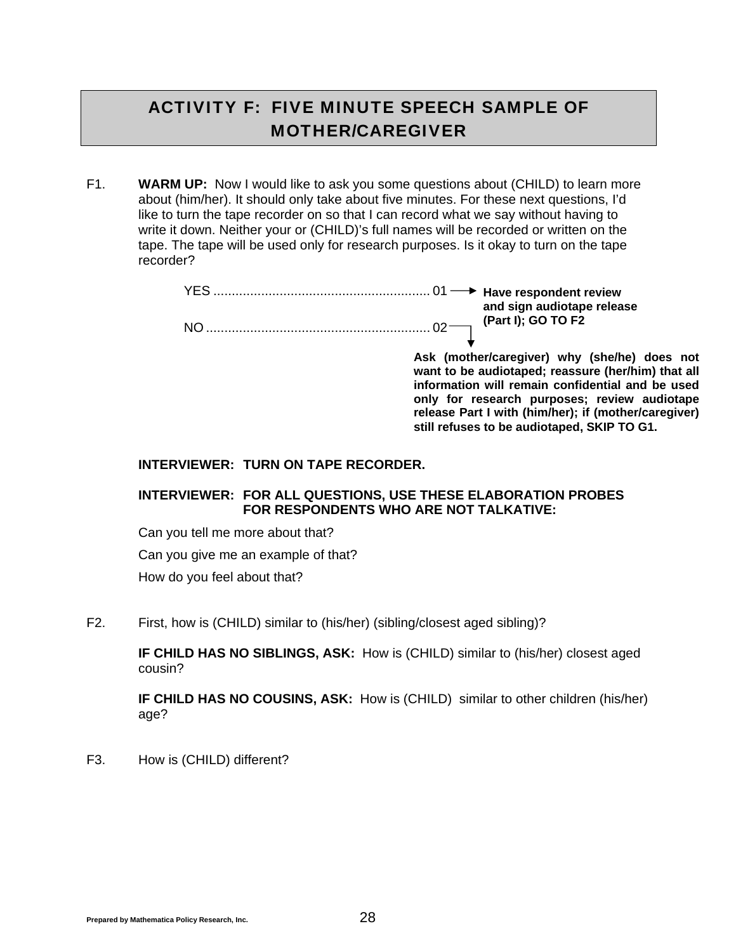## ACTIVITY F: FIVE MINUTE SPEECH SAMPLE OF MOTHER/CAREGIVER

F1. **WARM UP:** Now I would like to ask you some questions about (CHILD) to learn more about (him/her). It should only take about five minutes. For these next questions, I'd like to turn the tape recorder on so that I can record what we say without having to write it down. Neither your or (CHILD)'s full names will be recorded or written on the tape. The tape will be used only for research purposes. Is it okay to turn on the tape recorder?

|    | and sign audiotape release |
|----|----------------------------|
| NK | (Part I); GO TO F2         |

**Ask (mother/caregiver) why (she/he) does not want to be audiotaped; reassure (her/him) that all information will remain confidential and be used only for research purposes; review audiotape release Part I with (him/her); if (mother/caregiver) still refuses to be audiotaped, SKIP TO G1.** 

#### **INTERVIEWER: TURN ON TAPE RECORDER.**

#### **INTERVIEWER: FOR ALL QUESTIONS, USE THESE ELABORATION PROBES FOR RESPONDENTS WHO ARE NOT TALKATIVE:**

Can you tell me more about that?

Can you give me an example of that?

How do you feel about that?

F2. First, how is (CHILD) similar to (his/her) (sibling/closest aged sibling)?

**IF CHILD HAS NO SIBLINGS, ASK:** How is (CHILD) similar to (his/her) closest aged cousin?

**IF CHILD HAS NO COUSINS, ASK:** How is (CHILD) similar to other children (his/her) age?

F3. How is (CHILD) different?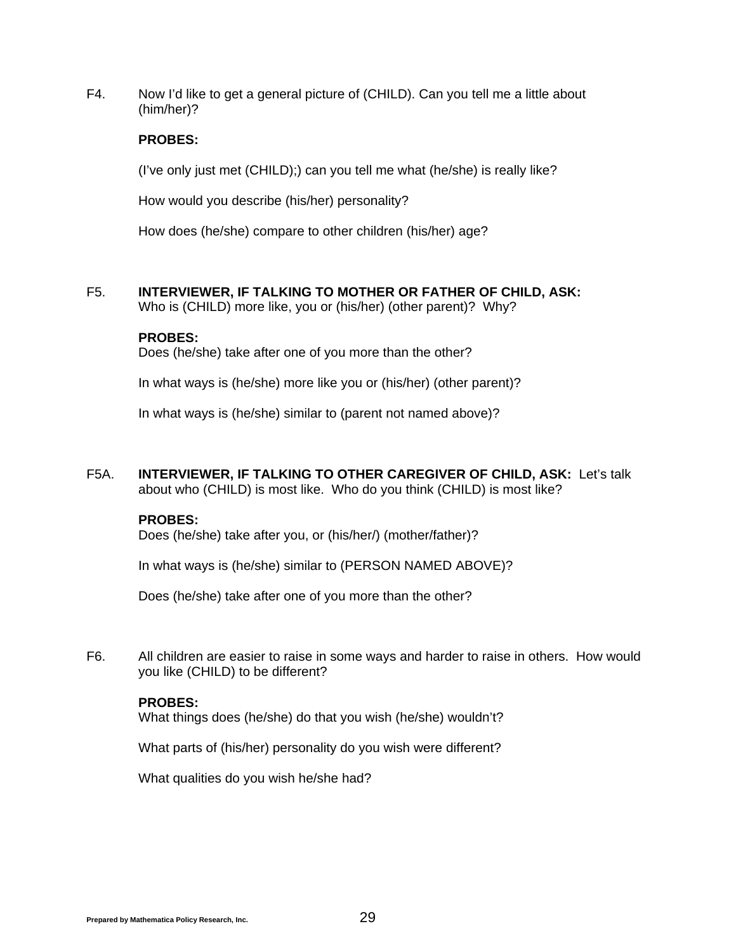F4. Now I'd like to get a general picture of (CHILD). Can you tell me a little about (him/her)?

#### **PROBES:**

(I've only just met (CHILD);) can you tell me what (he/she) is really like?

How would you describe (his/her) personality?

How does (he/she) compare to other children (his/her) age?

F5. **INTERVIEWER, IF TALKING TO MOTHER OR FATHER OF CHILD, ASK:** 

Who is (CHILD) more like, you or (his/her) (other parent)? Why?

#### **PROBES:**

Does (he/she) take after one of you more than the other?

In what ways is (he/she) more like you or (his/her) (other parent)?

In what ways is (he/she) similar to (parent not named above)?

F5A. **INTERVIEWER, IF TALKING TO OTHER CAREGIVER OF CHILD, ASK:** Let's talk about who (CHILD) is most like. Who do you think (CHILD) is most like?

#### **PROBES:**

Does (he/she) take after you, or (his/her/) (mother/father)?

In what ways is (he/she) similar to (PERSON NAMED ABOVE)?

Does (he/she) take after one of you more than the other?

F6. All children are easier to raise in some ways and harder to raise in others. How would you like (CHILD) to be different?

#### **PROBES:**

What things does (he/she) do that you wish (he/she) wouldn't?

What parts of (his/her) personality do you wish were different?

What qualities do you wish he/she had?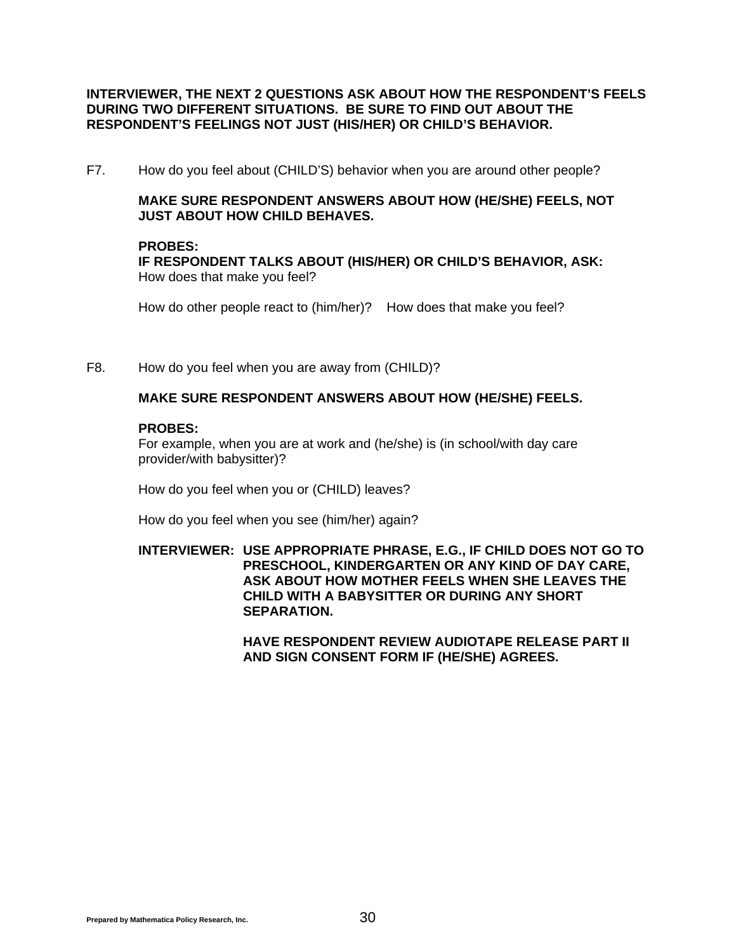#### **INTERVIEWER, THE NEXT 2 QUESTIONS ASK ABOUT HOW THE RESPONDENT'S FEELS DURING TWO DIFFERENT SITUATIONS. BE SURE TO FIND OUT ABOUT THE RESPONDENT'S FEELINGS NOT JUST (HIS/HER) OR CHILD'S BEHAVIOR.**

F7. How do you feel about (CHILD'S) behavior when you are around other people?

#### **MAKE SURE RESPONDENT ANSWERS ABOUT HOW (HE/SHE) FEELS, NOT JUST ABOUT HOW CHILD BEHAVES.**

#### **PROBES:**

**IF RESPONDENT TALKS ABOUT (HIS/HER) OR CHILD'S BEHAVIOR, ASK:** How does that make you feel?

How do other people react to (him/her)? How does that make you feel?

F8. How do you feel when you are away from (CHILD)?

#### **MAKE SURE RESPONDENT ANSWERS ABOUT HOW (HE/SHE) FEELS.**

#### **PROBES:**

 For example, when you are at work and (he/she) is (in school/with day care provider/with babysitter)?

How do you feel when you or (CHILD) leaves?

How do you feel when you see (him/her) again?

**INTERVIEWER: USE APPROPRIATE PHRASE, E.G., IF CHILD DOES NOT GO TO PRESCHOOL, KINDERGARTEN OR ANY KIND OF DAY CARE, ASK ABOUT HOW MOTHER FEELS WHEN SHE LEAVES THE CHILD WITH A BABYSITTER OR DURING ANY SHORT SEPARATION.** 

> **HAVE RESPONDENT REVIEW AUDIOTAPE RELEASE PART II AND SIGN CONSENT FORM IF (HE/SHE) AGREES.**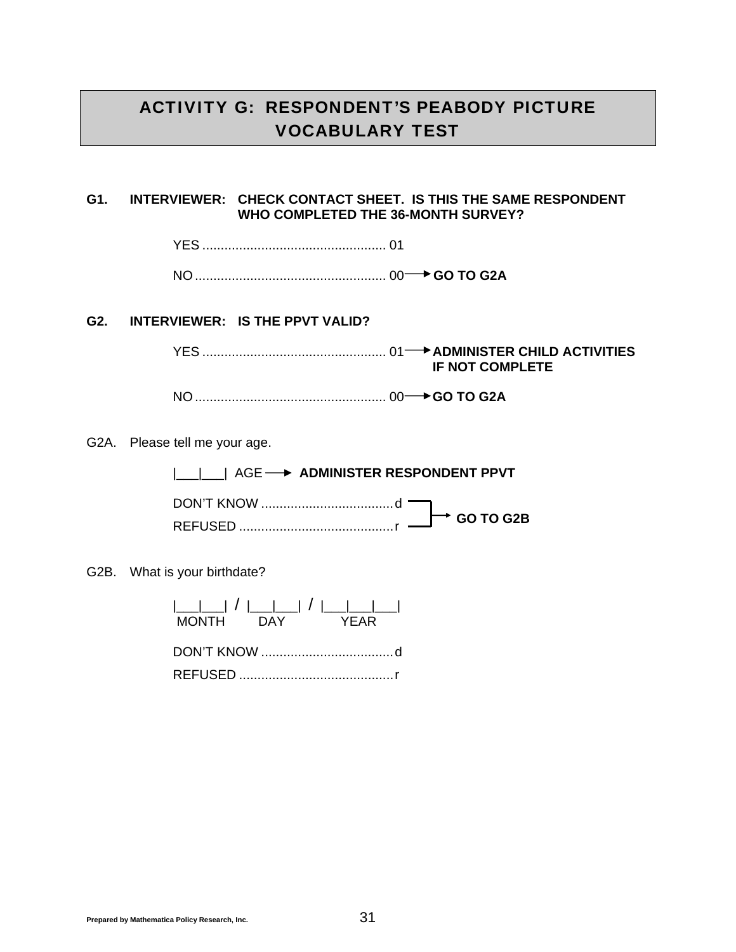## ACTIVITY G: RESPONDENT'S PEABODY PICTURE VOCABULARY TEST

#### **G1. INTERVIEWER: CHECK CONTACT SHEET. IS THIS THE SAME RESPONDENT WHO COMPLETED THE 36-MONTH SURVEY?**

YES .................................................. 01

NO .................................................... 00 **GO TO G2A**

#### **G2. INTERVIEWER: IS THE PPVT VALID?**

 YES .................................................. 01 **ADMINISTER CHILD ACTIVITIES IF NOT COMPLETE**

NO .................................................... 00 **GO TO G2A**

G2A. Please tell me your age.

|\_\_\_|\_\_\_| AGE **ADMINISTER RESPONDENT PPVT**

 DON'T KNOW .................................... d REFUSED .......................................... r **GO TO G2B**

G2B. What is your birthdate?

 |\_\_\_|\_\_\_| / |\_\_\_|\_\_\_| / |\_\_\_|\_\_\_|\_\_\_| MONTH DAY YEAR DON'T KNOW .................................... d

REFUSED .......................................... r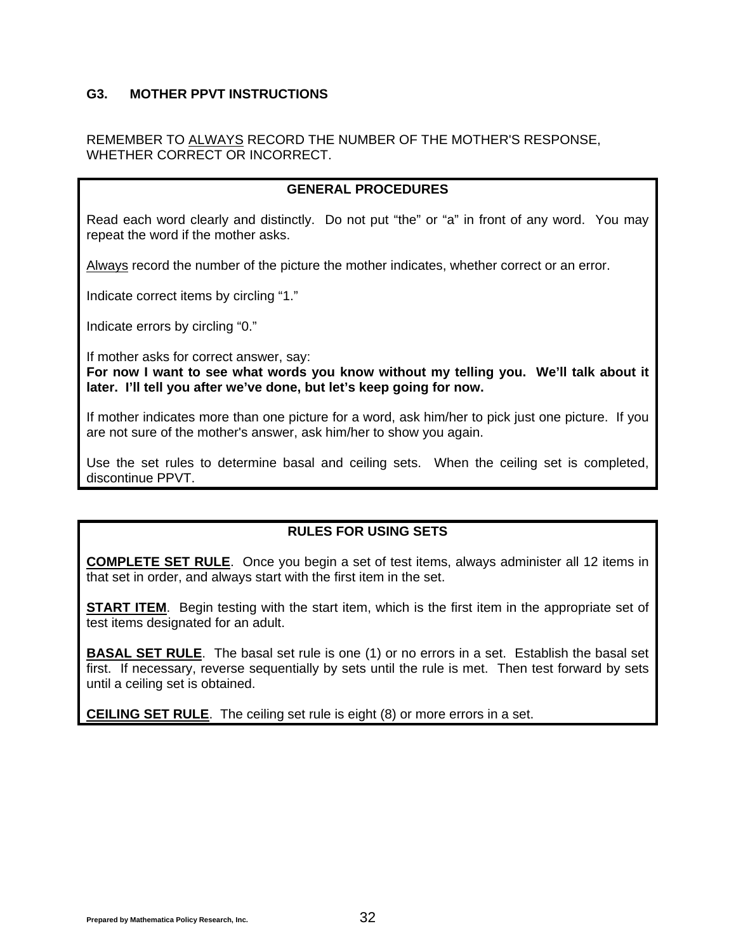#### **G3. MOTHER PPVT INSTRUCTIONS**

#### REMEMBER TO ALWAYS RECORD THE NUMBER OF THE MOTHER'S RESPONSE, WHETHER CORRECT OR INCORRECT.

#### **GENERAL PROCEDURES**

Read each word clearly and distinctly. Do not put "the" or "a" in front of any word. You may repeat the word if the mother asks.

Always record the number of the picture the mother indicates, whether correct or an error.

Indicate correct items by circling "1."

Indicate errors by circling "0."

If mother asks for correct answer, say:

**For now I want to see what words you know without my telling you. We'll talk about it later. I'll tell you after we've done, but let's keep going for now.**

If mother indicates more than one picture for a word, ask him/her to pick just one picture. If you are not sure of the mother's answer, ask him/her to show you again.

Use the set rules to determine basal and ceiling sets. When the ceiling set is completed, discontinue PPVT.

#### **RULES FOR USING SETS**

**COMPLETE SET RULE**. Once you begin a set of test items, always administer all 12 items in that set in order, and always start with the first item in the set.

**START ITEM**. Begin testing with the start item, which is the first item in the appropriate set of test items designated for an adult.

**BASAL SET RULE**. The basal set rule is one (1) or no errors in a set. Establish the basal set first. If necessary, reverse sequentially by sets until the rule is met. Then test forward by sets until a ceiling set is obtained.

**CEILING SET RULE**. The ceiling set rule is eight (8) or more errors in a set.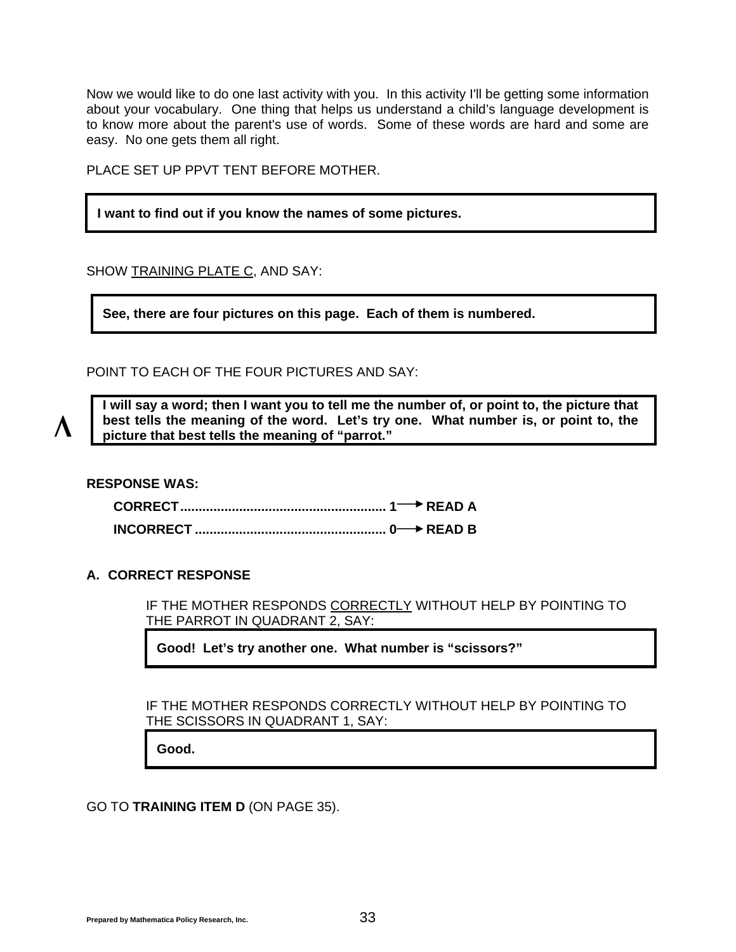Now we would like to do one last activity with you. In this activity I'll be getting some information about your vocabulary. One thing that helps us understand a child's language development is to know more about the parent's use of words. Some of these words are hard and some are easy. No one gets them all right.

PLACE SET UP PPVT TENT BEFORE MOTHER.

#### **I want to find out if you know the names of some pictures.**

SHOW TRAINING PLATE C, AND SAY:

**See, there are four pictures on this page. Each of them is numbered.** 

POINT TO EACH OF THE FOUR PICTURES AND SAY:

**I will say a word; then I want you to tell me the number of, or point to, the picture that best tells the meaning of the word. Let's try one. What number is, or point to, the picture that best tells the meaning of "parrot."** 

**RESPONSE WAS:** 

Λ

#### **A. CORRECT RESPONSE**

IF THE MOTHER RESPONDS CORRECTLY WITHOUT HELP BY POINTING TO THE PARROT IN QUADRANT 2, SAY:

**Good! Let's try another one. What number is "scissors?"** 

IF THE MOTHER RESPONDS CORRECTLY WITHOUT HELP BY POINTING TO THE SCISSORS IN QUADRANT 1, SAY:

**Good.** 

GO TO **TRAINING ITEM D** (ON PAGE [35](#page-36-0)).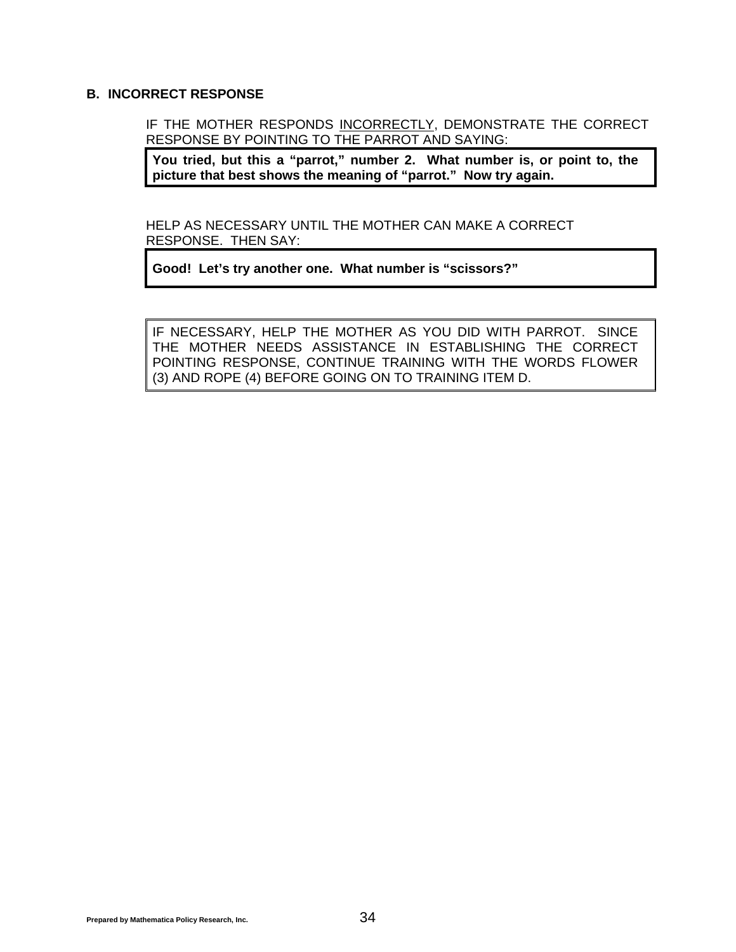#### **B. INCORRECT RESPONSE**

IF THE MOTHER RESPONDS INCORRECTLY, DEMONSTRATE THE CORRECT RESPONSE BY POINTING TO THE PARROT AND SAYING:

**You tried, but this a "parrot," number 2. What number is, or point to, the picture that best shows the meaning of "parrot." Now try again.** 

HELP AS NECESSARY UNTIL THE MOTHER CAN MAKE A CORRECT RESPONSE. THEN SAY:

**Good! Let's try another one. What number is "scissors?"** 

IF NECESSARY, HELP THE MOTHER AS YOU DID WITH PARROT. SINCE THE MOTHER NEEDS ASSISTANCE IN ESTABLISHING THE CORRECT POINTING RESPONSE, CONTINUE TRAINING WITH THE WORDS FLOWER (3) AND ROPE (4) BEFORE GOING ON TO TRAINING ITEM D.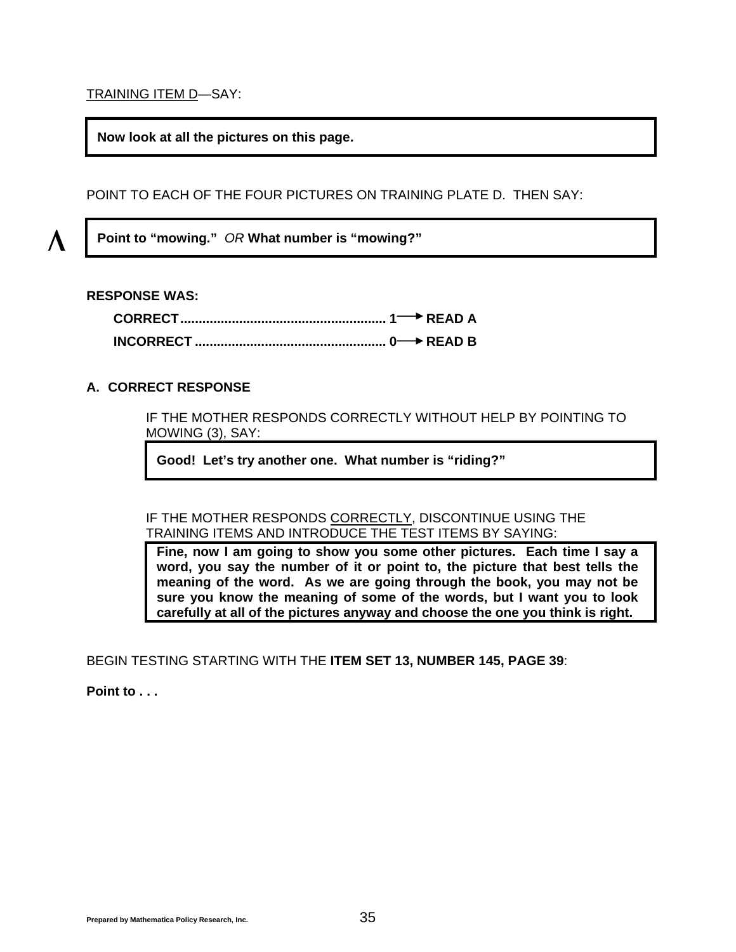<span id="page-36-0"></span>TRAINING ITEM D—SAY:

**Now look at all the pictures on this page.** 

POINT TO EACH OF THE FOUR PICTURES ON TRAINING PLATE D. THEN SAY:

**Point to "mowing."** *OR* **What number is "mowing?"** 

#### **RESPONSE WAS:**

Λ

#### **A. CORRECT RESPONSE**

IF THE MOTHER RESPONDS CORRECTLY WITHOUT HELP BY POINTING TO MOWING (3), SAY:

**Good! Let's try another one. What number is "riding?"** 

IF THE MOTHER RESPONDS CORRECTLY, DISCONTINUE USING THE TRAINING ITEMS AND INTRODUCE THE TEST ITEMS BY SAYING:

**Fine, now I am going to show you some other pictures. Each time I say a word, you say the number of it or point to, the picture that best tells the meaning of the word. As we are going through the book, you may not be sure you know the meaning of some of the words, but I want you to look carefully at all of the pictures anyway and choose the one you think is right.** 

BEGIN TESTING STARTING WITH THE **ITEM SET 13, NUMBER 145, PAGE [39](#page-40-0)**:

**Point to . . .**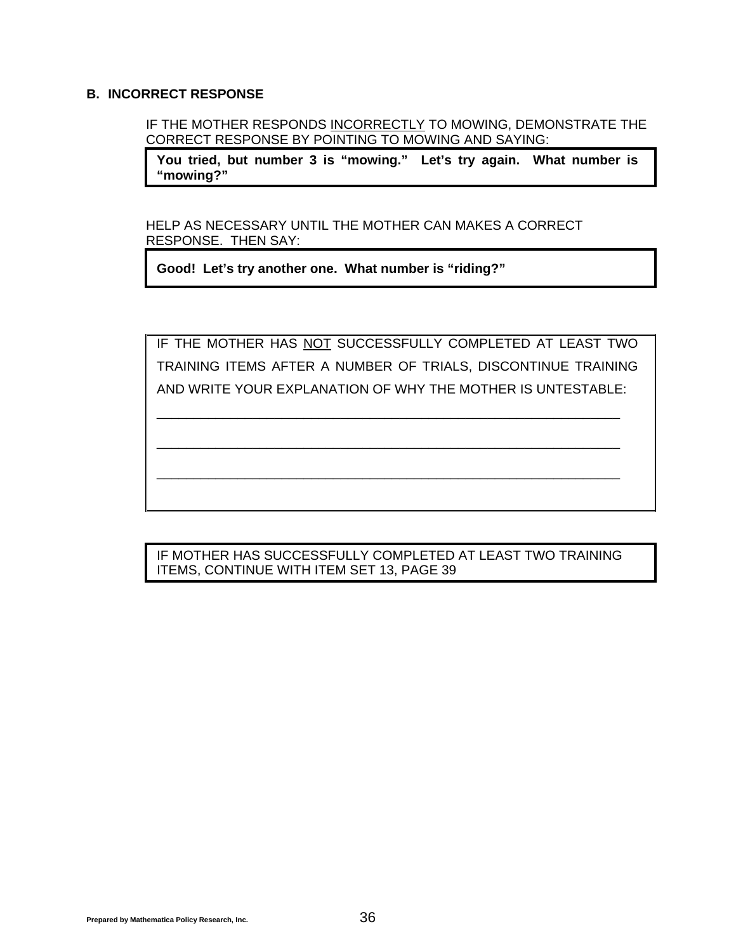#### **B. INCORRECT RESPONSE**

IF THE MOTHER RESPONDS INCORRECTLY TO MOWING, DEMONSTRATE THE CORRECT RESPONSE BY POINTING TO MOWING AND SAYING:

**You tried, but number 3 is "mowing." Let's try again. What number is "mowing?"** 

HELP AS NECESSARY UNTIL THE MOTHER CAN MAKES A CORRECT RESPONSE. THEN SAY:

**Good! Let's try another one. What number is "riding?"** 

IF THE MOTHER HAS NOT SUCCESSFULLY COMPLETED AT LEAST TWO TRAINING ITEMS AFTER A NUMBER OF TRIALS, DISCONTINUE TRAINING AND WRITE YOUR EXPLANATION OF WHY THE MOTHER IS UNTESTABLE:

\_\_\_\_\_\_\_\_\_\_\_\_\_\_\_\_\_\_\_\_\_\_\_\_\_\_\_\_\_\_\_\_\_\_\_\_\_\_\_\_\_\_\_\_\_\_\_\_\_\_\_\_\_\_\_\_\_\_\_\_\_\_\_

\_\_\_\_\_\_\_\_\_\_\_\_\_\_\_\_\_\_\_\_\_\_\_\_\_\_\_\_\_\_\_\_\_\_\_\_\_\_\_\_\_\_\_\_\_\_\_\_\_\_\_\_\_\_\_\_\_\_\_\_\_\_\_

\_\_\_\_\_\_\_\_\_\_\_\_\_\_\_\_\_\_\_\_\_\_\_\_\_\_\_\_\_\_\_\_\_\_\_\_\_\_\_\_\_\_\_\_\_\_\_\_\_\_\_\_\_\_\_\_\_\_\_\_\_\_\_

IF MOTHER HAS SUCCESSFULLY COMPLETED AT LEAST TWO TRAINING ITEMS, CONTINUE WITH ITEM SET 13, PAGE [39](#page-40-0)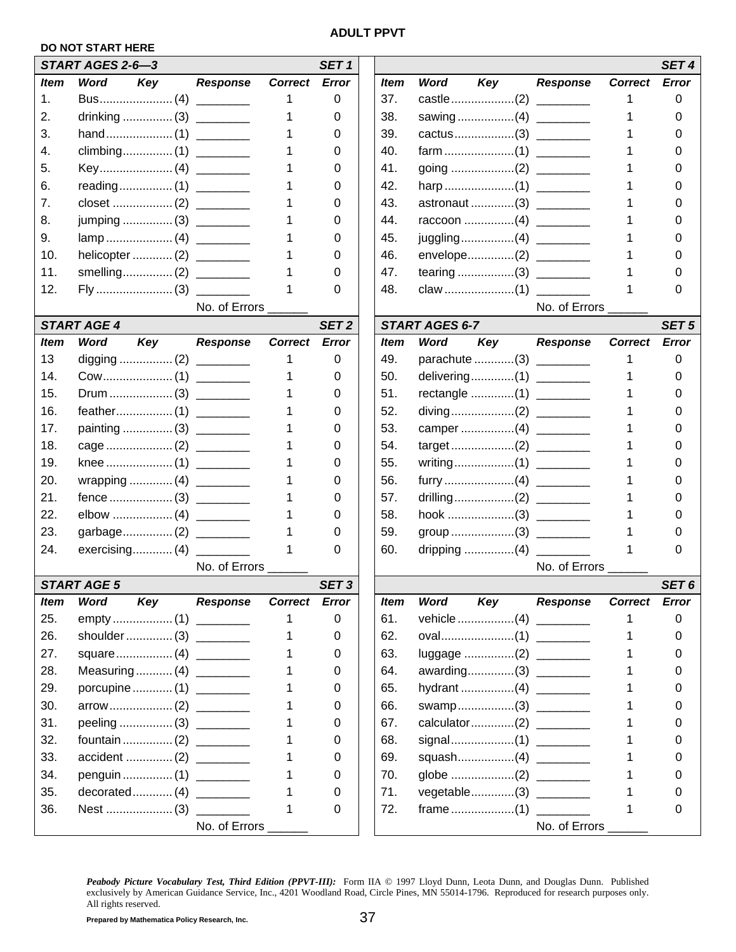#### **ADULT PPVT**

#### **DO NOT START HERE**

|             | START AGES 2-6-3        |                 |                | SET <sub>1</sub> |             |                       |                         |                 |                |
|-------------|-------------------------|-----------------|----------------|------------------|-------------|-----------------------|-------------------------|-----------------|----------------|
| <b>Item</b> | Word<br>Key             | <b>Response</b> | <b>Correct</b> | <b>Error</b>     | <i>Item</i> | Word                  | Key                     | <b>Response</b> | <b>Correct</b> |
| 1.          |                         |                 | 1              | 0                | 37.         |                       |                         |                 |                |
| 2.          |                         |                 | 1              | 0                | 38.         |                       |                         |                 |                |
| 3.          |                         |                 |                | 0                | 39.         |                       |                         |                 |                |
| 4.          |                         |                 |                | 0                | 40.         |                       |                         |                 |                |
| 5.          |                         |                 |                | 0                | 41.         |                       |                         |                 |                |
| 6.          |                         |                 | 1              | 0                | 42.         |                       |                         |                 |                |
| 7.          |                         |                 | 1              | 0                | 43.         |                       | astronaut(3)            |                 |                |
| 8.          | jumping  (3) ________   |                 |                | 0                | 44.         |                       |                         |                 |                |
| 9.          |                         |                 |                | 0                | 45.         |                       |                         |                 |                |
| 10.         |                         |                 |                | 0                | 46.         |                       | envelope(2) ________    |                 |                |
| 11.         |                         |                 | 1              | 0                | 47.         |                       |                         |                 |                |
| 12.         |                         |                 | 1              | 0                | 48.         |                       |                         |                 |                |
|             |                         | No. of Errors   |                |                  |             |                       |                         | No. of Errors   |                |
|             | <b>START AGE 4</b>      |                 |                | SET <sub>2</sub> |             | <b>START AGES 6-7</b> |                         |                 |                |
| <b>Item</b> | <b>Word</b><br>Key      | <b>Response</b> | <b>Correct</b> | <b>Error</b>     | <b>Item</b> | Word                  | Key                     | <b>Response</b> | <b>Correct</b> |
| 13          |                         |                 | 1              | 0                | 49.         |                       | parachute (3) _________ |                 |                |
| 14.         |                         |                 |                | 0                | 50.         |                       | delivering(1)           |                 |                |
| 15.         |                         |                 |                | 0                | 51.         |                       |                         |                 |                |
| 16.         |                         |                 |                | 0                | 52.         |                       |                         |                 |                |
| 17.         | painting  (3)           |                 |                | 0                | 53.         |                       |                         |                 |                |
| 18.         |                         |                 | 1              | 0                | 54.         |                       |                         |                 |                |
| 19.         |                         |                 | 1              | 0                | 55.         |                       |                         |                 |                |
| 20.         | wrapping  (4) ________  |                 | 1              | 0                | 56.         |                       |                         |                 |                |
| 21.         |                         |                 | 1              | 0                | 57.         |                       |                         |                 |                |
| 22.         |                         |                 |                | 0                | 58.         |                       |                         |                 |                |
| 23.         | garbage(2)              |                 | 1              | 0                | 59.         |                       |                         |                 |                |
| 24.         | exercising (4)          |                 | 1              | 0                | 60.         |                       | dripping (4) __________ |                 |                |
|             |                         | No. of Errors   |                |                  |             |                       |                         | No. of Errors   |                |
|             | <b>START AGE 5</b>      |                 |                | SET <sub>3</sub> |             |                       |                         |                 |                |
| <b>Item</b> | Word<br>Key             | <b>Response</b> | Correct Error  |                  | <b>Item</b> | <b>Word</b>           | Key                     | <b>Response</b> | <b>Correct</b> |
| 25.         |                         |                 |                | 0                | 61.         |                       |                         |                 |                |
| 26.         | shoulder (3)            |                 | 1              | 0                | 62.         |                       |                         |                 |                |
| 27.         |                         |                 | 1              | 0                | 63.         |                       | luggage (2) ________    |                 |                |
| 28.         | Measuring (4) _______   |                 | 1              | 0                | 64.         |                       | awarding(3) _______     |                 |                |
| 29.         | porcupine  (1) ________ |                 | 1              | 0                | 65.         |                       |                         |                 |                |
| 30.         |                         |                 | 1              | 0                | 66.         |                       | swamp(3) ________       |                 |                |
| 31.         | peeling  (3)            |                 | 1              | 0                | 67.         |                       |                         |                 |                |
| 32.         | fountain  (2)           |                 | 1              | 0                | 68.         |                       |                         |                 |                |
| 33.         |                         |                 | 1              | 0                | 69.         |                       | squash(4) ________      |                 |                |
| 34.         | penguin  (1)            |                 |                | 0                | 70.         |                       |                         |                 |                |
| 35.         |                         |                 | 1              | 0                | 71.         |                       | vegetable(3)            |                 |                |
| 36.         |                         |                 | 1              | 0                | 72.         |                       |                         |                 |                |
|             |                         | No. of Errors   |                |                  |             |                       |                         | No. of Errors   |                |

|             | DU NUI SIARI HERE         |                 |                |                  |             |                         |                 |                |                  |
|-------------|---------------------------|-----------------|----------------|------------------|-------------|-------------------------|-----------------|----------------|------------------|
|             | START AGES 2-6-3          |                 |                | SET <sub>1</sub> |             |                         |                 |                | SET <sub>4</sub> |
| <b>Item</b> | <b>Word</b><br>Key        | <b>Response</b> | <b>Correct</b> | Error            | <b>Item</b> | <b>Word</b><br>Key      | <b>Response</b> | <b>Correct</b> | <b>Error</b>     |
| 1.          |                           |                 |                | 0                | 37.         |                         |                 |                | 0                |
| 2.          |                           |                 |                | 0                | 38.         | sawing(4) ________      |                 |                | 0                |
| 3.          |                           |                 |                | 0                | 39.         |                         |                 |                | 0                |
| 4.          |                           |                 |                | 0                | 40.         |                         |                 |                | O                |
| 5.          |                           |                 |                | 0                | 41.         |                         |                 |                | 0                |
| 6.          |                           |                 |                | 0                | 42.         |                         |                 |                | 0                |
| 7.          |                           |                 |                | 0                | 43.         | astronaut(3)            |                 |                | 0                |
| 8.          | jumping  (3) ________     |                 |                | 0                | 44.         | raccoon (4) _________   |                 |                | 0                |
| 9.          |                           |                 |                | 0                | 45.         |                         |                 |                | 0                |
| 10.         | helicopter  (2) _________ |                 |                | 0                | 46.         | envelope(2) ________    |                 |                | 0                |
| 11.         |                           |                 |                | 0                | 47.         |                         |                 |                | 0                |
| 12.         |                           |                 |                | 0                | 48.         |                         |                 |                | 0                |
|             |                           | No. of Errors   |                |                  |             |                         | No. of Errors   |                |                  |
|             | <b>START AGE 4</b>        |                 |                | SET <sub>2</sub> |             | <b>START AGES 6-7</b>   |                 |                | SET <sub>5</sub> |
| <b>Item</b> | <b>Word</b><br>Key        | <b>Response</b> | <b>Correct</b> | Error            | <b>Item</b> | <b>Word</b><br>Key      | <b>Response</b> | <b>Correct</b> | Error            |
| 13          |                           |                 |                | 0                | 49.         | parachute (3) _________ |                 |                | 0                |
| 14.         |                           |                 |                | 0                | 50.         | delivering(1) ________  |                 |                | 0                |
| 15.         |                           |                 |                | 0                | 51.         |                         |                 |                | 0                |
| 16.         |                           |                 |                | 0                | 52.         |                         |                 |                | O                |
| 17.         | painting  (3)             |                 |                | 0                | 53.         |                         |                 |                | O                |
| 18.         |                           |                 |                | 0                | 54.         |                         |                 |                | 0                |
| 19.         |                           |                 |                | 0                | 55.         |                         |                 |                | 0                |
| 20.         | wrapping  (4) _________   |                 |                | 0                | 56.         |                         |                 |                | 0                |
| 21.         |                           |                 |                | 0                | 57.         |                         |                 |                | 0                |
| 22.         |                           |                 |                | 0                | 58.         |                         |                 |                | 0                |
| 23.         | garbage(2)                |                 |                | 0                | 59.         |                         |                 |                | 0                |
| 24.         | exercising (4)            |                 |                | 0                | 60.         |                         |                 |                | 0                |
|             |                           | No. of Errors   |                |                  |             |                         | No. of Errors   |                |                  |
|             | <b>START AGE 5</b>        |                 |                | SET <sub>3</sub> |             |                         |                 |                | SET <sub>6</sub> |
| <b>Item</b> | Word<br>Key               | <b>Response</b> | Correct Error  |                  | <b>Item</b> | Key<br>Word             | <b>Response</b> | <b>Correct</b> | <b>Error</b>     |
| 25.         |                           |                 |                | 0                | 61.         |                         |                 |                | 0                |
| 26.         | shoulder(3)               |                 |                | 0                | 62.         |                         |                 |                | 0                |
| 27.         |                           |                 |                | 0                | 63.         |                         |                 |                | 0                |
| 28.         | Measuring (4) ________    |                 |                | 0                | 64.         | awarding(3) ________    |                 |                | 0                |
| 29.         | porcupine  (1) _______    |                 |                | 0                | 65.         | hydrant (4) _________   |                 |                | 0                |
| 30.         |                           |                 |                | 0                | 66.         | swamp(3) ________       |                 |                | 0                |
| 31.         | peeling  (3)              |                 |                | 0                | 67.         |                         |                 |                | 0                |
| 32.         |                           |                 |                | 0                | 68.         |                         |                 |                | 0                |
| 33.         | accident  (2) ________    |                 |                | 0                | 69.         | squash(4) _________     |                 |                | 0                |
| 34.         | penguin  (1) _______      |                 |                | 0                | 70.         |                         |                 |                | 0                |
| 35.         |                           |                 |                | 0                | 71.         | vegetable(3) ________   |                 |                | 0                |
| 36.         |                           |                 |                | 0                | 72.         |                         |                 | 1              | 0                |
|             |                           |                 |                |                  |             |                         |                 |                |                  |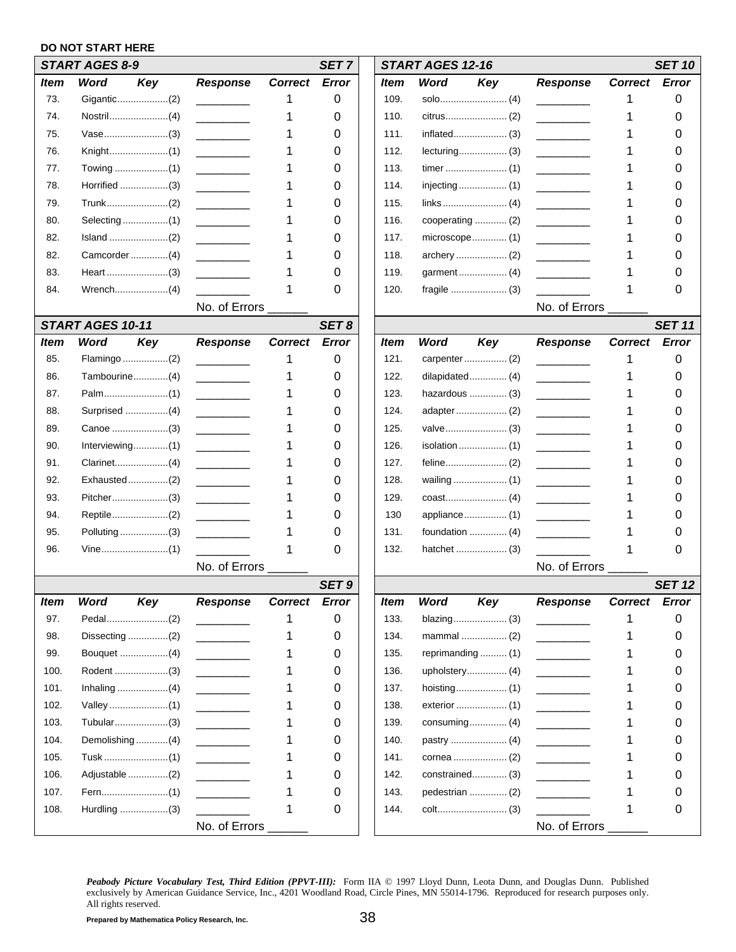#### **DO NOT START HERE**

|             | <b>START AGES 8-9</b> |                                   |                | SET <sub>7</sub> |             | <b>START AGES 12-16</b> |                   |                                   |                | <b>SET 10</b> |
|-------------|-----------------------|-----------------------------------|----------------|------------------|-------------|-------------------------|-------------------|-----------------------------------|----------------|---------------|
| Item        | Word<br>Key           | <b>Response</b>                   | <b>Correct</b> | Error            | ltem        | Word                    | Key               | <b>Response</b>                   | <b>Correct</b> | Error         |
| 73.         |                       |                                   |                | 0                | 109.        |                         |                   |                                   | 1              | 0             |
| 74.         |                       |                                   |                | 0                | 110.        |                         |                   |                                   |                | 0             |
| 75.         | Vase(3)               |                                   |                | 0                | 111.        |                         |                   |                                   |                | 0             |
| 76.         |                       |                                   |                | 0                | 112.        |                         |                   |                                   |                | O             |
| 77.         |                       |                                   |                | 0                | 113.        |                         |                   |                                   |                | O             |
| 78.         |                       |                                   |                | 0                | 114.        |                         |                   |                                   |                | O             |
| 79.         |                       |                                   |                | 0                | 115.        |                         |                   |                                   |                | 0             |
| 80.         |                       |                                   |                | 0                | 116.        |                         |                   |                                   |                | O             |
| 82.         |                       |                                   |                | 0                | 117.        |                         |                   |                                   |                | O             |
| 82.         |                       |                                   |                | 0                | 118.        |                         |                   |                                   |                |               |
| 83.         |                       |                                   |                | 0                | 119.        |                         |                   |                                   |                |               |
| 84.         |                       |                                   |                | 0                | 120.        |                         |                   |                                   |                | 0             |
|             |                       | No. of Errors                     |                |                  |             |                         |                   | No. of Errors                     |                |               |
|             | START AGES 10-11      |                                   |                | SET8             |             |                         |                   |                                   |                | <b>SET 11</b> |
| <b>Item</b> | Word<br>Key           | <b>Response</b>                   | <b>Correct</b> | Error            | ltem        | Word                    | Key               | <b>Response</b>                   | <b>Correct</b> | Error         |
| 85.         |                       |                                   | 1              | 0                | 121.        |                         |                   |                                   | 1              | 0             |
| 86.         | Tambourine(4)         |                                   |                | 0                | 122.        |                         |                   |                                   |                | 0             |
| 87.         |                       | $\frac{1}{1}$                     |                | 0                | 123.        |                         | hazardous  (3)    | <b>Contract Contract Contract</b> |                | 0             |
| 88.         |                       |                                   |                | 0                | 124.        |                         |                   |                                   |                | U             |
| 89.         |                       |                                   |                | 0                | 125.        |                         |                   |                                   |                | O             |
| 90.         |                       |                                   |                | 0                | 126.        |                         |                   |                                   |                | O             |
| 91.         |                       |                                   |                | 0                | 127.        |                         |                   |                                   |                | 0             |
| 92.         | Exhausted(2)          | <b>Contract Contract Contract</b> |                | 0                | 128.        |                         |                   | <b>Contract Contract Contract</b> |                | O             |
| 93.         | Pitcher(3)            |                                   |                | 0                | 129.        |                         |                   |                                   |                | U             |
| 94.         |                       |                                   |                | 0                | 130         |                         |                   |                                   |                | O             |
| 95.         | Polluting(3)          |                                   |                | 0                | 131.        |                         |                   |                                   |                | O             |
| 96.         |                       |                                   |                | 0                | 132.        |                         |                   |                                   |                | 0             |
|             |                       | No. of Errors ______              |                |                  |             |                         |                   | No. of Errors ______              |                |               |
|             |                       |                                   |                | SET <sub>9</sub> |             |                         |                   |                                   |                | <b>SET 12</b> |
| Item        | Key<br>Word           | <b>Response</b>                   | <b>Correct</b> | <b>Error</b>     | <b>Item</b> | <b>Word</b>             | Key               | <b>Response</b>                   | <b>Correct</b> | Error         |
| 97.         |                       |                                   |                | 0                | 133.        |                         | blazing (3)       |                                   |                | 0             |
| 98.         |                       | $\overline{\phantom{a}}$          |                | 0                | 134.        |                         | mammal  (2)       | <u> 1989 - Jan Jawa</u>           | 1              | 0             |
| 99.         |                       | <u> 1999 - Jan Jawa</u>           |                | 0                | 135.        |                         | reprimanding  (1) |                                   |                | 0             |
| 100.        |                       | <b>Contract Contract</b>          |                | 0                | 136.        |                         |                   |                                   |                | 0             |
| 101.        |                       |                                   |                | 0                | 137.        |                         |                   |                                   |                | 0             |
| 102.        |                       |                                   |                | 0                | 138.        |                         |                   |                                   |                | 0             |
| 103.        | Tubular(3)            | <b>Contract Contract Contract</b> |                | 0                | 139.        |                         | consuming $(4)$   | <b>Contract Contract</b>          |                | 0             |
| 104.        | Demolishing (4)       |                                   |                | 0                | 140.        |                         |                   |                                   |                | 0             |
| 105.        |                       | <b>Contract Contract</b>          |                | 0                | 141.        |                         |                   |                                   |                | 0             |
| 106.        | Adjustable (2)        |                                   |                | 0                | 142.        |                         | constrained (3)   |                                   |                | 0             |
| 107.        |                       | <u> 1999 - Jan Jawa</u>           |                | 0                | 143.        |                         | pedestrian  (2)   | <b>Contract Contract</b>          |                | 0             |
| 108.        |                       |                                   |                | 0                | 144.        |                         |                   |                                   | 1              | 0             |
|             |                       | No. of Errors_                    |                |                  |             |                         |                   | No. of Errors __                  |                |               |
|             |                       |                                   |                |                  |             |                         |                   |                                   |                |               |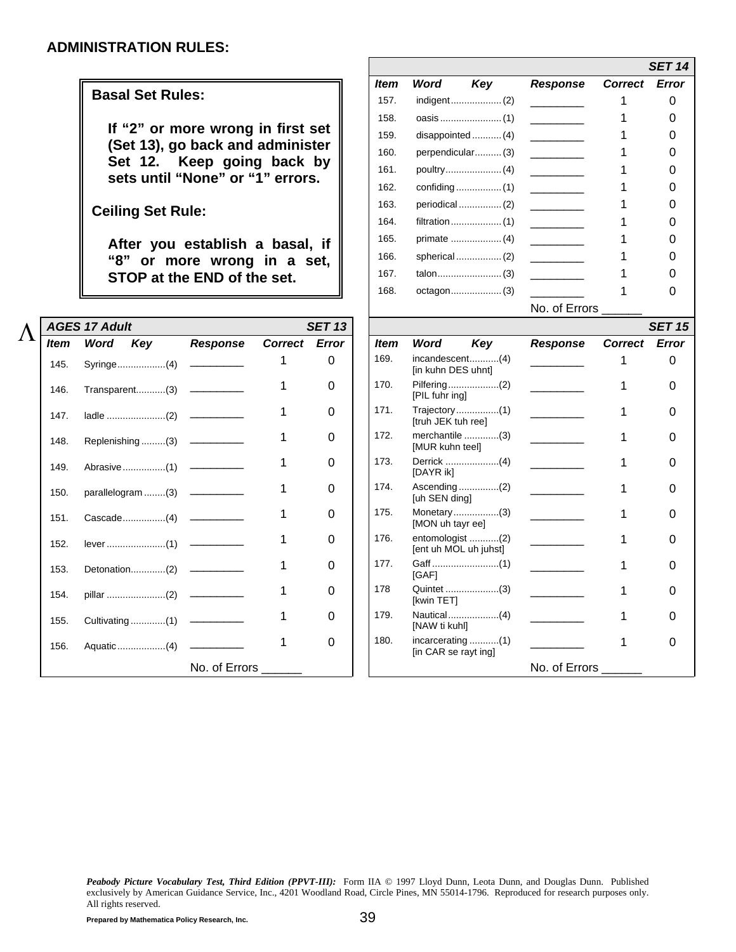#### **Basal Set Rules:**

<span id="page-40-0"></span>

| <b>AGES 17 Adult</b><br><b>SET 13</b><br><b>SET 15</b><br>Response<br>Correct Error<br>Correct Error<br>Word<br>Key<br>Key<br><b>Response</b><br>Word<br><b>Item</b><br><i>Item</i><br>169.<br>incandescent(4)<br>0<br>0<br><u> De Carlos de la pro</u><br>Syringe(4)<br>145.<br>[in kuhn DES uhnt]<br>170.<br>$\Omega$<br>O<br>146.<br>[PIL fuhr ing]<br>$Trajectories \dots \dots \dots \dots (1)$<br>171.<br>0<br>0<br>147.<br>[truh JEK tuh ree]<br>merchantile (3)<br>172.<br>0<br>148.<br>[MUR kuhn teel]<br>173.<br>0<br>O<br>149.<br>[DAYR ik]<br>$A$ scending (2)<br>174.<br>0<br>0<br>150.<br>[uh SEN ding]<br>175.<br>Monetary(3)<br>$\Omega$<br>151.<br>[MON uh tayr ee]<br>entomologist (2)<br>176.<br>$\Omega$<br>0<br>152.<br>[ent uh MOL uh juhst]<br>177.<br>0<br>O<br>153.<br>[GAF]<br>Quintet (3)<br>178<br>$\Omega$<br>154.<br>[kwin TET]<br>179.<br>$\Omega$<br>O<br>155.<br>[NAW ti kuhl]<br>180.<br>0<br>156.<br>[in CAR se rayt ing]<br>No. of Errors<br>No. of Errors |  |  |  |  |  |  |  |
|------------------------------------------------------------------------------------------------------------------------------------------------------------------------------------------------------------------------------------------------------------------------------------------------------------------------------------------------------------------------------------------------------------------------------------------------------------------------------------------------------------------------------------------------------------------------------------------------------------------------------------------------------------------------------------------------------------------------------------------------------------------------------------------------------------------------------------------------------------------------------------------------------------------------------------------------------------------------------------------------|--|--|--|--|--|--|--|
|                                                                                                                                                                                                                                                                                                                                                                                                                                                                                                                                                                                                                                                                                                                                                                                                                                                                                                                                                                                                |  |  |  |  |  |  |  |
|                                                                                                                                                                                                                                                                                                                                                                                                                                                                                                                                                                                                                                                                                                                                                                                                                                                                                                                                                                                                |  |  |  |  |  |  |  |
|                                                                                                                                                                                                                                                                                                                                                                                                                                                                                                                                                                                                                                                                                                                                                                                                                                                                                                                                                                                                |  |  |  |  |  |  |  |
|                                                                                                                                                                                                                                                                                                                                                                                                                                                                                                                                                                                                                                                                                                                                                                                                                                                                                                                                                                                                |  |  |  |  |  |  |  |
|                                                                                                                                                                                                                                                                                                                                                                                                                                                                                                                                                                                                                                                                                                                                                                                                                                                                                                                                                                                                |  |  |  |  |  |  |  |
|                                                                                                                                                                                                                                                                                                                                                                                                                                                                                                                                                                                                                                                                                                                                                                                                                                                                                                                                                                                                |  |  |  |  |  |  |  |
|                                                                                                                                                                                                                                                                                                                                                                                                                                                                                                                                                                                                                                                                                                                                                                                                                                                                                                                                                                                                |  |  |  |  |  |  |  |
|                                                                                                                                                                                                                                                                                                                                                                                                                                                                                                                                                                                                                                                                                                                                                                                                                                                                                                                                                                                                |  |  |  |  |  |  |  |
|                                                                                                                                                                                                                                                                                                                                                                                                                                                                                                                                                                                                                                                                                                                                                                                                                                                                                                                                                                                                |  |  |  |  |  |  |  |
|                                                                                                                                                                                                                                                                                                                                                                                                                                                                                                                                                                                                                                                                                                                                                                                                                                                                                                                                                                                                |  |  |  |  |  |  |  |
|                                                                                                                                                                                                                                                                                                                                                                                                                                                                                                                                                                                                                                                                                                                                                                                                                                                                                                                                                                                                |  |  |  |  |  |  |  |
|                                                                                                                                                                                                                                                                                                                                                                                                                                                                                                                                                                                                                                                                                                                                                                                                                                                                                                                                                                                                |  |  |  |  |  |  |  |
|                                                                                                                                                                                                                                                                                                                                                                                                                                                                                                                                                                                                                                                                                                                                                                                                                                                                                                                                                                                                |  |  |  |  |  |  |  |
|                                                                                                                                                                                                                                                                                                                                                                                                                                                                                                                                                                                                                                                                                                                                                                                                                                                                                                                                                                                                |  |  |  |  |  |  |  |
|                                                                                                                                                                                                                                                                                                                                                                                                                                                                                                                                                                                                                                                                                                                                                                                                                                                                                                                                                                                                |  |  |  |  |  |  |  |

|                                                                | <i>Item</i> | Word | Response                                                                              |  |   |  |
|----------------------------------------------------------------|-------------|------|---------------------------------------------------------------------------------------|--|---|--|
| <b>Basal Set Rules:</b>                                        | 157.        |      |                                                                                       |  | 0 |  |
|                                                                | 158.        |      | <b>SET 14</b><br>Key<br><b>Correct Error</b><br>disappointed  (4)<br>perpendicular(3) |  |   |  |
| If "2" or more wrong in first set                              | 159.        |      |                                                                                       |  |   |  |
| (Set 13), go back and administer                               | 160.        |      |                                                                                       |  |   |  |
| Set 12. Keep going back by<br>sets until "None" or "1" errors. | 161.        |      |                                                                                       |  |   |  |
|                                                                | 162.        |      |                                                                                       |  |   |  |
| <b>Ceiling Set Rule:</b>                                       | 163.        |      |                                                                                       |  |   |  |
|                                                                | 164.        |      |                                                                                       |  |   |  |
| After you establish a basal, if                                | 165.        |      |                                                                                       |  |   |  |
| "8" or more wrong in a set,                                    | 166.        |      |                                                                                       |  |   |  |
| STOP at the END of the set.                                    | 167.        |      |                                                                                       |  |   |  |
|                                                                | 168.        |      |                                                                                       |  |   |  |
|                                                                |             |      | No. of Errors                                                                         |  |   |  |

| Item | Word<br>Key       | <b>Response</b> | <b>Correct Error</b> |          | <b>Item</b> | Word<br>Key                                              | <b>Response</b> | <b>Correct</b> | <b>Error</b> |
|------|-------------------|-----------------|----------------------|----------|-------------|----------------------------------------------------------|-----------------|----------------|--------------|
| 145. | Syringe(4)        |                 |                      | $\Omega$ | 169.        | incandescent(4)<br>[in kuhn DES uhnt]                    |                 |                | 0            |
| 146. | Transparent(3)    |                 |                      | 0        | 170.        | [PIL fuhr ing]                                           |                 |                |              |
| 147. |                   |                 |                      | $\Omega$ | 171.        | $Trajectories \dots (1)$<br>[truh JEK tuh ree]           |                 |                |              |
| 148. | Replenishing (3)  |                 |                      | 0        | 172.        | merchantile $\dots\dots\dots\dots(3)$<br>[MUR kuhn teel] |                 |                |              |
| 149. | Abrasive(1)       |                 |                      | 0        | 173.        | [DAYR ik]                                                |                 |                | O            |
| 150. | parallelogram (3) |                 |                      | 0        | 174.        | Ascending(2)<br>[uh SEN ding]                            |                 |                |              |
| 151. | Cascade(4)        |                 |                      | 0        | 175.        | Monetary(3)<br>[MON uh tayr ee]                          |                 |                |              |
| 152. |                   |                 |                      | 0        | 176.        | entomologist (2)<br>[ent uh MOL uh juhst]                |                 |                |              |
| 153. | Detonation(2)     |                 |                      | 0        | 177.        | [GAF]                                                    |                 |                |              |
| 154. | pillar (2)        |                 |                      | 0        | 178         | Quintet (3)<br>[kwin TET]                                |                 |                |              |
| 155. |                   |                 |                      | 0        | 179.        | [NAW ti kuhl]                                            |                 |                |              |
| 156. | Aquatic(4)        |                 |                      | 0        | 180.        | [in CAR se rayt ing]                                     |                 |                |              |
|      |                   | No. of Errors   |                      |          |             |                                                          | No. of Errors   |                |              |
|      |                   |                 |                      |          |             |                                                          |                 |                |              |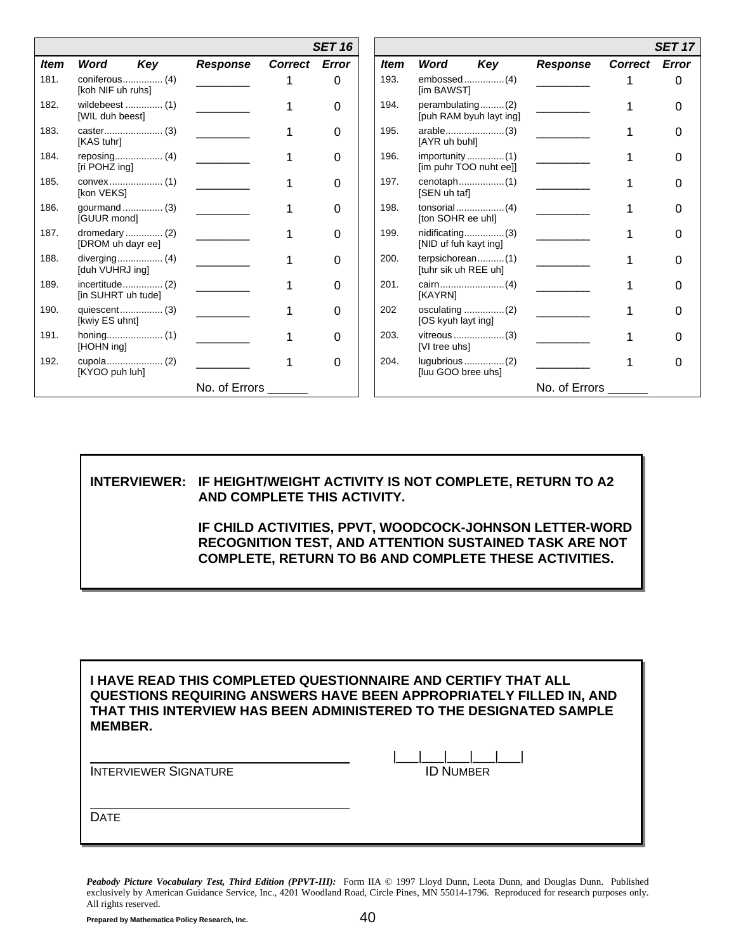|             |                                     |                 |               | <b>SET 16</b> |             |                                                                     |                 |                | <b>SET 17</b> |
|-------------|-------------------------------------|-----------------|---------------|---------------|-------------|---------------------------------------------------------------------|-----------------|----------------|---------------|
| <b>Item</b> | Word<br>Key                         | <b>Response</b> | Correct Error |               | <b>Item</b> | Word<br>Key                                                         | <b>Response</b> | <b>Correct</b> | Error         |
| 181.        | coniferous (4)<br>[koh NIF uh ruhs] |                 |               | 0             | 193.        | [im BAWST]                                                          |                 |                |               |
| 182.        | wildebeest  (1)<br>[WIL duh beest]  |                 |               | 0             | 194.        | perambulating(2)<br>[puh RAM byuh layt ing]                         |                 |                |               |
| 183.        | [KAS tuhr]                          |                 |               | 0             | 195.        | [AYR uh buhl]                                                       |                 |                |               |
| 184.        | [ri POHZ ing]                       |                 |               | 0             | 196.        | $importunity \dots \dots \dots \dots (1)$<br>[im puhr TOO nuht ee]] |                 |                |               |
| 185.        | [kon VEKS]                          |                 |               | 0             | 197.        | [SEN uh taf]                                                        |                 |                |               |
| 186.        | gourmand  (3)<br>[GUUR mond]        |                 |               | 0             | 198.        | [ton SOHR ee uhl]                                                   |                 |                |               |
| 187.        | dromedary  (2)<br>[DROM uh dayr ee] |                 |               | 0             | 199.        | [NID uf fuh kayt ing]                                               |                 |                |               |
| 188.        | [duh VUHRJ ing]                     |                 |               | 0             | 200.        | terpsichorean(1)<br>[tuhr sik uh REE uh]                            |                 |                |               |
| 189.        | [in SUHRT uh tude]                  |                 |               | 0             | 201.        | [KAYRN]                                                             |                 |                |               |
| 190.        | [kwiy ES uhnt]                      |                 |               | 0             | 202         | [OS kyuh layt ing]                                                  |                 |                |               |
| 191.        | $\{1\}$<br>[HOHN ing]               |                 |               | 0             | 203.        | [VI tree uhs]                                                       |                 |                |               |
| 192.        | [KYOO puh luh]                      |                 |               | 0             | 204.        | [luu GOO bree uhs]                                                  |                 |                |               |
|             |                                     | No. of Errors   |               |               |             |                                                                     | No. of Errors   |                |               |

**INTERVIEWER: IF HEIGHT/WEIGHT ACTIVITY IS NOT COMPLETE, RETURN TO A2 AND COMPLETE THIS ACTIVITY.** 

> **IF CHILD ACTIVITIES, PPVT, WOODCOCK-JOHNSON LETTER-WORD RECOGNITION TEST, AND ATTENTION SUSTAINED TASK ARE NOT COMPLETE, RETURN TO B6 AND COMPLETE THESE ACTIVITIES.**

**I HAVE READ THIS COMPLETED QUESTIONNAIRE AND CERTIFY THAT ALL QUESTIONS REQUIRING ANSWERS HAVE BEEN APPROPRIATELY FILLED IN, AND THAT THIS INTERVIEW HAS BEEN ADMINISTERED TO THE DESIGNATED SAMPLE MEMBER.** 

**INTERVIEWER SIGNATURE** 

|  | <b>ID NUMBER</b> |  |
|--|------------------|--|

**DATE**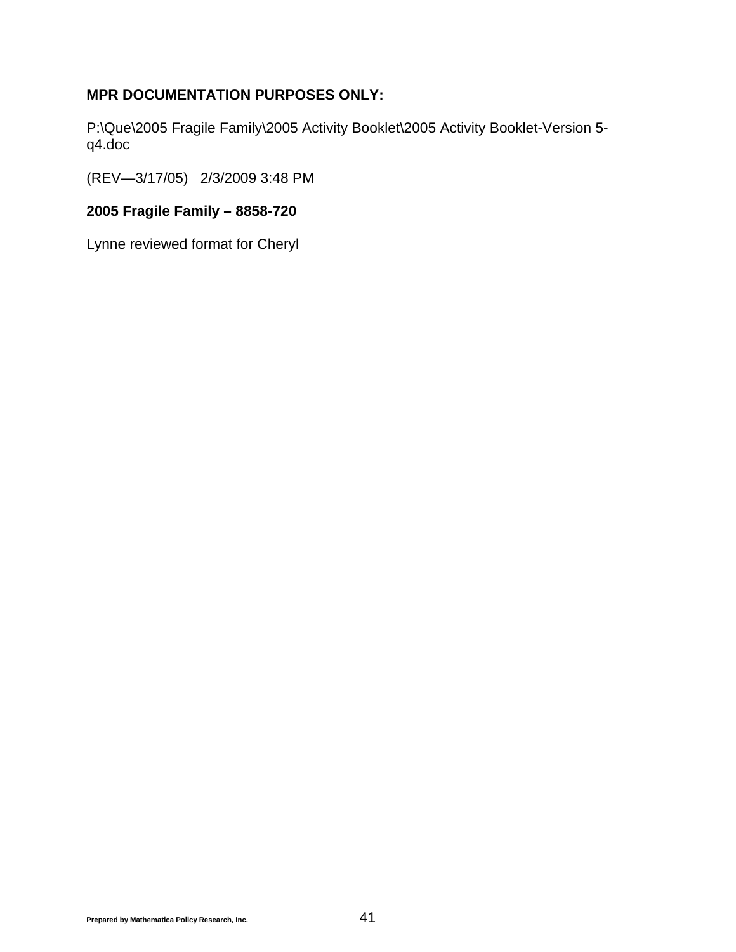### **MPR DOCUMENTATION PURPOSES ONLY:**

P:\Que\2005 Fragile Family\2005 Activity Booklet\2005 Activity Booklet-Version 5 q4.doc

(REV—3/17/05) 2/3/2009 3:48 PM

### **2005 Fragile Family – 8858-720**

Lynne reviewed format for Cheryl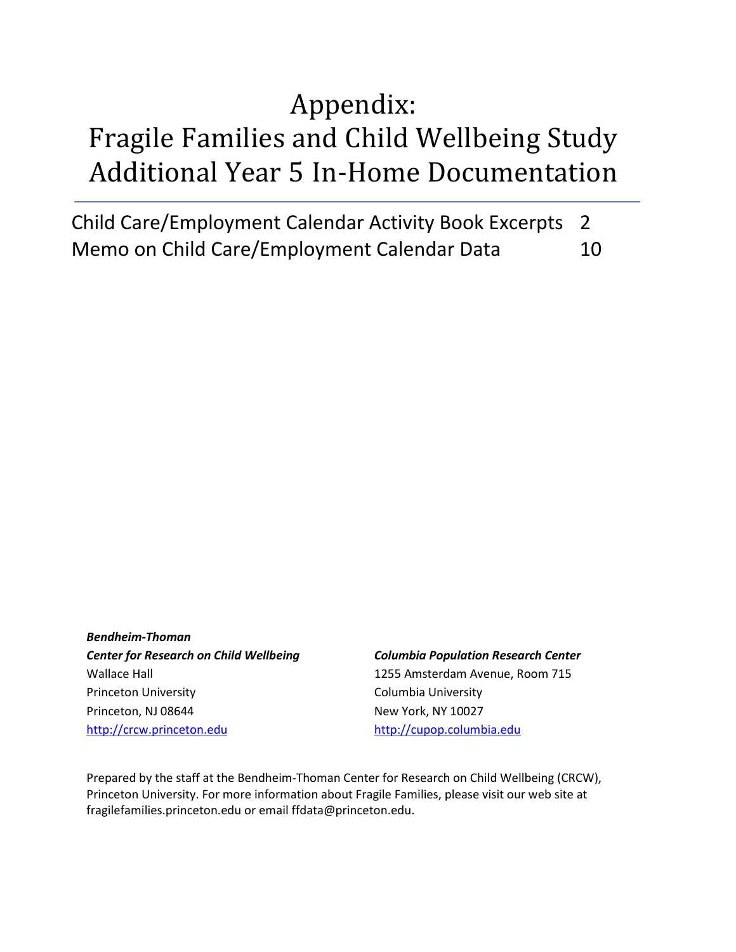# Appendix: Fragile Families and Child Wellbeing Study Additional Year 5 In-Home Documentation

Child Care/Employment Calendar Activity Book Excerpts 2 Memo on Child Care/Employment Calendar Data 10

*Bendheim-Thoman Center for Research on Child Wellbeing* Wallace Hall Princeton University Princeton, NJ 08644 [http://crcw.princeton.edu](http://crcw.princeton.edu/)

#### *Columbia Population Research Center*

1255 Amsterdam Avenue, Room 715 Columbia University New York, NY 10027 [http://cupop.columbia.edu](http://cupop.columbia.edu/)

Prepared by the staff at the Bendheim-Thoman Center for Research on Child Wellbeing (CRCW), Princeton University. For more information about Fragile Families, please visit our web site at fragilefamilies.princeton.edu or email ffdata@princeton.edu.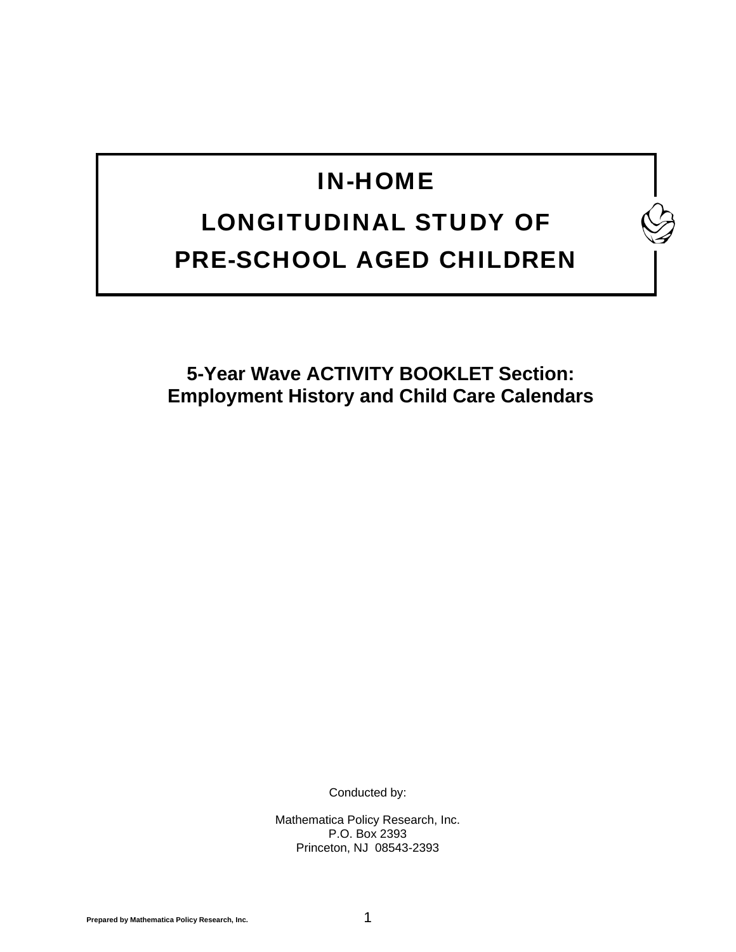## IN-HOME

## LONGITUDINAL STUDY OF PRE-SCHOOL AGED CHILDREN

**5-Year Wave ACTIVITY BOOKLET Section: Employment History and Child Care Calendars** 

Conducted by:

Mathematica Policy Research, Inc. P.O. Box 2393 Princeton, NJ 08543-2393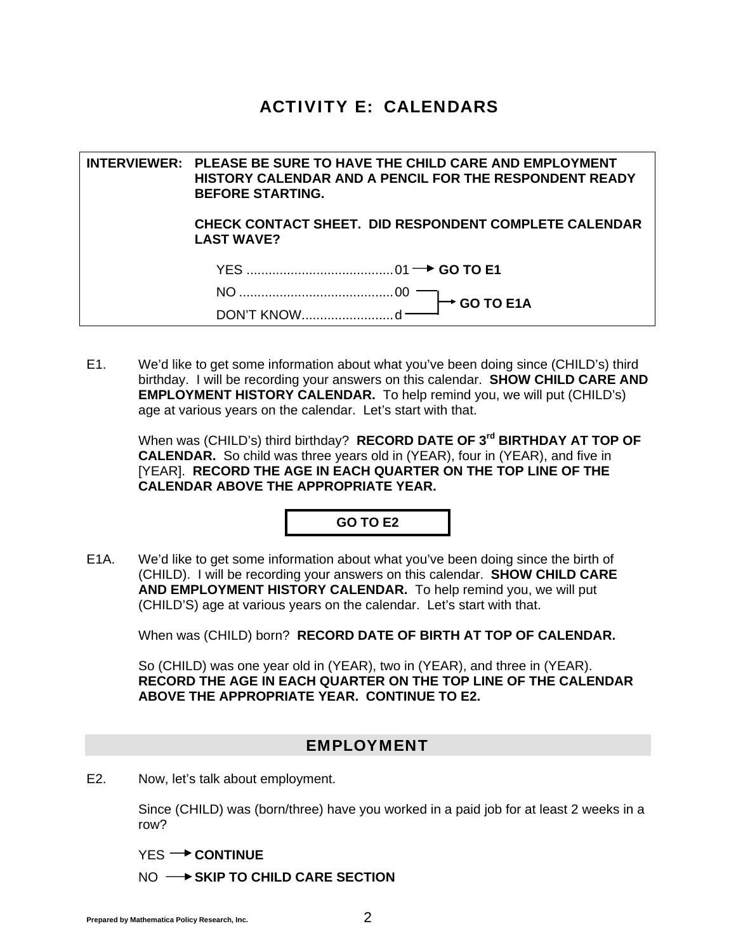## ACTIVITY E: CALENDARS

**INTERVIEWER: PLEASE BE SURE TO HAVE THE CHILD CARE AND EMPLOYMENT HISTORY CALENDAR AND A PENCIL FOR THE RESPONDENT READY BEFORE STARTING. CHECK CONTACT SHEET. DID RESPONDENT COMPLETE CALENDAR LAST WAVE?** YES ........................................01 **GO TO E1**  NO ..........................................00 DON'T KNOW.........................d **GO TO E1A**

E1. We'd like to get some information about what you've been doing since (CHILD's) third birthday. I will be recording your answers on this calendar. **SHOW CHILD CARE AND EMPLOYMENT HISTORY CALENDAR.** To help remind you, we will put (CHILD's) age at various years on the calendar. Let's start with that.

 When was (CHILD's) third birthday? **RECORD DATE OF 3rd BIRTHDAY AT TOP OF CALENDAR.** So child was three years old in (YEAR), four in (YEAR), and five in [YEAR]. **RECORD THE AGE IN EACH QUARTER ON THE TOP LINE OF THE CALENDAR ABOVE THE APPROPRIATE YEAR.**

#### **GO TO E2**

E1A. We'd like to get some information about what you've been doing since the birth of (CHILD). I will be recording your answers on this calendar. **SHOW CHILD CARE AND EMPLOYMENT HISTORY CALENDAR.** To help remind you, we will put (CHILD'S) age at various years on the calendar. Let's start with that.

When was (CHILD) born? **RECORD DATE OF BIRTH AT TOP OF CALENDAR.**

 So (CHILD) was one year old in (YEAR), two in (YEAR), and three in (YEAR). **RECORD THE AGE IN EACH QUARTER ON THE TOP LINE OF THE CALENDAR ABOVE THE APPROPRIATE YEAR. CONTINUE TO E2.**

#### EMPLOYMENT

E2. Now, let's talk about employment.

 Since (CHILD) was (born/three) have you worked in a paid job for at least 2 weeks in a row?

YES<sup>-></sup> CONTINUE

NO  $\rightarrow$  SKIP TO CHILD CARE SECTION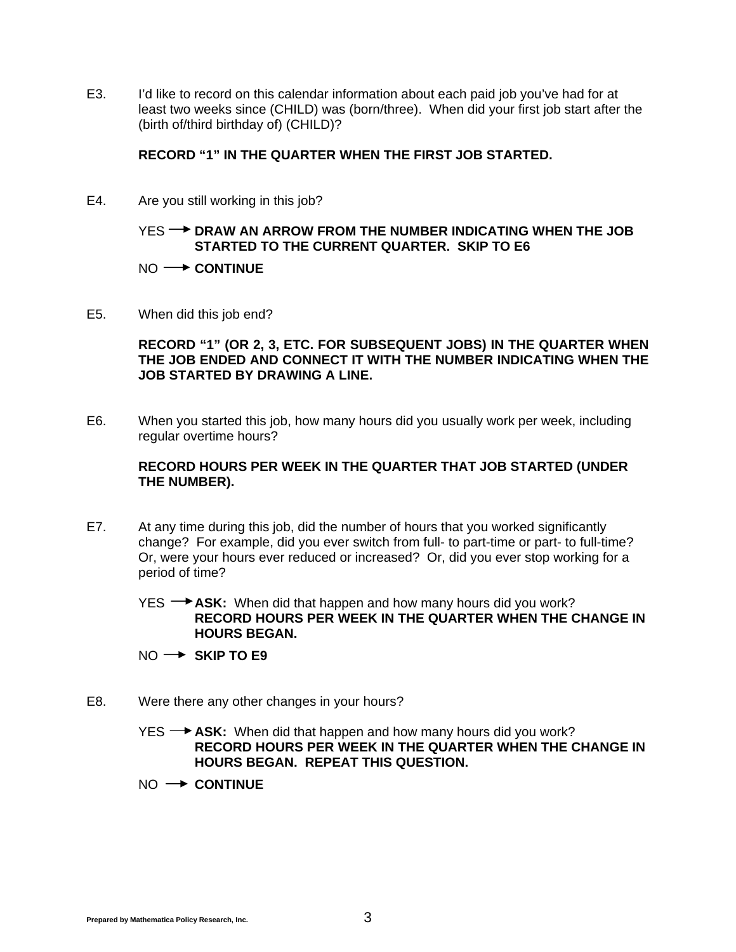E3. I'd like to record on this calendar information about each paid job you've had for at least two weeks since (CHILD) was (born/three). When did your first job start after the (birth of/third birthday of) (CHILD)?

#### **RECORD "1" IN THE QUARTER WHEN THE FIRST JOB STARTED.**

E4. Are you still working in this job?

#### YES **-- DRAW AN ARROW FROM THE NUMBER INDICATING WHEN THE JOB STARTED TO THE CURRENT QUARTER. SKIP TO E6**

#### NO  $\rightarrow$  **CONTINUE**

E5. When did this job end?

**RECORD "1" (OR 2, 3, ETC. FOR SUBSEQUENT JOBS) IN THE QUARTER WHEN THE JOB ENDED AND CONNECT IT WITH THE NUMBER INDICATING WHEN THE JOB STARTED BY DRAWING A LINE.** 

E6. When you started this job, how many hours did you usually work per week, including regular overtime hours?

#### **RECORD HOURS PER WEEK IN THE QUARTER THAT JOB STARTED (UNDER THE NUMBER).**

E7. At any time during this job, did the number of hours that you worked significantly change? For example, did you ever switch from full- to part-time or part- to full-time? Or, were your hours ever reduced or increased? Or, did you ever stop working for a period of time?

YES **+4SK:** When did that happen and how many hours did you work? **RECORD HOURS PER WEEK IN THE QUARTER WHEN THE CHANGE IN HOURS BEGAN.** 

- NO → SKIP TO E9
- E8. Were there any other changes in your hours?
	- YES  $\rightarrow$  **ASK:** When did that happen and how many hours did you work? **RECORD HOURS PER WEEK IN THE QUARTER WHEN THE CHANGE IN HOURS BEGAN. REPEAT THIS QUESTION.**
	- $NO \rightarrow$  **CONTINUE**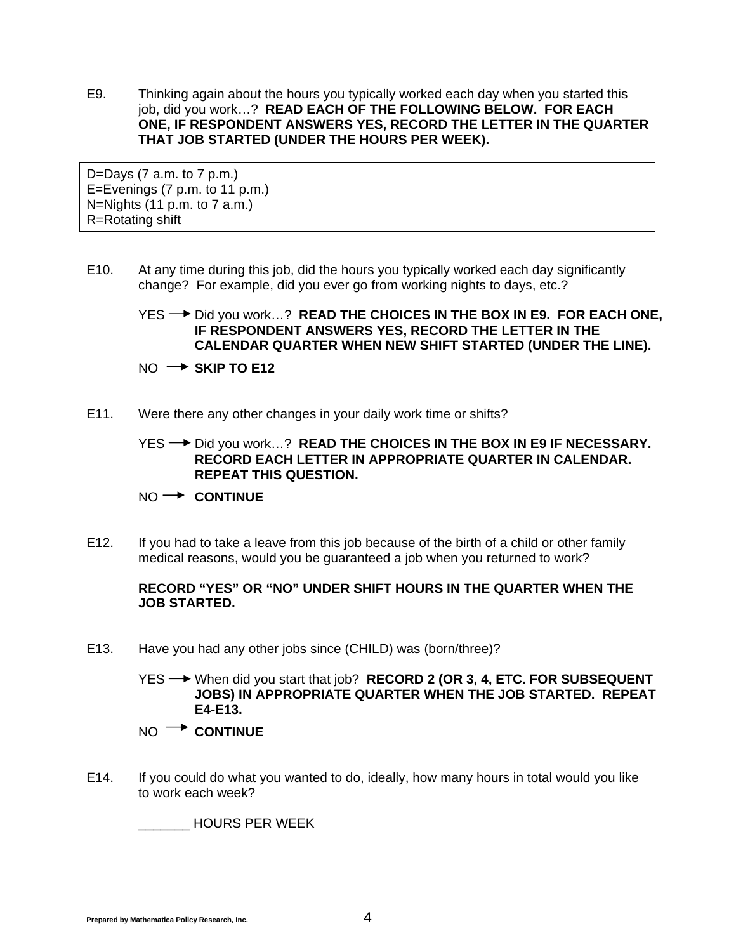E9. Thinking again about the hours you typically worked each day when you started this job, did you work…? **READ EACH OF THE FOLLOWING BELOW. FOR EACH ONE, IF RESPONDENT ANSWERS YES, RECORD THE LETTER IN THE QUARTER THAT JOB STARTED (UNDER THE HOURS PER WEEK).**

D=Days  $(7$  a.m. to  $7$  p.m.) E=Evenings (7 p.m. to 11 p.m.) N=Nights (11 p.m. to 7 a.m.) R=Rotating shift

E10. At any time during this job, did the hours you typically worked each day significantly change? For example, did you ever go from working nights to days, etc.?

### YES → Did you work...? **READ THE CHOICES IN THE BOX IN E9. FOR EACH ONE, IF RESPONDENT ANSWERS YES, RECORD THE LETTER IN THE CALENDAR QUARTER WHEN NEW SHIFT STARTED (UNDER THE LINE).**

 $NO \rightarrow$  SKIP TO E12

E11. Were there any other changes in your daily work time or shifts?

YES <sup>→</sup> Did you work…? **READ THE CHOICES IN THE BOX IN E9 IF NECESSARY. RECORD EACH LETTER IN APPROPRIATE QUARTER IN CALENDAR. REPEAT THIS QUESTION.**

#### NO  $\rightarrow$  **CONTINUE**

E12. If you had to take a leave from this job because of the birth of a child or other family medical reasons, would you be guaranteed a job when you returned to work?

#### **RECORD "YES" OR "NO" UNDER SHIFT HOURS IN THE QUARTER WHEN THE JOB STARTED.**

E13. Have you had any other jobs since (CHILD) was (born/three)?

 YES When did you start that job? **RECORD 2 (OR 3, 4, ETC. FOR SUBSEQUENT JOBS) IN APPROPRIATE QUARTER WHEN THE JOB STARTED. REPEAT E4-E13.**

- NO  $\rightarrow$  **CONTINUE**
- E14. If you could do what you wanted to do, ideally, how many hours in total would you like to work each week?

\_\_\_\_\_\_\_ HOURS PER WEEK

**Prepared by Mathematica Policy Research, Inc.** 4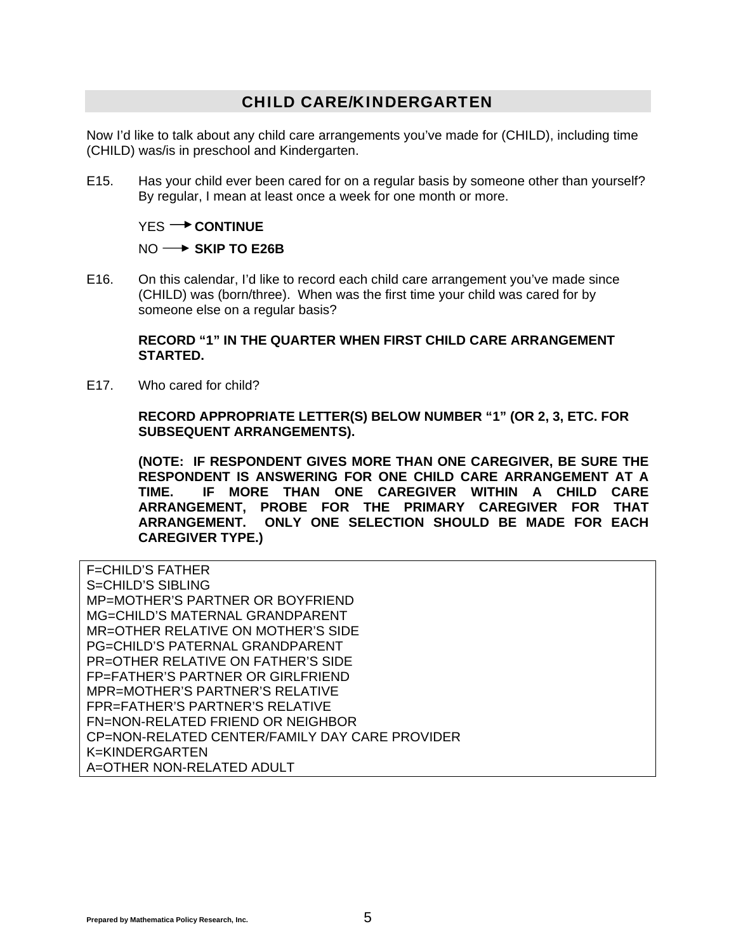### CHILD CARE/KINDERGARTEN

Now I'd like to talk about any child care arrangements you've made for (CHILD), including time (CHILD) was/is in preschool and Kindergarten.

E15. Has your child ever been cared for on a regular basis by someone other than yourself? By regular, I mean at least once a week for one month or more.

#### YES<sup>-></sup> CONTINUE

#### NO  $\rightarrow$  SKIP TO E26B

E16. On this calendar, I'd like to record each child care arrangement you've made since (CHILD) was (born/three). When was the first time your child was cared for by someone else on a regular basis?

#### **RECORD "1" IN THE QUARTER WHEN FIRST CHILD CARE ARRANGEMENT STARTED.**

E17. Who cared for child?

**RECORD APPROPRIATE LETTER(S) BELOW NUMBER "1" (OR 2, 3, ETC. FOR SUBSEQUENT ARRANGEMENTS).** 

**(NOTE: IF RESPONDENT GIVES MORE THAN ONE CAREGIVER, BE SURE THE RESPONDENT IS ANSWERING FOR ONE CHILD CARE ARRANGEMENT AT A TIME. IF MORE THAN ONE CAREGIVER WITHIN A CHILD CARE ARRANGEMENT, PROBE FOR THE PRIMARY CAREGIVER FOR THAT ARRANGEMENT. ONLY ONE SELECTION SHOULD BE MADE FOR EACH CAREGIVER TYPE.)** 

F=CHILD'S FATHER S=CHILD'S SIBLING MP=MOTHER'S PARTNER OR BOYFRIEND MG=CHILD'S MATERNAL GRANDPARENT MR=OTHER RELATIVE ON MOTHER'S SIDE PG=CHILD'S PATERNAL GRANDPARENT PR=OTHER RELATIVE ON FATHER'S SIDE FP=FATHER'S PARTNER OR GIRLFRIEND MPR=MOTHER'S PARTNER'S RELATIVE FPR=FATHER'S PARTNER'S RELATIVE FN=NON-RELATED FRIEND OR NEIGHBOR CP=NON-RELATED CENTER/FAMILY DAY CARE PROVIDER K=KINDERGARTEN A=OTHER NON-RELATED ADULT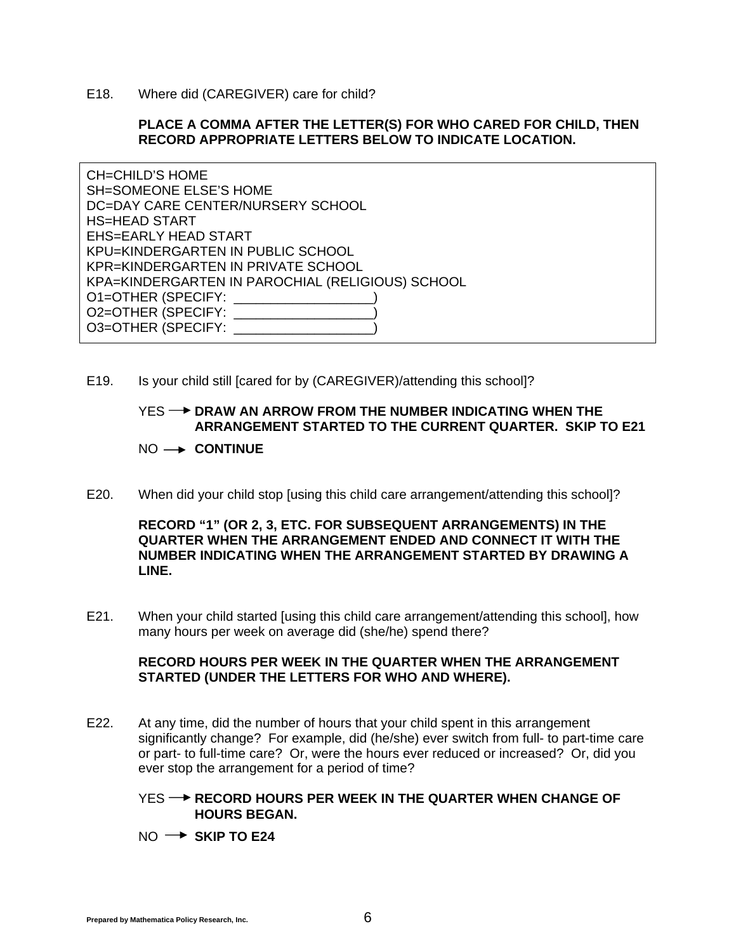E18. Where did (CAREGIVER) care for child?

#### **PLACE A COMMA AFTER THE LETTER(S) FOR WHO CARED FOR CHILD, THEN RECORD APPROPRIATE LETTERS BELOW TO INDICATE LOCATION.**

CH=CHILD'S HOME SH=SOMEONE ELSE'S HOME DC=DAY CARE CENTER/NURSERY SCHOOL HS=HEAD START EHS=EARLY HEAD START KPU=KINDERGARTEN IN PUBLIC SCHOOL KPR=KINDERGARTEN IN PRIVATE SCHOOL KPA=KINDERGARTEN IN PAROCHIAL (RELIGIOUS) SCHOOL O1=OTHER (SPECIFY: \_\_\_\_\_\_\_\_\_\_\_\_\_\_\_\_\_\_\_) O2=OTHER (SPECIFY: \_\_\_\_\_\_\_\_ O3=OTHER (SPECIFY: \_\_\_\_\_\_

E19. Is your child still [cared for by (CAREGIVER)/attending this school]?

#### YES **-- DRAW AN ARROW FROM THE NUMBER INDICATING WHEN THE ARRANGEMENT STARTED TO THE CURRENT QUARTER. SKIP TO E21**

#### NO  $\rightarrow$  **CONTINUE**

E20. When did your child stop [using this child care arrangement/attending this school]?

#### **RECORD "1" (OR 2, 3, ETC. FOR SUBSEQUENT ARRANGEMENTS) IN THE QUARTER WHEN THE ARRANGEMENT ENDED AND CONNECT IT WITH THE NUMBER INDICATING WHEN THE ARRANGEMENT STARTED BY DRAWING A LINE.**

E21. When your child started [using this child care arrangement/attending this school], how many hours per week on average did (she/he) spend there?

#### **RECORD HOURS PER WEEK IN THE QUARTER WHEN THE ARRANGEMENT STARTED (UNDER THE LETTERS FOR WHO AND WHERE).**

- E22. At any time, did the number of hours that your child spent in this arrangement significantly change? For example, did (he/she) ever switch from full- to part-time care or part- to full-time care? Or, were the hours ever reduced or increased? Or, did you ever stop the arrangement for a period of time?
	- YES **-- P RECORD HOURS PER WEEK IN THE QUARTER WHEN CHANGE OF HOURS BEGAN.**
	- $NO \rightarrow$  SKIP TO E24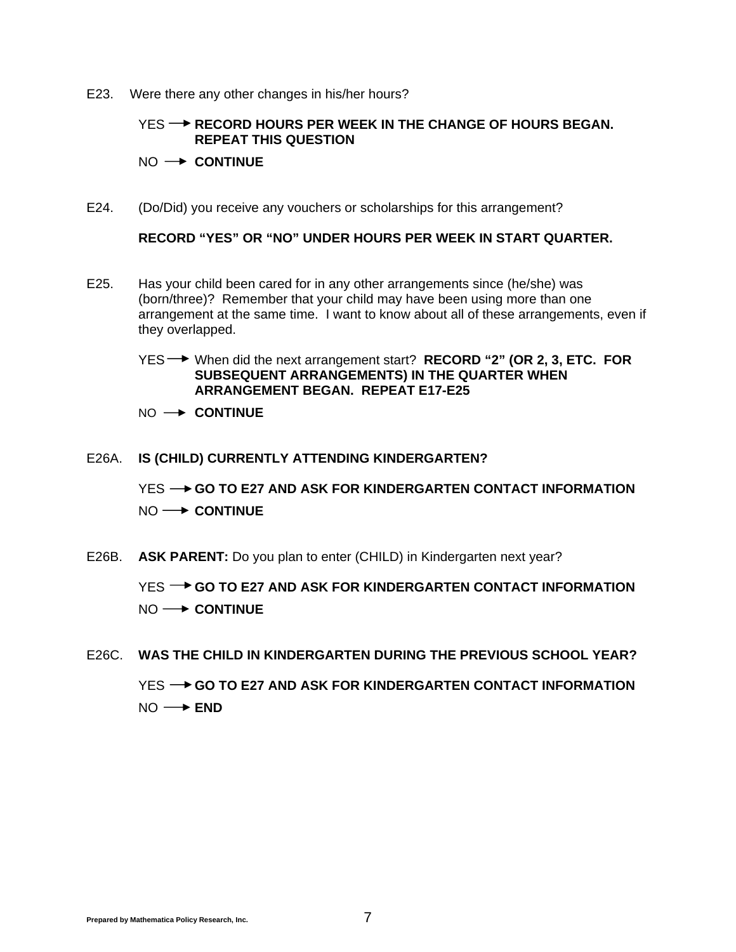E23. Were there any other changes in his/her hours?

#### **YES → RECORD HOURS PER WEEK IN THE CHANGE OF HOURS BEGAN. REPEAT THIS QUESTION**

#### $NO \rightarrow$  **CONTINUE**

E24. (Do/Did) you receive any vouchers or scholarships for this arrangement?

**RECORD "YES" OR "NO" UNDER HOURS PER WEEK IN START QUARTER.** 

- E25. Has your child been cared for in any other arrangements since (he/she) was (born/three)? Remember that your child may have been using more than one arrangement at the same time. I want to know about all of these arrangements, even if they overlapped.
	- YES When did the next arrangement start? **RECORD "2" (OR 2, 3, ETC. FOR SUBSEQUENT ARRANGEMENTS) IN THE QUARTER WHEN ARRANGEMENT BEGAN. REPEAT E17-E25**
	- $NO \rightarrow$  **CONTINUE**

#### E26A. **IS (CHILD) CURRENTLY ATTENDING KINDERGARTEN?**

YES **-- GO TO E27 AND ASK FOR KINDERGARTEN CONTACT INFORMATION** NO  $\longrightarrow$  **CONTINUE** 

E26B. **ASK PARENT:** Do you plan to enter (CHILD) in Kindergarten next year?

YES **-> GO TO E27 AND ASK FOR KINDERGARTEN CONTACT INFORMATION** NO  $\rightarrow$  **CONTINUE** 

E26C. **WAS THE CHILD IN KINDERGARTEN DURING THE PREVIOUS SCHOOL YEAR?** YES **-- GO TO E27 AND ASK FOR KINDERGARTEN CONTACT INFORMATION** 

NO **→ END**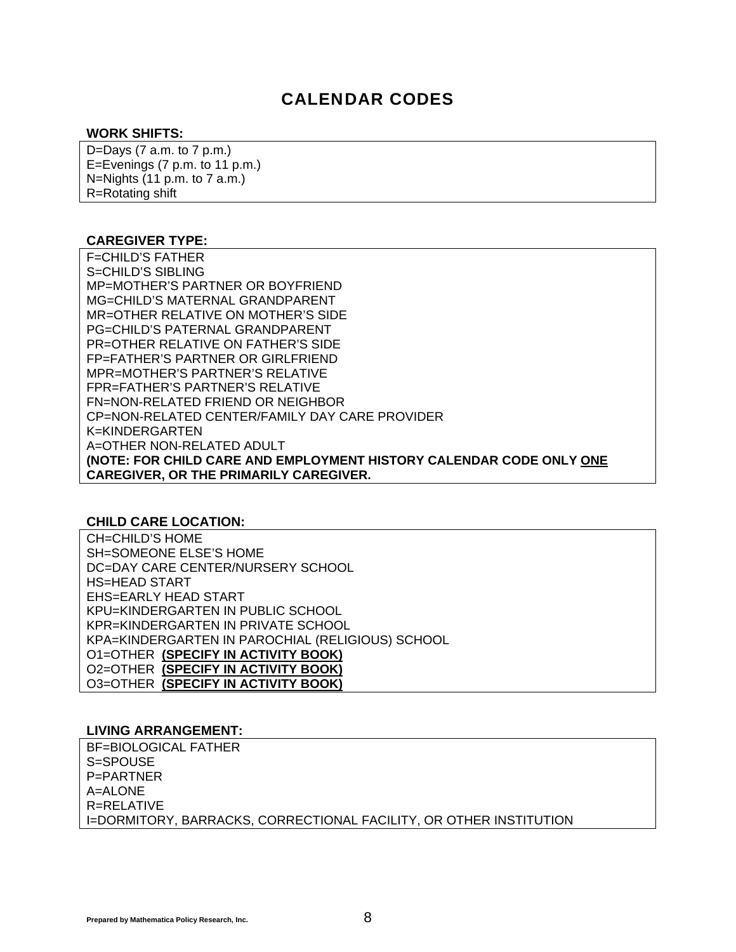### CALENDAR CODES

#### **WORK SHIFTS:**

D=Days  $(7$  a.m. to  $7$  p.m.) E=Evenings (7 p.m. to 11 p.m.) N=Nights (11 p.m. to 7 a.m.) R=Rotating shift

#### **CAREGIVER TYPE:**

F=CHILD'S FATHER S=CHILD'S SIBLING MP=MOTHER'S PARTNER OR BOYFRIEND MG=CHILD'S MATERNAL GRANDPARENT MR=OTHER RELATIVE ON MOTHER'S SIDE PG=CHILD'S PATERNAL GRANDPARENT PR=OTHER RELATIVE ON FATHER'S SIDE FP=FATHER'S PARTNER OR GIRLFRIEND MPR=MOTHER'S PARTNER'S RELATIVE FPR=FATHER'S PARTNER'S RELATIVE FN=NON-RELATED FRIEND OR NEIGHBOR CP=NON-RELATED CENTER/FAMILY DAY CARE PROVIDER K=KINDERGARTEN A=OTHER NON-RELATED ADULT **(NOTE: FOR CHILD CARE AND EMPLOYMENT HISTORY CALENDAR CODE ONLY ONE CAREGIVER, OR THE PRIMARILY CAREGIVER.** 

#### **CHILD CARE LOCATION:**

CH=CHILD'S HOME SH=SOMEONE ELSE'S HOME DC=DAY CARE CENTER/NURSERY SCHOOL HS=HEAD START EHS=EARLY HEAD START KPU=KINDERGARTEN IN PUBLIC SCHOOL KPR=KINDERGARTEN IN PRIVATE SCHOOL KPA=KINDERGARTEN IN PAROCHIAL (RELIGIOUS) SCHOOL O1=OTHER **(SPECIFY IN ACTIVITY BOOK)** O2=OTHER **(SPECIFY IN ACTIVITY BOOK)** O3=OTHER **(SPECIFY IN ACTIVITY BOOK)**

#### **LIVING ARRANGEMENT:**

BF=BIOLOGICAL FATHER S=SPOUSE P=PARTNER A=ALONE R=RELATIVE I=DORMITORY, BARRACKS, CORRECTIONAL FACILITY, OR OTHER INSTITUTION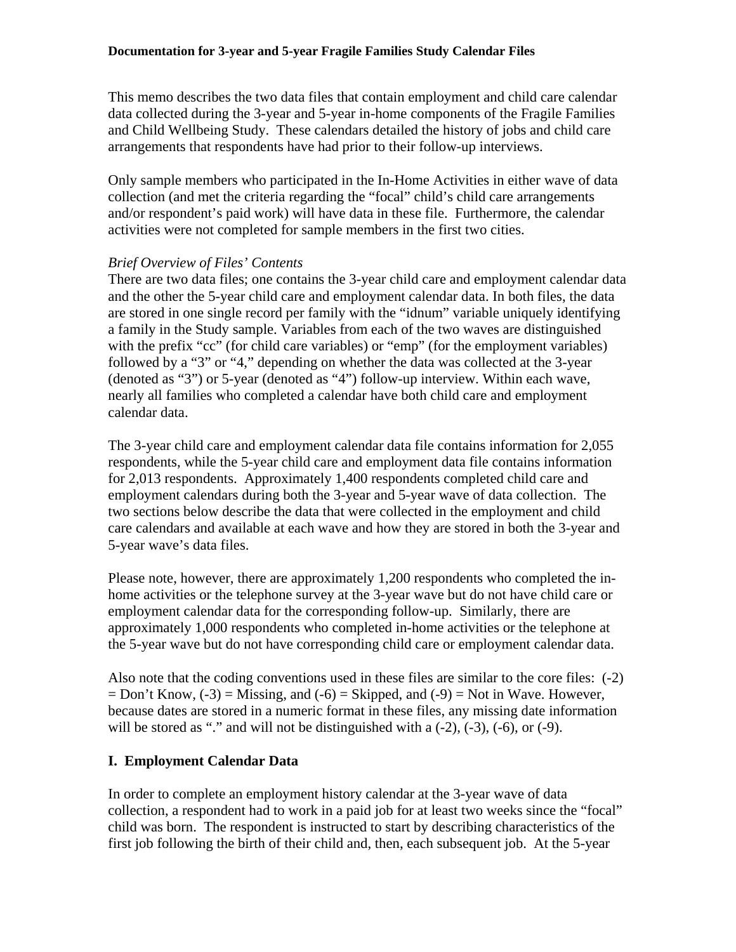This memo describes the two data files that contain employment and child care calendar data collected during the 3-year and 5-year in-home components of the Fragile Families and Child Wellbeing Study. These calendars detailed the history of jobs and child care arrangements that respondents have had prior to their follow-up interviews.

Only sample members who participated in the In-Home Activities in either wave of data collection (and met the criteria regarding the "focal" child's child care arrangements and/or respondent's paid work) will have data in these file. Furthermore, the calendar activities were not completed for sample members in the first two cities.

#### *Brief Overview of Files' Contents*

There are two data files; one contains the 3-year child care and employment calendar data and the other the 5-year child care and employment calendar data. In both files, the data are stored in one single record per family with the "idnum" variable uniquely identifying a family in the Study sample. Variables from each of the two waves are distinguished with the prefix "cc" (for child care variables) or "emp" (for the employment variables) followed by a "3" or "4," depending on whether the data was collected at the 3-year (denoted as "3") or 5-year (denoted as "4") follow-up interview. Within each wave, nearly all families who completed a calendar have both child care and employment calendar data.

The 3-year child care and employment calendar data file contains information for 2,055 respondents, while the 5-year child care and employment data file contains information for 2,013 respondents. Approximately 1,400 respondents completed child care and employment calendars during both the 3-year and 5-year wave of data collection. The two sections below describe the data that were collected in the employment and child care calendars and available at each wave and how they are stored in both the 3-year and 5-year wave's data files.

Please note, however, there are approximately 1,200 respondents who completed the inhome activities or the telephone survey at the 3-year wave but do not have child care or employment calendar data for the corresponding follow-up. Similarly, there are approximately 1,000 respondents who completed in-home activities or the telephone at the 5-year wave but do not have corresponding child care or employment calendar data.

Also note that the coding conventions used in these files are similar to the core files: (-2)  $=$  Don't Know,  $(-3)$  = Missing, and  $(-6)$  = Skipped, and  $(-9)$  = Not in Wave. However, because dates are stored in a numeric format in these files, any missing date information will be stored as "." and will not be distinguished with a  $(-2)$ ,  $(-3)$ ,  $(-6)$ , or  $(-9)$ .

#### **I. Employment Calendar Data**

In order to complete an employment history calendar at the 3-year wave of data collection, a respondent had to work in a paid job for at least two weeks since the "focal" child was born. The respondent is instructed to start by describing characteristics of the first job following the birth of their child and, then, each subsequent job. At the 5-year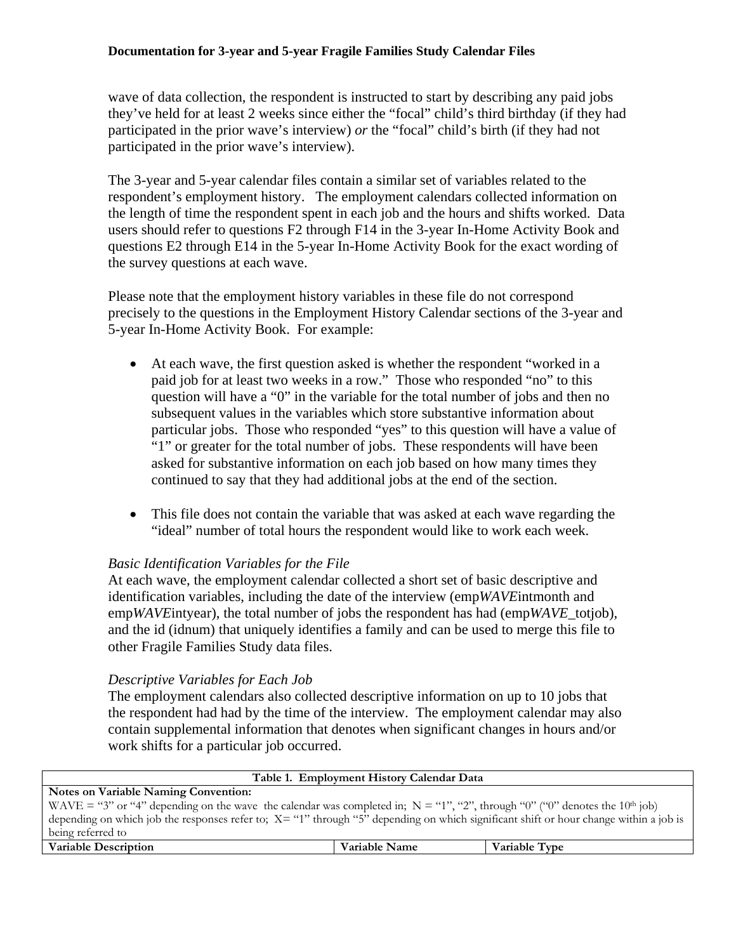wave of data collection, the respondent is instructed to start by describing any paid jobs they've held for at least 2 weeks since either the "focal" child's third birthday (if they had participated in the prior wave's interview) *or* the "focal" child's birth (if they had not participated in the prior wave's interview).

The 3-year and 5-year calendar files contain a similar set of variables related to the respondent's employment history. The employment calendars collected information on the length of time the respondent spent in each job and the hours and shifts worked. Data users should refer to questions F2 through F14 in the 3-year In-Home Activity Book and questions E2 through E14 in the 5-year In-Home Activity Book for the exact wording of the survey questions at each wave.

Please note that the employment history variables in these file do not correspond precisely to the questions in the Employment History Calendar sections of the 3-year and 5-year In-Home Activity Book. For example:

- At each wave, the first question asked is whether the respondent "worked in a paid job for at least two weeks in a row." Those who responded "no" to this question will have a "0" in the variable for the total number of jobs and then no subsequent values in the variables which store substantive information about particular jobs. Those who responded "yes" to this question will have a value of "1" or greater for the total number of jobs. These respondents will have been asked for substantive information on each job based on how many times they continued to say that they had additional jobs at the end of the section.
- This file does not contain the variable that was asked at each wave regarding the "ideal" number of total hours the respondent would like to work each week.

#### *Basic Identification Variables for the File*

At each wave, the employment calendar collected a short set of basic descriptive and identification variables, including the date of the interview (emp*WAVE*intmonth and emp*WAVE*intyear), the total number of jobs the respondent has had (emp*WAVE*\_totjob), and the id (idnum) that uniquely identifies a family and can be used to merge this file to other Fragile Families Study data files.

#### *Descriptive Variables for Each Job*

The employment calendars also collected descriptive information on up to 10 jobs that the respondent had had by the time of the interview. The employment calendar may also contain supplemental information that denotes when significant changes in hours and/or work shifts for a particular job occurred.

| Table 1. Employment History Calendar Data                                                                                                 |               |               |  |  |  |  |  |  |
|-------------------------------------------------------------------------------------------------------------------------------------------|---------------|---------------|--|--|--|--|--|--|
| <b>Notes on Variable Naming Convention:</b>                                                                                               |               |               |  |  |  |  |  |  |
| WAVE = "3" or "4" depending on the wave the calendar was completed in; $N = "1", "2",$ through "0" ("0" denotes the 10 <sup>th</sup> job) |               |               |  |  |  |  |  |  |
| depending on which job the responses refer to; $X = "1"$ through "5" depending on which significant shift or hour change within a job is  |               |               |  |  |  |  |  |  |
| being referred to                                                                                                                         |               |               |  |  |  |  |  |  |
| <b>Variable Description</b>                                                                                                               | Variable Name | Variable Type |  |  |  |  |  |  |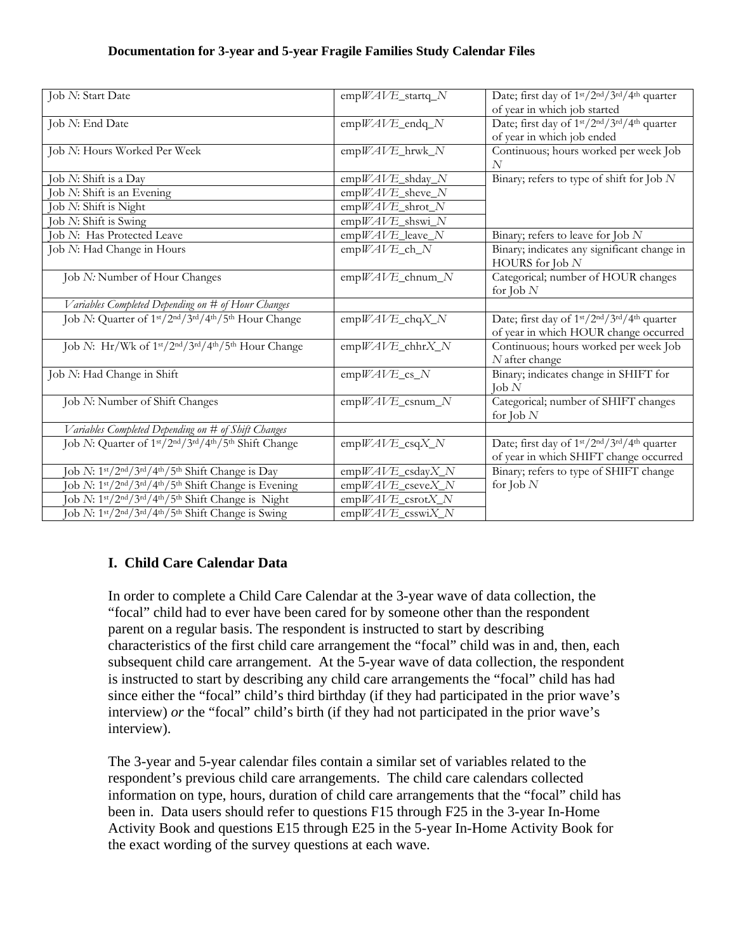#### **Documentation for 3-year and 5-year Fragile Families Study Calendar Files**

| Job N: Start Date                                                                                                 | $empWAVE_statq_N$   | Date; first day of 1 <sup>st</sup> /2 <sup>nd</sup> /3 <sup>rd</sup> /4 <sup>th</sup> quarter |
|-------------------------------------------------------------------------------------------------------------------|---------------------|-----------------------------------------------------------------------------------------------|
|                                                                                                                   |                     | of year in which job started                                                                  |
| Job N: End Date                                                                                                   | empWAVE_endq_N      | Date; first day of 1 <sup>st</sup> /2 <sup>nd</sup> /3 <sup>rd</sup> /4 <sup>th</sup> quarter |
|                                                                                                                   |                     | of year in which job ended                                                                    |
| Job N: Hours Worked Per Week                                                                                      | $empWAVE_hrwk_N$    | Continuous; hours worked per week Job                                                         |
|                                                                                                                   |                     | N                                                                                             |
| Job N: Shift is a Day                                                                                             | empWAVE_shday_N     | Binary; refers to type of shift for Job $N$                                                   |
| Job N: Shift is an Evening                                                                                        | empWAVE_sheve_N     |                                                                                               |
| Job N: Shift is Night                                                                                             | empWAVE_shrot_N     |                                                                                               |
| Job N: Shift is Swing                                                                                             | $empWAVE\_shswi_N$  |                                                                                               |
| Job N: Has Protected Leave                                                                                        | empWAVE_leave_N     | Binary; refers to leave for Job $N$                                                           |
| Job N: Had Change in Hours                                                                                        | empWAVE_ch_N        | Binary; indicates any significant change in<br>HOURS for Job N                                |
| Job N: Number of Hour Changes                                                                                     | empWAVE_chnum_N     | Categorical; number of HOUR changes<br>for Job $N$                                            |
| Variables Completed Depending on # of Hour Changes                                                                |                     |                                                                                               |
| Job N: Quarter of 1 <sup>st</sup> /2 <sup>nd</sup> /3 <sup>rd</sup> /4 <sup>th</sup> /5 <sup>th</sup> Hour Change | empWAVE_chqX_N      | Date; first day of 1st/2nd/3rd/4th quarter                                                    |
|                                                                                                                   |                     | of year in which HOUR change occurred                                                         |
| Job N: Hr/Wk of 1 <sup>st</sup> /2 <sup>nd</sup> /3 <sup>rd</sup> /4 <sup>th</sup> /5 <sup>th</sup> Hour Change   | empWAVE_chhrX_N     | Continuous; hours worked per week Job                                                         |
|                                                                                                                   |                     | $N$ after change                                                                              |
| Job N: Had Change in Shift                                                                                        | empWAVE_cs_N        | Binary; indicates change in SHIFT for                                                         |
|                                                                                                                   |                     | $\text{Job }N$                                                                                |
| Job N: Number of Shift Changes                                                                                    | empWAVE_csnum_N     | Categorical; number of SHIFT changes                                                          |
|                                                                                                                   |                     | for Job $N$                                                                                   |
| Variables Completed Depending on # of Shift Changes                                                               |                     |                                                                                               |
| Job N: Quarter of 1st/2nd/3rd/4th/5th Shift Change                                                                | $empWAVE\_csqX_N$   | Date; first day of 1 <sup>st</sup> /2 <sup>nd</sup> /3 <sup>rd</sup> /4 <sup>th</sup> quarter |
|                                                                                                                   |                     | of year in which SHIFT change occurred                                                        |
| Job N: 1st/2nd/3rd/4th/5th Shift Change is Day                                                                    | $empWAVE\_csdayX_N$ | Binary; refers to type of SHIFT change                                                        |
| Job N: 1st/2nd/3rd/4th/5th Shift Change is Evening                                                                | empWAVE_cseveX_N    | for Job $N$                                                                                   |
| Job N: 1 <sup>st</sup> /2 <sup>nd</sup> /3 <sup>rd</sup> /4 <sup>th</sup> /5 <sup>th</sup> Shift Change is Night  | empWAVE_csrotX_N    |                                                                                               |
| Job N: 1st/2nd/3rd/4th/5th Shift Change is Swing                                                                  | $empWAVE\_coswiX_N$ |                                                                                               |

#### **I. Child Care Calendar Data**

In order to complete a Child Care Calendar at the 3-year wave of data collection, the "focal" child had to ever have been cared for by someone other than the respondent parent on a regular basis. The respondent is instructed to start by describing characteristics of the first child care arrangement the "focal" child was in and, then, each subsequent child care arrangement. At the 5-year wave of data collection, the respondent is instructed to start by describing any child care arrangements the "focal" child has had since either the "focal" child's third birthday (if they had participated in the prior wave's interview) *or* the "focal" child's birth (if they had not participated in the prior wave's interview).

The 3-year and 5-year calendar files contain a similar set of variables related to the respondent's previous child care arrangements. The child care calendars collected information on type, hours, duration of child care arrangements that the "focal" child has been in. Data users should refer to questions F15 through F25 in the 3-year In-Home Activity Book and questions E15 through E25 in the 5-year In-Home Activity Book for the exact wording of the survey questions at each wave.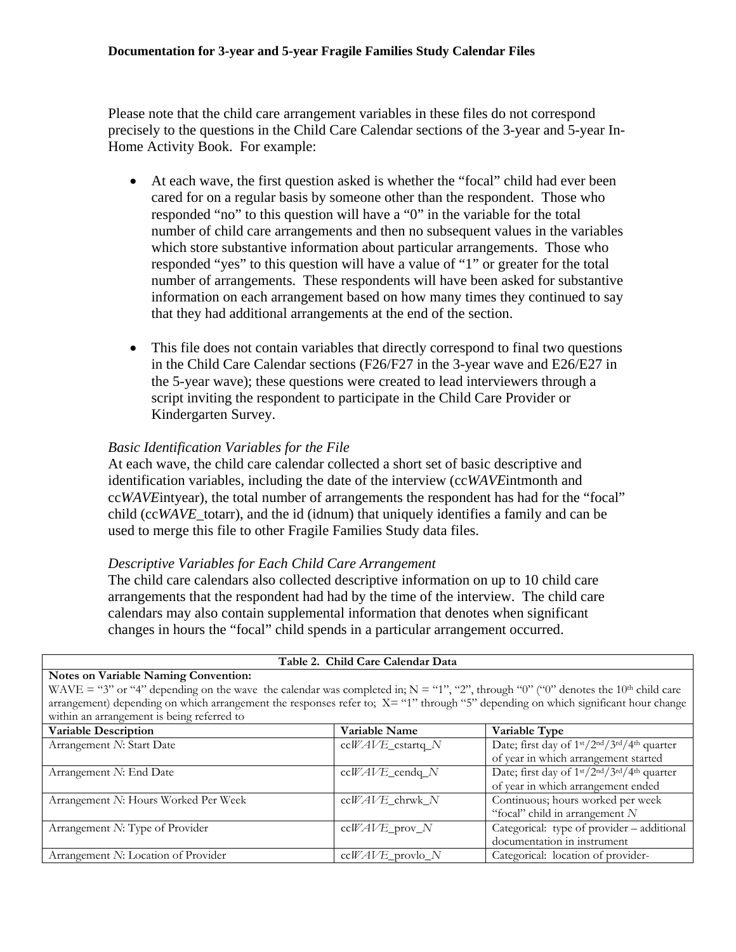Please note that the child care arrangement variables in these files do not correspond precisely to the questions in the Child Care Calendar sections of the 3-year and 5-year In-Home Activity Book. For example:

- At each wave, the first question asked is whether the "focal" child had ever been cared for on a regular basis by someone other than the respondent. Those who responded "no" to this question will have a "0" in the variable for the total number of child care arrangements and then no subsequent values in the variables which store substantive information about particular arrangements. Those who responded "yes" to this question will have a value of "1" or greater for the total number of arrangements. These respondents will have been asked for substantive information on each arrangement based on how many times they continued to say that they had additional arrangements at the end of the section.
- This file does not contain variables that directly correspond to final two questions in the Child Care Calendar sections (F26/F27 in the 3-year wave and E26/E27 in the 5-year wave); these questions were created to lead interviewers through a script inviting the respondent to participate in the Child Care Provider or Kindergarten Survey.

#### *Basic Identification Variables for the File*

At each wave, the child care calendar collected a short set of basic descriptive and identification variables, including the date of the interview (cc*WAVE*intmonth and cc*WAVE*intyear), the total number of arrangements the respondent has had for the "focal" child (cc*WAVE*\_totarr), and the id (idnum) that uniquely identifies a family and can be used to merge this file to other Fragile Families Study data files.

#### *Descriptive Variables for Each Child Care Arrangement*

The child care calendars also collected descriptive information on up to 10 child care arrangements that the respondent had had by the time of the interview. The child care calendars may also contain supplemental information that denotes when significant changes in hours the "focal" child spends in a particular arrangement occurred.

| Table 2. Child Care Calendar Data                                                                                                               |                    |                                                                                               |  |  |
|-------------------------------------------------------------------------------------------------------------------------------------------------|--------------------|-----------------------------------------------------------------------------------------------|--|--|
| <b>Notes on Variable Naming Convention:</b>                                                                                                     |                    |                                                                                               |  |  |
| WAVE = "3" or "4" depending on the wave the calendar was completed in; $N = "1", "2",$ through "0" ("0" denotes the 10 <sup>th</sup> child care |                    |                                                                                               |  |  |
| arrangement) depending on which arrangement the responses refer to; $X =$ "1" through "5" depending on which significant hour change            |                    |                                                                                               |  |  |
| within an arrangement is being referred to                                                                                                      |                    |                                                                                               |  |  |
| <b>Variable Description</b>                                                                                                                     | Variable Name      | Variable Type                                                                                 |  |  |
| Arrangement N: Start Date                                                                                                                       | $ccWAVE_cstartq_N$ | Date; first day of 1st/2nd/3rd/4th quarter                                                    |  |  |
|                                                                                                                                                 |                    | of year in which arrangement started                                                          |  |  |
| Arrangement N: End Date                                                                                                                         | $ccWAVE\_cendq_N$  | Date; first day of 1 <sup>st</sup> /2 <sup>nd</sup> /3 <sup>rd</sup> /4 <sup>th</sup> quarter |  |  |
|                                                                                                                                                 |                    | of year in which arrangement ended                                                            |  |  |
| Arrangement N: Hours Worked Per Week                                                                                                            | ccWAVE_chrwk_N     | Continuous; hours worked per week                                                             |  |  |
|                                                                                                                                                 |                    | "focal" child in arrangement $N$                                                              |  |  |
| Arrangement N: Type of Provider                                                                                                                 | $ccWAVE\_prov_N$   | Categorical: type of provider - additional                                                    |  |  |
|                                                                                                                                                 |                    | documentation in instrument                                                                   |  |  |
| Arrangement N: Location of Provider                                                                                                             | $ccWAVE$ provlo N  | Categorical: location of provider-                                                            |  |  |